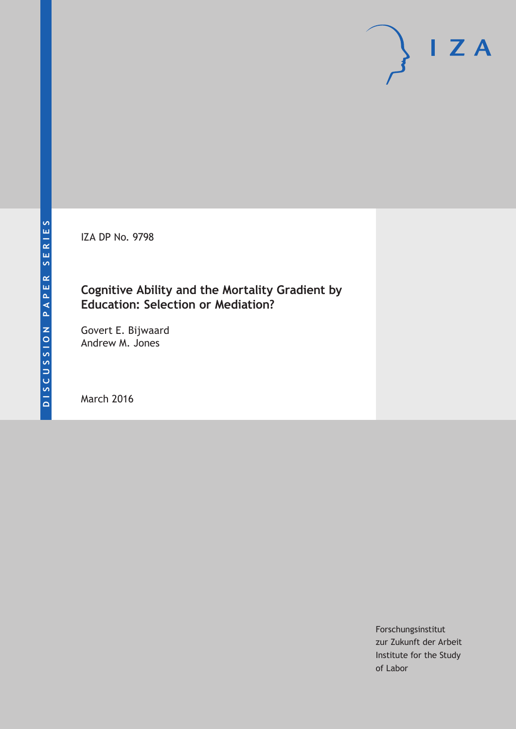IZA DP No. 9798

## **Cognitive Ability and the Mortality Gradient by Education: Selection or Mediation?**

Govert E. Bijwaard Andrew M. Jones

March 2016

Forschungsinstitut zur Zukunft der Arbeit Institute for the Study of Labor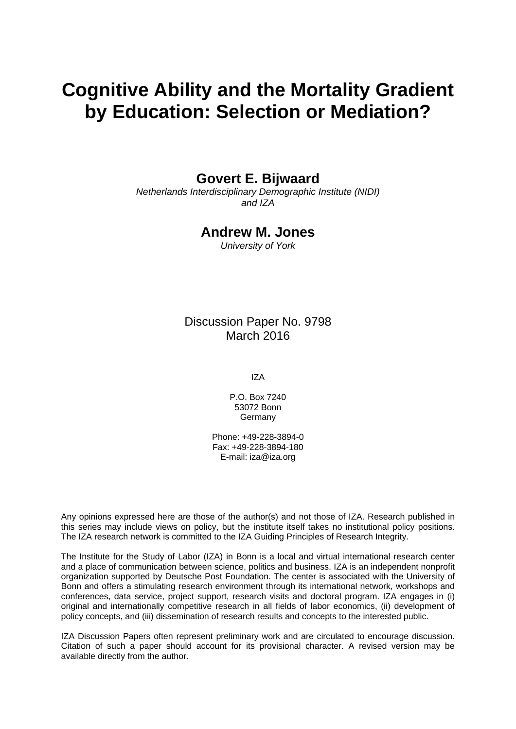# **Cognitive Ability and the Mortality Gradient by Education: Selection or Mediation?**

## **Govert E. Bijwaard**

*Netherlands Interdisciplinary Demographic Institute (NIDI) and IZA* 

## **Andrew M. Jones**

*University of York* 

Discussion Paper No. 9798 March 2016

IZA

P.O. Box 7240 53072 Bonn Germany

Phone: +49-228-3894-0 Fax: +49-228-3894-180 E-mail: iza@iza.org

Any opinions expressed here are those of the author(s) and not those of IZA. Research published in this series may include views on policy, but the institute itself takes no institutional policy positions. The IZA research network is committed to the IZA Guiding Principles of Research Integrity.

The Institute for the Study of Labor (IZA) in Bonn is a local and virtual international research center and a place of communication between science, politics and business. IZA is an independent nonprofit organization supported by Deutsche Post Foundation. The center is associated with the University of Bonn and offers a stimulating research environment through its international network, workshops and conferences, data service, project support, research visits and doctoral program. IZA engages in (i) original and internationally competitive research in all fields of labor economics, (ii) development of policy concepts, and (iii) dissemination of research results and concepts to the interested public.

IZA Discussion Papers often represent preliminary work and are circulated to encourage discussion. Citation of such a paper should account for its provisional character. A revised version may be available directly from the author.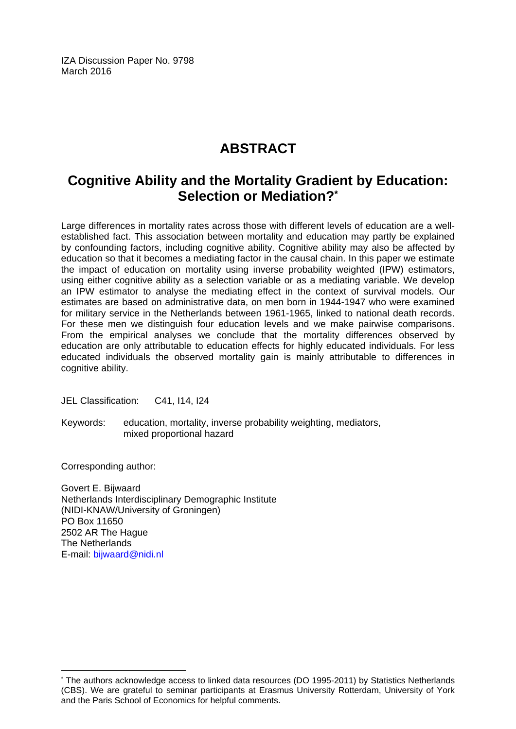IZA Discussion Paper No. 9798 March 2016

## **ABSTRACT**

## **Cognitive Ability and the Mortality Gradient by Education: Selection or Mediation?\***

Large differences in mortality rates across those with different levels of education are a wellestablished fact. This association between mortality and education may partly be explained by confounding factors, including cognitive ability. Cognitive ability may also be affected by education so that it becomes a mediating factor in the causal chain. In this paper we estimate the impact of education on mortality using inverse probability weighted (IPW) estimators, using either cognitive ability as a selection variable or as a mediating variable. We develop an IPW estimator to analyse the mediating effect in the context of survival models. Our estimates are based on administrative data, on men born in 1944-1947 who were examined for military service in the Netherlands between 1961-1965, linked to national death records. For these men we distinguish four education levels and we make pairwise comparisons. From the empirical analyses we conclude that the mortality differences observed by education are only attributable to education effects for highly educated individuals. For less educated individuals the observed mortality gain is mainly attributable to differences in cognitive ability.

JEL Classification: C41, I14, I24

Keywords: education, mortality, inverse probability weighting, mediators, mixed proportional hazard

Corresponding author:

 $\overline{a}$ 

Govert E. Bijwaard Netherlands Interdisciplinary Demographic Institute (NIDI-KNAW/University of Groningen) PO Box 11650 2502 AR The Hague The Netherlands E-mail: bijwaard@nidi.nl

<sup>\*</sup> The authors acknowledge access to linked data resources (DO 1995-2011) by Statistics Netherlands (CBS). We are grateful to seminar participants at Erasmus University Rotterdam, University of York and the Paris School of Economics for helpful comments.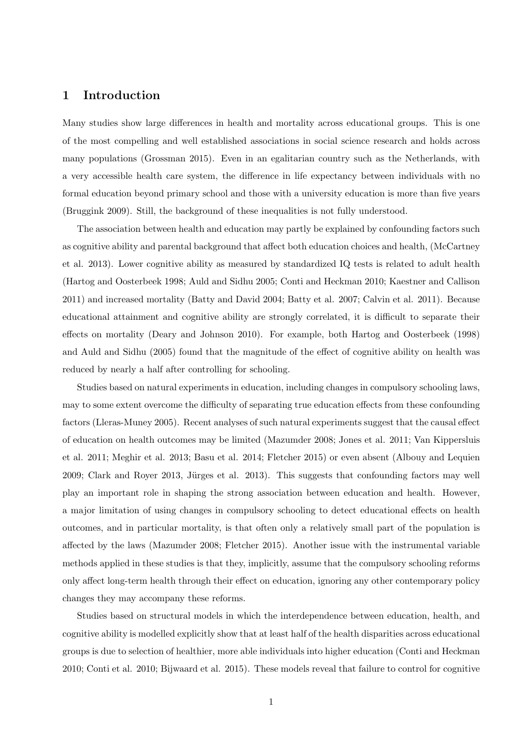## **1 Introduction**

Many studies show large differences in health and mortality across educational groups. This is one of the most compelling and well established associations in social science research and holds across many populations (Grossman 2015). Even in an egalitarian country such as the Netherlands, with a very accessible health care system, the difference in life expectancy between individuals with no formal education beyond primary school and those with a university education is more than five years (Bruggink 2009). Still, the background of these inequalities is not fully understood.

The association between health and education may partly be explained by confounding factors such as cognitive ability and parental background that affect both education choices and health, (McCartney et al. 2013). Lower cognitive ability as measured by standardized IQ tests is related to adult health (Hartog and Oosterbeek 1998; Auld and Sidhu 2005; Conti and Heckman 2010; Kaestner and Callison 2011) and increased mortality (Batty and David 2004; Batty et al. 2007; Calvin et al. 2011). Because educational attainment and cognitive ability are strongly correlated, it is difficult to separate their effects on mortality (Deary and Johnson 2010). For example, both Hartog and Oosterbeek (1998) and Auld and Sidhu (2005) found that the magnitude of the effect of cognitive ability on health was reduced by nearly a half after controlling for schooling.

Studies based on natural experiments in education, including changes in compulsory schooling laws, may to some extent overcome the difficulty of separating true education effects from these confounding factors (Lleras-Muney 2005). Recent analyses of such natural experiments suggest that the causal effect of education on health outcomes may be limited (Mazumder 2008; Jones et al. 2011; Van Kippersluis et al. 2011; Meghir et al. 2013; Basu et al. 2014; Fletcher 2015) or even absent (Albouy and Lequien 2009; Clark and Royer 2013, Jürges et al. 2013). This suggests that confounding factors may well play an important role in shaping the strong association between education and health. However, a major limitation of using changes in compulsory schooling to detect educational effects on health outcomes, and in particular mortality, is that often only a relatively small part of the population is affected by the laws (Mazumder 2008; Fletcher 2015). Another issue with the instrumental variable methods applied in these studies is that they, implicitly, assume that the compulsory schooling reforms only affect long-term health through their effect on education, ignoring any other contemporary policy changes they may accompany these reforms.

Studies based on structural models in which the interdependence between education, health, and cognitive ability is modelled explicitly show that at least half of the health disparities across educational groups is due to selection of healthier, more able individuals into higher education (Conti and Heckman 2010; Conti et al. 2010; Bijwaard et al. 2015). These models reveal that failure to control for cognitive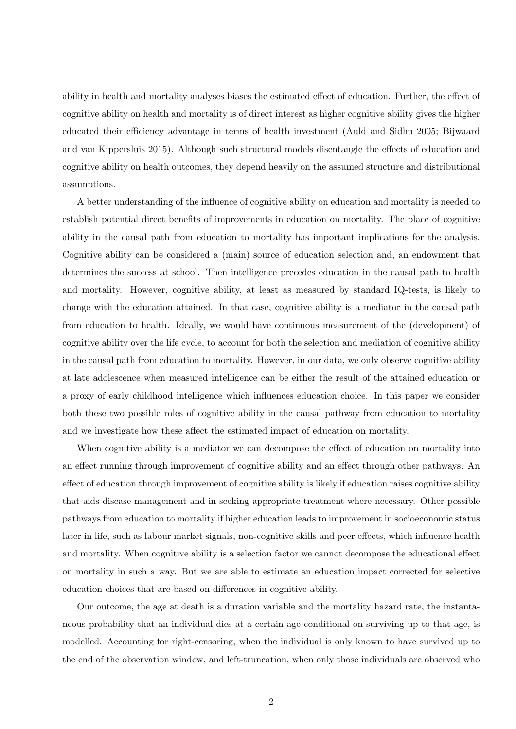ability in health and mortality analyses biases the estimated effect of education. Further, the effect of cognitive ability on health and mortality is of direct interest as higher cognitive ability gives the higher educated their efficiency advantage in terms of health investment (Auld and Sidhu 2005; Bijwaard and van Kippersluis 2015). Although such structural models disentangle the effects of education and cognitive ability on health outcomes, they depend heavily on the assumed structure and distributional assumptions.

A better understanding of the influence of cognitive ability on education and mortality is needed to establish potential direct benefits of improvements in education on mortality. The place of cognitive ability in the causal path from education to mortality has important implications for the analysis. Cognitive ability can be considered a (main) source of education selection and, an endowment that determines the success at school. Then intelligence precedes education in the causal path to health and mortality. However, cognitive ability, at least as measured by standard IQ-tests, is likely to change with the education attained. In that case, cognitive ability is a mediator in the causal path from education to health. Ideally, we would have continuous measurement of the (development) of cognitive ability over the life cycle, to account for both the selection and mediation of cognitive ability in the causal path from education to mortality. However, in our data, we only observe cognitive ability at late adolescence when measured intelligence can be either the result of the attained education or a proxy of early childhood intelligence which influences education choice. In this paper we consider both these two possible roles of cognitive ability in the causal pathway from education to mortality and we investigate how these affect the estimated impact of education on mortality.

When cognitive ability is a mediator we can decompose the effect of education on mortality into an effect running through improvement of cognitive ability and an effect through other pathways. An effect of education through improvement of cognitive ability is likely if education raises cognitive ability that aids disease management and in seeking appropriate treatment where necessary. Other possible pathways from education to mortality if higher education leads to improvement in socioeconomic status later in life, such as labour market signals, non-cognitive skills and peer effects, which influence health and mortality. When cognitive ability is a selection factor we cannot decompose the educational effect on mortality in such a way. But we are able to estimate an education impact corrected for selective education choices that are based on differences in cognitive ability.

Our outcome, the age at death is a duration variable and the mortality hazard rate, the instantaneous probability that an individual dies at a certain age conditional on surviving up to that age, is modelled. Accounting for right-censoring, when the individual is only known to have survived up to the end of the observation window, and left-truncation, when only those individuals are observed who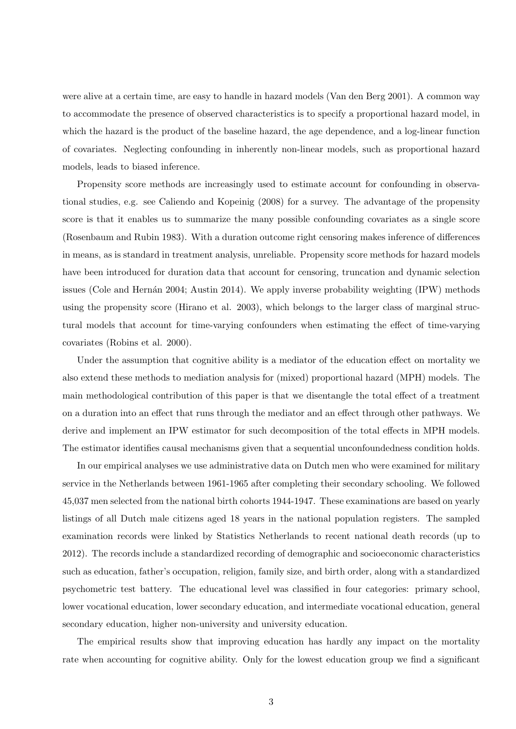were alive at a certain time, are easy to handle in hazard models (Van den Berg 2001). A common way to accommodate the presence of observed characteristics is to specify a proportional hazard model, in which the hazard is the product of the baseline hazard, the age dependence, and a log-linear function of covariates. Neglecting confounding in inherently non-linear models, such as proportional hazard models, leads to biased inference.

Propensity score methods are increasingly used to estimate account for confounding in observational studies, e.g. see Caliendo and Kopeinig (2008) for a survey. The advantage of the propensity score is that it enables us to summarize the many possible confounding covariates as a single score (Rosenbaum and Rubin 1983). With a duration outcome right censoring makes inference of differences in means, as is standard in treatment analysis, unreliable. Propensity score methods for hazard models have been introduced for duration data that account for censoring, truncation and dynamic selection issues (Cole and Hernán 2004; Austin 2014). We apply inverse probability weighting  $(IPW)$  methods using the propensity score (Hirano et al. 2003), which belongs to the larger class of marginal structural models that account for time-varying confounders when estimating the effect of time-varying covariates (Robins et al. 2000).

Under the assumption that cognitive ability is a mediator of the education effect on mortality we also extend these methods to mediation analysis for (mixed) proportional hazard (MPH) models. The main methodological contribution of this paper is that we disentangle the total effect of a treatment on a duration into an effect that runs through the mediator and an effect through other pathways. We derive and implement an IPW estimator for such decomposition of the total effects in MPH models. The estimator identifies causal mechanisms given that a sequential unconfoundedness condition holds.

In our empirical analyses we use administrative data on Dutch men who were examined for military service in the Netherlands between 1961-1965 after completing their secondary schooling. We followed 45,037 men selected from the national birth cohorts 1944-1947. These examinations are based on yearly listings of all Dutch male citizens aged 18 years in the national population registers. The sampled examination records were linked by Statistics Netherlands to recent national death records (up to 2012). The records include a standardized recording of demographic and socioeconomic characteristics such as education, father's occupation, religion, family size, and birth order, along with a standardized psychometric test battery. The educational level was classified in four categories: primary school, lower vocational education, lower secondary education, and intermediate vocational education, general secondary education, higher non-university and university education.

The empirical results show that improving education has hardly any impact on the mortality rate when accounting for cognitive ability. Only for the lowest education group we find a significant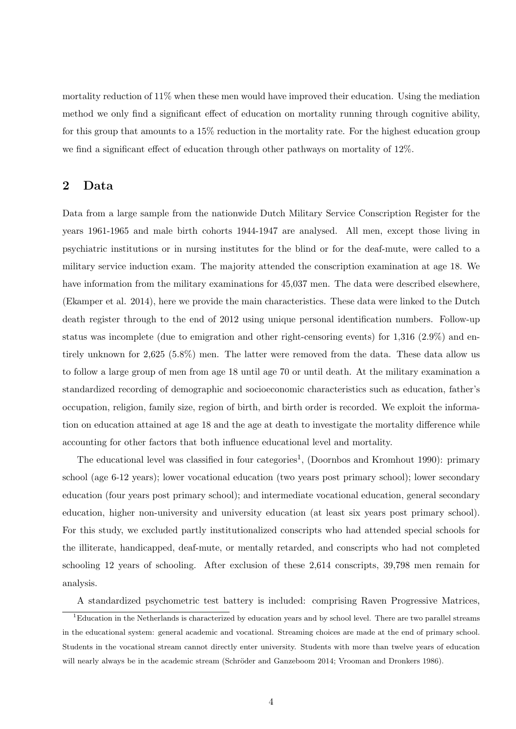mortality reduction of 11% when these men would have improved their education. Using the mediation method we only find a significant effect of education on mortality running through cognitive ability, for this group that amounts to a 15% reduction in the mortality rate. For the highest education group we find a significant effect of education through other pathways on mortality of 12%.

## **2 Data**

Data from a large sample from the nationwide Dutch Military Service Conscription Register for the years 1961-1965 and male birth cohorts 1944-1947 are analysed. All men, except those living in psychiatric institutions or in nursing institutes for the blind or for the deaf-mute, were called to a military service induction exam. The majority attended the conscription examination at age 18. We have information from the military examinations for 45,037 men. The data were described elsewhere, (Ekamper et al. 2014), here we provide the main characteristics. These data were linked to the Dutch death register through to the end of 2012 using unique personal identification numbers. Follow-up status was incomplete (due to emigration and other right-censoring events) for 1,316 (2.9%) and entirely unknown for 2,625 (5.8%) men. The latter were removed from the data. These data allow us to follow a large group of men from age 18 until age 70 or until death. At the military examination a standardized recording of demographic and socioeconomic characteristics such as education, father's occupation, religion, family size, region of birth, and birth order is recorded. We exploit the information on education attained at age 18 and the age at death to investigate the mortality difference while accounting for other factors that both influence educational level and mortality.

The educational level was classified in four categories<sup>1</sup>, (Doornbos and Kromhout 1990): primary school (age 6-12 years); lower vocational education (two years post primary school); lower secondary education (four years post primary school); and intermediate vocational education, general secondary education, higher non-university and university education (at least six years post primary school). For this study, we excluded partly institutionalized conscripts who had attended special schools for the illiterate, handicapped, deaf-mute, or mentally retarded, and conscripts who had not completed schooling 12 years of schooling. After exclusion of these 2,614 conscripts, 39,798 men remain for analysis.

A standardized psychometric test battery is included: comprising Raven Progressive Matrices,

<sup>1</sup>Education in the Netherlands is characterized by education years and by school level. There are two parallel streams in the educational system: general academic and vocational. Streaming choices are made at the end of primary school. Students in the vocational stream cannot directly enter university. Students with more than twelve years of education will nearly always be in the academic stream (Schröder and Ganzeboom 2014; Vrooman and Dronkers 1986).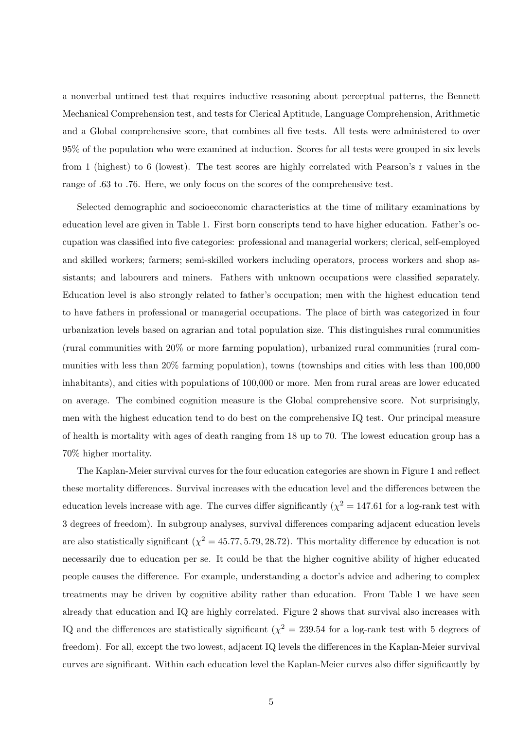a nonverbal untimed test that requires inductive reasoning about perceptual patterns, the Bennett Mechanical Comprehension test, and tests for Clerical Aptitude, Language Comprehension, Arithmetic and a Global comprehensive score, that combines all five tests. All tests were administered to over 95% of the population who were examined at induction. Scores for all tests were grouped in six levels from 1 (highest) to 6 (lowest). The test scores are highly correlated with Pearson's r values in the range of .63 to .76. Here, we only focus on the scores of the comprehensive test.

Selected demographic and socioeconomic characteristics at the time of military examinations by education level are given in Table 1. First born conscripts tend to have higher education. Father's occupation was classified into five categories: professional and managerial workers; clerical, self-employed and skilled workers; farmers; semi-skilled workers including operators, process workers and shop assistants; and labourers and miners. Fathers with unknown occupations were classified separately. Education level is also strongly related to father's occupation; men with the highest education tend to have fathers in professional or managerial occupations. The place of birth was categorized in four urbanization levels based on agrarian and total population size. This distinguishes rural communities (rural communities with 20% or more farming population), urbanized rural communities (rural communities with less than 20% farming population), towns (townships and cities with less than 100,000 inhabitants), and cities with populations of 100,000 or more. Men from rural areas are lower educated on average. The combined cognition measure is the Global comprehensive score. Not surprisingly, men with the highest education tend to do best on the comprehensive IQ test. Our principal measure of health is mortality with ages of death ranging from 18 up to 70. The lowest education group has a 70% higher mortality.

The Kaplan-Meier survival curves for the four education categories are shown in Figure 1 and reflect these mortality differences. Survival increases with the education level and the differences between the education levels increase with age. The curves differ significantly  $(\chi^2 = 147.61$  for a log-rank test with 3 degrees of freedom). In subgroup analyses, survival differences comparing adjacent education levels are also statistically significant  $(\chi^2 = 45.77, 5.79, 28.72)$ . This mortality difference by education is not necessarily due to education per se. It could be that the higher cognitive ability of higher educated people causes the difference. For example, understanding a doctor's advice and adhering to complex treatments may be driven by cognitive ability rather than education. From Table 1 we have seen already that education and IQ are highly correlated. Figure 2 shows that survival also increases with IQ and the differences are statistically significant ( $\chi^2 = 239.54$  for a log-rank test with 5 degrees of freedom). For all, except the two lowest, adjacent IQ levels the differences in the Kaplan-Meier survival curves are significant. Within each education level the Kaplan-Meier curves also differ significantly by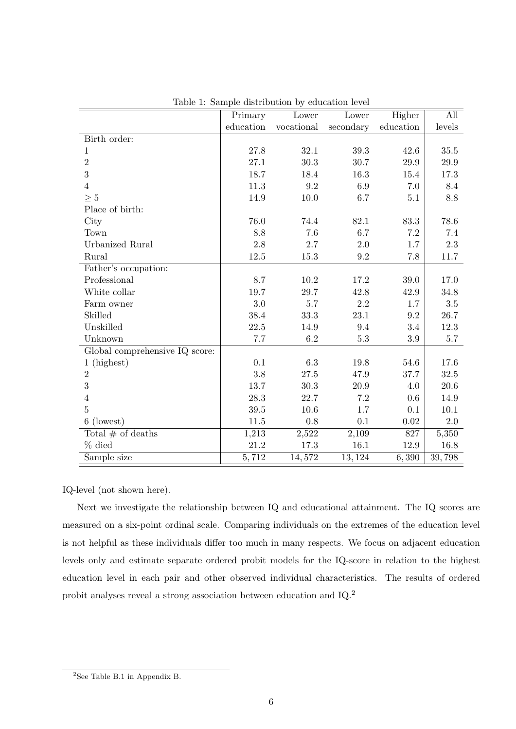|                                | Primary   | Lower      | Lower     | Higher    | All      |
|--------------------------------|-----------|------------|-----------|-----------|----------|
|                                | education | vocational | secondary | education | levels   |
| Birth order:                   |           |            |           |           |          |
| 1                              | 27.8      | 32.1       | 39.3      | 42.6      | 35.5     |
| $\overline{2}$                 | 27.1      | $30.3\,$   | 30.7      | $29.9\,$  | $29.9\,$ |
| 3                              | 18.7      | 18.4       | 16.3      | 15.4      | 17.3     |
| $\overline{4}$                 | 11.3      | 9.2        | 6.9       | 7.0       | 8.4      |
| $\geq 5$                       | 14.9      | 10.0       | 6.7       | 5.1       | 8.8      |
| Place of birth:                |           |            |           |           |          |
| City                           | 76.0      | 74.4       | 82.1      | 83.3      | 78.6     |
| Town                           | 8.8       | 7.6        | 6.7       | 7.2       | 7.4      |
| Urbanized Rural                | $2.8\,$   | 2.7        | $2.0\,$   | 1.7       | $2.3\,$  |
| Rural                          | 12.5      | 15.3       | 9.2       | 7.8       | 11.7     |
| Father's occupation:           |           |            |           |           |          |
| Professional                   | 8.7       | 10.2       | 17.2      | 39.0      | 17.0     |
| White collar                   | 19.7      | 29.7       | 42.8      | 42.9      | 34.8     |
| Farm owner                     | 3.0       | 5.7        | 2.2       | 1.7       | 3.5      |
| Skilled                        | 38.4      | 33.3       | 23.1      | 9.2       | 26.7     |
| Unskilled                      | 22.5      | 14.9       | 9.4       | 3.4       | 12.3     |
| Unknown                        | 7.7       | 6.2        | 5.3       | 3.9       | $5.7\,$  |
| Global comprehensive IQ score: |           |            |           |           |          |
| $1$ (highest)                  | 0.1       | 6.3        | 19.8      | 54.6      | 17.6     |
| $\overline{2}$                 | 3.8       | 27.5       | 47.9      | 37.7      | $32.5\,$ |
| 3                              | 13.7      | $30.3\,$   | 20.9      | 4.0       | 20.6     |
| $\overline{4}$                 | 28.3      | 22.7       | 7.2       | 0.6       | 14.9     |
| $\overline{5}$                 | 39.5      | 10.6       | 1.7       | 0.1       | 10.1     |
| (lowest)<br>6                  | 11.5      | 0.8        | 0.1       | $0.02\,$  | $2.0\,$  |
| Total $#$ of deaths            | 1,213     | 2,522      | 2,109     | 827       | 5,350    |
| $%$ died                       | $21.2\,$  | 17.3       | 16.1      | 12.9      | 16.8     |
| Sample size                    | 5,712     | 14,572     | 13, 124   | 6,390     | 39,798   |

Table 1: Sample distribution by education level

IQ-level (not shown here).

Next we investigate the relationship between IQ and educational attainment. The IQ scores are measured on a six-point ordinal scale. Comparing individuals on the extremes of the education level is not helpful as these individuals differ too much in many respects. We focus on adjacent education levels only and estimate separate ordered probit models for the IQ-score in relation to the highest education level in each pair and other observed individual characteristics. The results of ordered probit analyses reveal a strong association between education and IQ.<sup>2</sup>

<sup>&</sup>lt;sup>2</sup>See Table B.1 in Appendix B.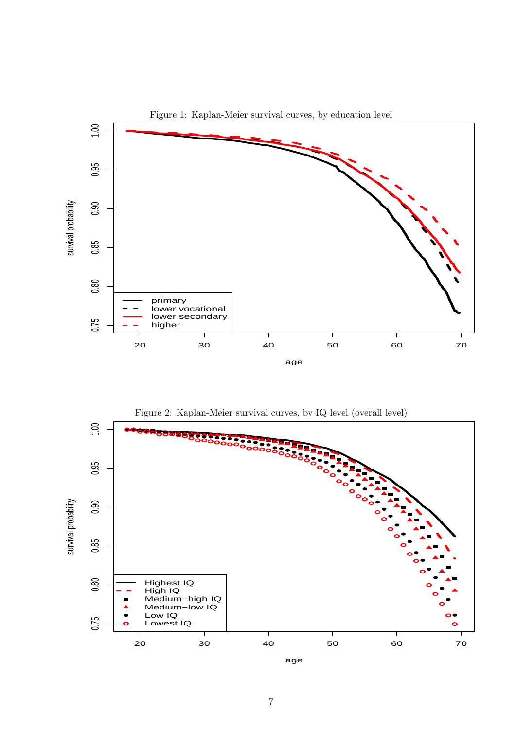

Figure 2: Kaplan-Meier survival curves, by IQ level (overall level)

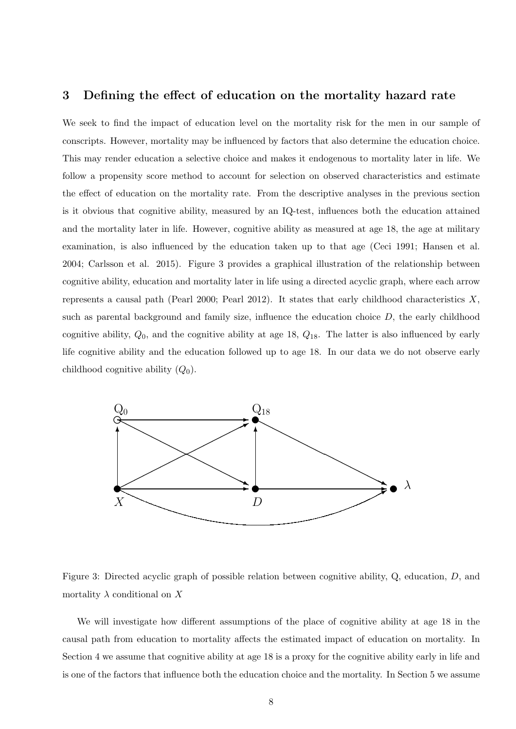#### **3 Defining the effect of education on the mortality hazard rate**

We seek to find the impact of education level on the mortality risk for the men in our sample of conscripts. However, mortality may be influenced by factors that also determine the education choice. This may render education a selective choice and makes it endogenous to mortality later in life. We follow a propensity score method to account for selection on observed characteristics and estimate the effect of education on the mortality rate. From the descriptive analyses in the previous section is it obvious that cognitive ability, measured by an IQ-test, influences both the education attained and the mortality later in life. However, cognitive ability as measured at age 18, the age at military examination, is also influenced by the education taken up to that age (Ceci 1991; Hansen et al. 2004; Carlsson et al. 2015). Figure 3 provides a graphical illustration of the relationship between cognitive ability, education and mortality later in life using a directed acyclic graph, where each arrow represents a causal path (Pearl 2000; Pearl 2012). It states that early childhood characteristics *X*, such as parental background and family size, influence the education choice *D*, the early childhood cognitive ability, *Q*0, and the cognitive ability at age 18, *Q*18. The latter is also influenced by early life cognitive ability and the education followed up to age 18. In our data we do not observe early childhood cognitive ability (*Q*0).



Figure 3: Directed acyclic graph of possible relation between cognitive ability, Q, education, *D*, and mortality  $\lambda$  conditional on  $X$ 

We will investigate how different assumptions of the place of cognitive ability at age 18 in the causal path from education to mortality affects the estimated impact of education on mortality. In Section 4 we assume that cognitive ability at age 18 is a proxy for the cognitive ability early in life and is one of the factors that influence both the education choice and the mortality. In Section 5 we assume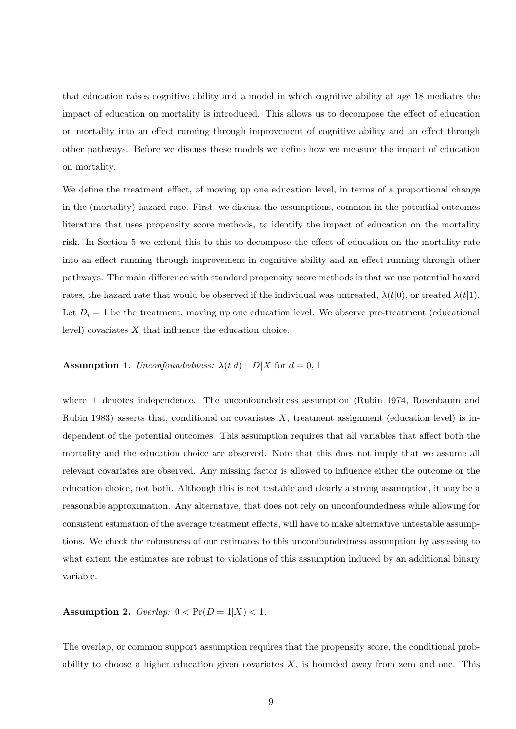that education raises cognitive ability and a model in which cognitive ability at age 18 mediates the impact of education on mortality is introduced. This allows us to decompose the effect of education on mortality into an effect running through improvement of cognitive ability and an effect through other pathways. Before we discuss these models we define how we measure the impact of education on mortality.

We define the treatment effect, of moving up one education level, in terms of a proportional change in the (mortality) hazard rate. First, we discuss the assumptions, common in the potential outcomes literature that uses propensity score methods, to identify the impact of education on the mortality risk. In Section 5 we extend this to this to decompose the effect of education on the mortality rate into an effect running through improvement in cognitive ability and an effect running through other pathways. The main difference with standard propensity score methods is that we use potential hazard rates, the hazard rate that would be observed if the individual was untreated,  $\lambda(t|0)$ , or treated  $\lambda(t|1)$ . Let  $D_i = 1$  be the treatment, moving up one education level. We observe pre-treatment (educational level) covariates *X* that influence the education choice.

#### **Assumption 1.** *Unconfoundedness:*  $\lambda(t|d)$   $\bot$   $D|X$  for  $d = 0, 1$

where *⊥* denotes independence. The unconfoundedness assumption (Rubin 1974, Rosenbaum and Rubin 1983) asserts that, conditional on covariates *X*, treatment assignment (education level) is independent of the potential outcomes. This assumption requires that all variables that affect both the mortality and the education choice are observed. Note that this does not imply that we assume all relevant covariates are observed. Any missing factor is allowed to influence either the outcome or the education choice, not both. Although this is not testable and clearly a strong assumption, it may be a reasonable approximation. Any alternative, that does not rely on unconfoundedness while allowing for consistent estimation of the average treatment effects, will have to make alternative untestable assumptions. We check the robustness of our estimates to this unconfoundedness assumption by assessing to what extent the estimates are robust to violations of this assumption induced by an additional binary variable.

#### **Assumption 2.** *Overlap:*  $0 < \Pr(D = 1 | X) < 1$ .

The overlap, or common support assumption requires that the propensity score, the conditional probability to choose a higher education given covariates *X*, is bounded away from zero and one. This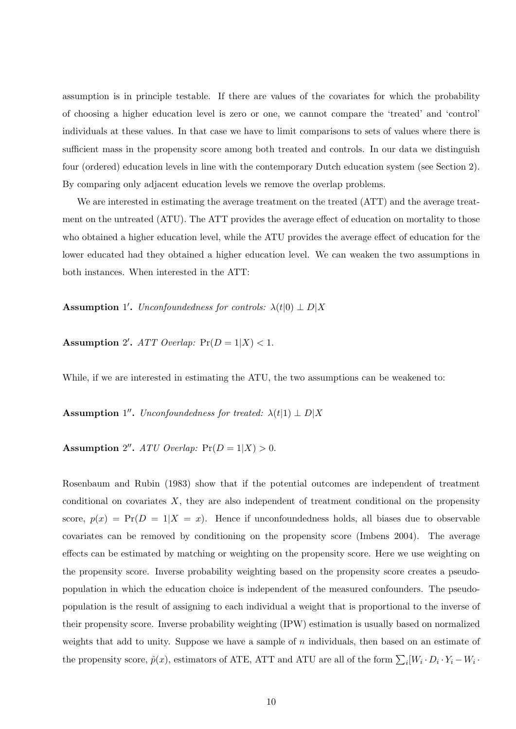assumption is in principle testable. If there are values of the covariates for which the probability of choosing a higher education level is zero or one, we cannot compare the 'treated' and 'control' individuals at these values. In that case we have to limit comparisons to sets of values where there is sufficient mass in the propensity score among both treated and controls. In our data we distinguish four (ordered) education levels in line with the contemporary Dutch education system (see Section 2). By comparing only adjacent education levels we remove the overlap problems.

We are interested in estimating the average treatment on the treated  $(ATT)$  and the average treatment on the untreated (ATU). The ATT provides the average effect of education on mortality to those who obtained a higher education level, while the ATU provides the average effect of education for the lower educated had they obtained a higher education level. We can weaken the two assumptions in both instances. When interested in the ATT:

**Assumption** 1'. *Unconfoundedness for controls:*  $\lambda(t|0) \perp D|X$ 

**Assumption** 2'.  $ATT$  Overlap:  $Pr(D = 1 | X) < 1$ .

While, if we are interested in estimating the ATU, the two assumptions can be weakened to:

**Assumption** 1''. *Unconfoundedness for treated:*  $\lambda(t|1) \perp D|X$ 

**Assumption** 2''. ATU Overlap:  $Pr(D = 1 | X) > 0$ .

Rosenbaum and Rubin (1983) show that if the potential outcomes are independent of treatment conditional on covariates *X*, they are also independent of treatment conditional on the propensity score,  $p(x) = Pr(D = 1|X = x)$ . Hence if unconfoundedness holds, all biases due to observable covariates can be removed by conditioning on the propensity score (Imbens 2004). The average effects can be estimated by matching or weighting on the propensity score. Here we use weighting on the propensity score. Inverse probability weighting based on the propensity score creates a pseudopopulation in which the education choice is independent of the measured confounders. The pseudopopulation is the result of assigning to each individual a weight that is proportional to the inverse of their propensity score. Inverse probability weighting (IPW) estimation is usually based on normalized weights that add to unity. Suppose we have a sample of *n* individuals, then based on an estimate of the propensity score,  $\hat{p}(x)$ , estimators of ATE, ATT and ATU are all of the form  $\sum_i [W_i \cdot D_i \cdot Y_i - W_i \cdot$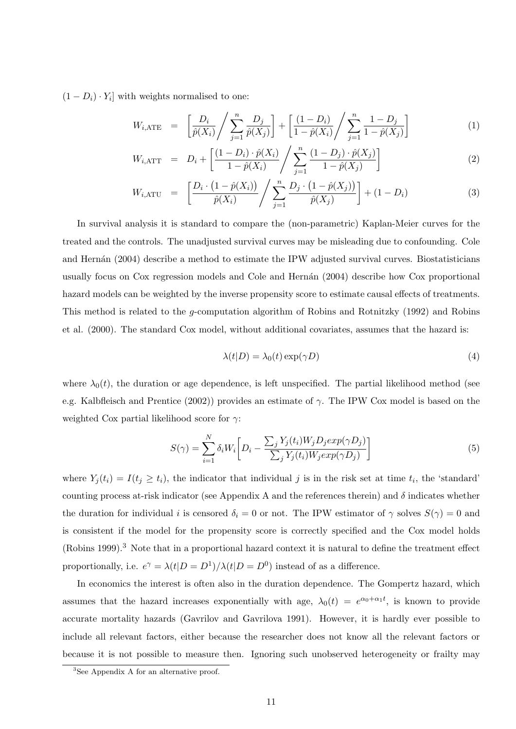$(1 - D_i) \cdot Y_i$  with weights normalised to one:

$$
W_{i, \text{ATE}} = \left[ \frac{D_i}{\hat{p}(X_i)} / \sum_{j=1}^n \frac{D_j}{\hat{p}(X_j)} \right] + \left[ \frac{(1 - D_i)}{1 - \hat{p}(X_i)} / \sum_{j=1}^n \frac{1 - D_j}{1 - \hat{p}(X_j)} \right]
$$
(1)

$$
W_{i, \text{ATT}} = D_i + \left[ \frac{(1 - D_i) \cdot \hat{p}(X_i)}{1 - \hat{p}(X_i)} / \sum_{j=1}^n \frac{(1 - D_j) \cdot \hat{p}(X_j)}{1 - \hat{p}(X_j)} \right]
$$
(2)

$$
W_{i, \text{ATU}} = \left[ \frac{D_i \cdot (1 - \hat{p}(X_i))}{\hat{p}(X_i)} / \sum_{j=1}^n \frac{D_j \cdot (1 - \hat{p}(X_j))}{\hat{p}(X_j)} \right] + (1 - D_i)
$$
(3)

In survival analysis it is standard to compare the (non-parametric) Kaplan-Meier curves for the treated and the controls. The unadjusted survival curves may be misleading due to confounding. Cole and Hernán (2004) describe a method to estimate the IPW adjusted survival curves. Biostatisticians usually focus on Cox regression models and Cole and Hernán (2004) describe how Cox proportional hazard models can be weighted by the inverse propensity score to estimate causal effects of treatments. This method is related to the *g*-computation algorithm of Robins and Rotnitzky (1992) and Robins et al. (2000). The standard Cox model, without additional covariates, assumes that the hazard is:

$$
\lambda(t|D) = \lambda_0(t) \exp(\gamma D) \tag{4}
$$

where  $\lambda_0(t)$ , the duration or age dependence, is left unspecified. The partial likelihood method (see e.g. Kalbfleisch and Prentice (2002)) provides an estimate of *γ*. The IPW Cox model is based on the weighted Cox partial likelihood score for *γ*:

$$
S(\gamma) = \sum_{i=1}^{N} \delta_i W_i \bigg[ D_i - \frac{\sum_j Y_j(t_i) W_j D_j exp(\gamma D_j)}{\sum_j Y_j(t_i) W_j exp(\gamma D_j)} \bigg] \tag{5}
$$

where  $Y_j(t_i) = I(t_j \geq t_i)$ , the indicator that individual *j* is in the risk set at time  $t_i$ , the 'standard' counting process at-risk indicator (see Appendix A and the references therein) and  $\delta$  indicates whether the duration for individual *i* is censored  $\delta_i = 0$  or not. The IPW estimator of  $\gamma$  solves  $S(\gamma) = 0$  and is consistent if the model for the propensity score is correctly specified and the Cox model holds (Robins 1999).<sup>3</sup> Note that in a proportional hazard context it is natural to define the treatment effect proportionally, i.e.  $e^{\gamma} = \lambda(t|D = D^1)/\lambda(t|D = D^0)$  instead of as a difference.

In economics the interest is often also in the duration dependence. The Gompertz hazard, which assumes that the hazard increases exponentially with age,  $\lambda_0(t) = e^{\alpha_0 + \alpha_1 t}$ , is known to provide accurate mortality hazards (Gavrilov and Gavrilova 1991). However, it is hardly ever possible to include all relevant factors, either because the researcher does not know all the relevant factors or because it is not possible to measure then. Ignoring such unobserved heterogeneity or frailty may

<sup>3</sup>See Appendix A for an alternative proof.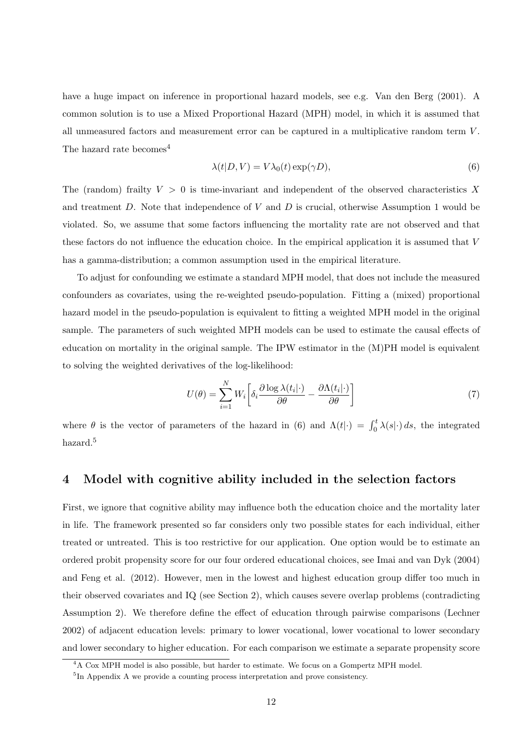have a huge impact on inference in proportional hazard models, see e.g. Van den Berg (2001). A common solution is to use a Mixed Proportional Hazard (MPH) model, in which it is assumed that all unmeasured factors and measurement error can be captured in a multiplicative random term *V* . The hazard rate becomes<sup>4</sup>

$$
\lambda(t|D, V) = V\lambda_0(t) \exp(\gamma D),\tag{6}
$$

The (random) frailty *V >* 0 is time-invariant and independent of the observed characteristics *X* and treatment *D*. Note that independence of *V* and *D* is crucial, otherwise Assumption 1 would be violated. So, we assume that some factors influencing the mortality rate are not observed and that these factors do not influence the education choice. In the empirical application it is assumed that *V* has a gamma-distribution; a common assumption used in the empirical literature.

To adjust for confounding we estimate a standard MPH model, that does not include the measured confounders as covariates, using the re-weighted pseudo-population. Fitting a (mixed) proportional hazard model in the pseudo-population is equivalent to fitting a weighted MPH model in the original sample. The parameters of such weighted MPH models can be used to estimate the causal effects of education on mortality in the original sample. The IPW estimator in the (M)PH model is equivalent to solving the weighted derivatives of the log-likelihood:

$$
U(\theta) = \sum_{i=1}^{N} W_i \left[ \delta_i \frac{\partial \log \lambda(t_i | \cdot)}{\partial \theta} - \frac{\partial \Lambda(t_i | \cdot)}{\partial \theta} \right]
$$
(7)

where  $\theta$  is the vector of parameters of the hazard in (6) and  $\Lambda(t|\cdot) = \int_0^t \lambda(s|\cdot) ds$ , the integrated hazard.<sup>5</sup>

#### **4 Model with cognitive ability included in the selection factors**

First, we ignore that cognitive ability may influence both the education choice and the mortality later in life. The framework presented so far considers only two possible states for each individual, either treated or untreated. This is too restrictive for our application. One option would be to estimate an ordered probit propensity score for our four ordered educational choices, see Imai and van Dyk (2004) and Feng et al. (2012). However, men in the lowest and highest education group differ too much in their observed covariates and IQ (see Section 2), which causes severe overlap problems (contradicting Assumption 2). We therefore define the effect of education through pairwise comparisons (Lechner 2002) of adjacent education levels: primary to lower vocational, lower vocational to lower secondary and lower secondary to higher education. For each comparison we estimate a separate propensity score

<sup>&</sup>lt;sup>4</sup>A Cox MPH model is also possible, but harder to estimate. We focus on a Gompertz MPH model.

<sup>5</sup> In Appendix A we provide a counting process interpretation and prove consistency.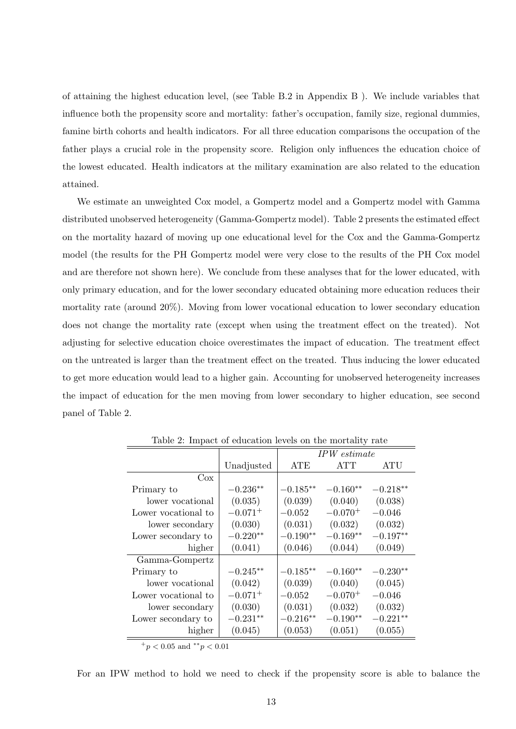of attaining the highest education level, (see Table B.2 in Appendix B ). We include variables that influence both the propensity score and mortality: father's occupation, family size, regional dummies, famine birth cohorts and health indicators. For all three education comparisons the occupation of the father plays a crucial role in the propensity score. Religion only influences the education choice of the lowest educated. Health indicators at the military examination are also related to the education attained.

We estimate an unweighted Cox model, a Gompertz model and a Gompertz model with Gamma distributed unobserved heterogeneity (Gamma-Gompertz model). Table 2 presents the estimated effect on the mortality hazard of moving up one educational level for the Cox and the Gamma-Gompertz model (the results for the PH Gompertz model were very close to the results of the PH Cox model and are therefore not shown here). We conclude from these analyses that for the lower educated, with only primary education, and for the lower secondary educated obtaining more education reduces their mortality rate (around 20%). Moving from lower vocational education to lower secondary education does not change the mortality rate (except when using the treatment effect on the treated). Not adjusting for selective education choice overestimates the impact of education. The treatment effect on the untreated is larger than the treatment effect on the treated. Thus inducing the lower educated to get more education would lead to a higher gain. Accounting for unobserved heterogeneity increases the impact of education for the men moving from lower secondary to higher education, see second panel of Table 2.

| raphy 2. Impact of equeation levels on the mortality rate |              |              |              |            |  |  |
|-----------------------------------------------------------|--------------|--------------|--------------|------------|--|--|
|                                                           |              | IPW estimate |              |            |  |  |
|                                                           | Unadjusted   | <b>ATE</b>   | <b>ATT</b>   | ATU        |  |  |
| $\cos$                                                    |              |              |              |            |  |  |
| Primary to                                                | $-0.236**$   | $-0.185**$   | $-0.160**$   | $-0.218**$ |  |  |
| lower vocational                                          | (0.035)      | (0.039)      | (0.040)      | (0.038)    |  |  |
| Lower vocational to                                       | $-0.071^{+}$ | $-0.052$     | $-0.070^{+}$ | $-0.046$   |  |  |
| lower secondary                                           | (0.030)      | (0.031)      | (0.032)      | (0.032)    |  |  |
| Lower secondary to                                        | $-0.220**$   | $-0.190**$   | $-0.169**$   | $-0.197**$ |  |  |
| higher                                                    | (0.041)      | (0.046)      | (0.044)      | (0.049)    |  |  |
| Gamma-Gompertz                                            |              |              |              |            |  |  |
| Primary to                                                | $-0.245**$   | $-0.185**$   | $-0.160**$   | $-0.230**$ |  |  |
| lower vocational                                          | (0.042)      | (0.039)      | (0.040)      | (0.045)    |  |  |
| Lower vocational to                                       | $-0.071^{+}$ | $-0.052$     | $-0.070^{+}$ | $-0.046$   |  |  |
| lower secondary                                           | (0.030)      | (0.031)      | (0.032)      | (0.032)    |  |  |
| Lower secondary to                                        | $-0.231**$   | $-0.216**$   | $-0.190**$   | $-0.221**$ |  |  |
| higher                                                    | (0.045)      | (0.053)      | (0.051)      | (0.055)    |  |  |
|                                                           |              |              |              |            |  |  |

Table 2: Impact of education levels on the mortality rate

<sup>+</sup>*p <* 0*.*05 and *∗∗p <* 0*.*01

For an IPW method to hold we need to check if the propensity score is able to balance the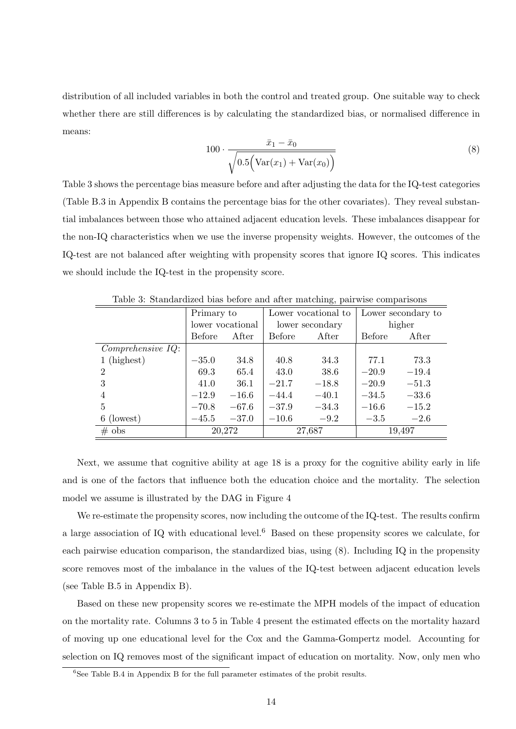distribution of all included variables in both the control and treated group. One suitable way to check whether there are still differences is by calculating the standardized bias, or normalised difference in means:

$$
100 \cdot \frac{\bar{x}_1 - \bar{x}_0}{\sqrt{0.5(\text{Var}(x_1) + \text{Var}(x_0))}}
$$
(8)

Table 3 shows the percentage bias measure before and after adjusting the data for the IQ-test categories (Table B.3 in Appendix B contains the percentage bias for the other covariates). They reveal substantial imbalances between those who attained adjacent education levels. These imbalances disappear for the non-IQ characteristics when we use the inverse propensity weights. However, the outcomes of the IQ-test are not balanced after weighting with propensity scores that ignore IQ scores. This indicates we should include the IQ-test in the propensity score.

|                   | Primary to    |                  |         | ີບ ⊥<br>Lower vocational to | Lower secondary to |         |
|-------------------|---------------|------------------|---------|-----------------------------|--------------------|---------|
|                   |               |                  |         |                             |                    |         |
|                   |               | lower vocational |         | lower secondary             |                    | higher  |
|                   | <b>Before</b> | After            | Before  | After                       | <b>Before</b>      | After   |
| Comprehensive~IQ: |               |                  |         |                             |                    |         |
| $1$ (highest)     | $-35.0$       | 34.8             | 40.8    | 34.3                        | 77.1               | 73.3    |
| $\overline{2}$    | 69.3          | 65.4             | 43.0    | 38.6                        | $-20.9$            | $-19.4$ |
| 3                 | 41.0          | 36.1             | $-21.7$ | $-18.8$                     | $-20.9$            | $-51.3$ |
| 4                 | $-12.9$       | $-16.6$          | $-44.4$ | $-40.1$                     | $-34.5$            | $-33.6$ |
| 5                 | $-70.8$       | $-67.6$          | $-37.9$ | $-34.3$                     | $-16.6$            | $-15.2$ |
| 6 (lowest)        | $-45.5$       | $-37.0$          | $-10.6$ | $-9.2$                      | $-3.5$             | $-2.6$  |
| $\#$ obs          |               | 20,272           |         | 27,687                      |                    | 19,497  |

Table 3: Standardized bias before and after matching, pairwise comparisons

Next, we assume that cognitive ability at age 18 is a proxy for the cognitive ability early in life and is one of the factors that influence both the education choice and the mortality. The selection model we assume is illustrated by the DAG in Figure 4

We re-estimate the propensity scores, now including the outcome of the IQ-test. The results confirm a large association of IQ with educational level.<sup>6</sup> Based on these propensity scores we calculate, for each pairwise education comparison, the standardized bias, using (8). Including IQ in the propensity score removes most of the imbalance in the values of the IQ-test between adjacent education levels (see Table B.5 in Appendix B).

Based on these new propensity scores we re-estimate the MPH models of the impact of education on the mortality rate. Columns 3 to 5 in Table 4 present the estimated effects on the mortality hazard of moving up one educational level for the Cox and the Gamma-Gompertz model. Accounting for selection on IQ removes most of the significant impact of education on mortality. Now, only men who

 ${}^{6}$ See Table B.4 in Appendix B for the full parameter estimates of the probit results.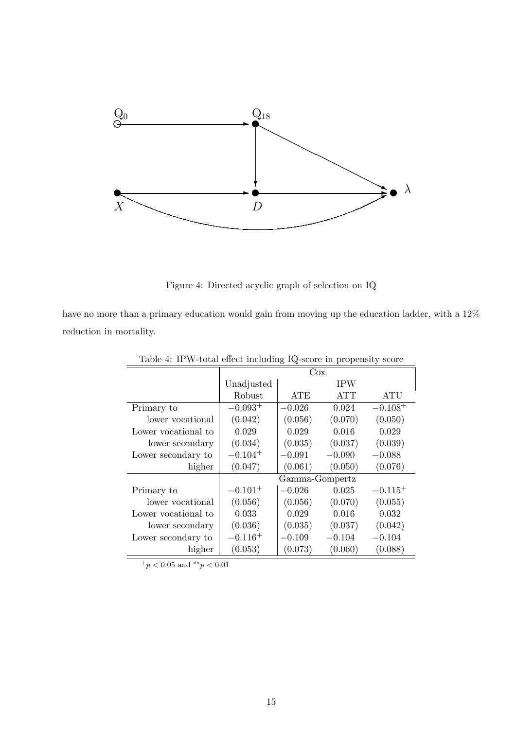

Figure 4: Directed acyclic graph of selection on IQ

have no more than a primary education would gain from moving up the education ladder, with a 12% reduction in mortality.

|                     |              | Cox            |            |              |
|---------------------|--------------|----------------|------------|--------------|
|                     | Unadjusted   |                | <b>IPW</b> |              |
|                     | Robust       | <b>ATE</b>     | <b>ATT</b> | ATU          |
| Primary to          | $-0.093^{+}$ | $-0.026$       | 0.024      | $-0.108^{+}$ |
| lower vocational    | (0.042)      | (0.056)        | (0.070)    | (0.050)      |
| Lower vocational to | 0.029        | 0.029          | 0.016      | 0.029        |
| lower secondary     | (0.034)      | (0.035)        | (0.037)    | (0.039)      |
| Lower secondary to  | $-0.104^{+}$ | $-0.091$       | $-0.090$   | $-0.088$     |
| higher              | (0.047)      | (0.061)        | (0.050)    | (0.076)      |
|                     |              | Gamma-Gompertz |            |              |
| Primary to          | $-0.101^{+}$ | $-0.026$       | 0.025      | $-0.115^{+}$ |
| lower vocational    | (0.056)      | (0.056)        | (0.070)    | (0.055)      |
| Lower vocational to | 0.033        | 0.029          | 0.016      | 0.032        |
| lower secondary     | (0.036)      | (0.035)        | (0.037)    | (0.042)      |
| Lower secondary to  | $-0.116+$    | $-0.109$       | $-0.104$   | $-0.104$     |
| higher              | (0.053)      | (0.073)        | (0.060)    | (0.088)      |

Table 4: IPW-total effect including IQ-score in propensity score

<sup>+</sup>*p <* 0*.*05 and *∗∗p <* 0*.*01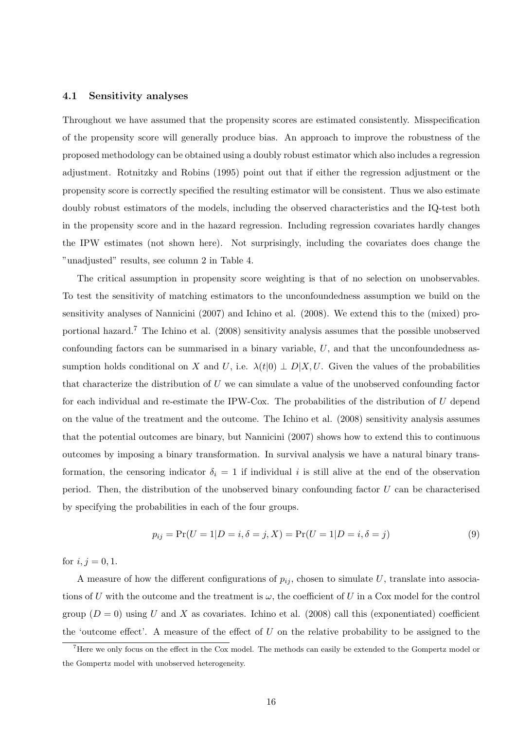#### **4.1 Sensitivity analyses**

Throughout we have assumed that the propensity scores are estimated consistently. Misspecification of the propensity score will generally produce bias. An approach to improve the robustness of the proposed methodology can be obtained using a doubly robust estimator which also includes a regression adjustment. Rotnitzky and Robins (1995) point out that if either the regression adjustment or the propensity score is correctly specified the resulting estimator will be consistent. Thus we also estimate doubly robust estimators of the models, including the observed characteristics and the IQ-test both in the propensity score and in the hazard regression. Including regression covariates hardly changes the IPW estimates (not shown here). Not surprisingly, including the covariates does change the "unadjusted" results, see column 2 in Table 4.

The critical assumption in propensity score weighting is that of no selection on unobservables. To test the sensitivity of matching estimators to the unconfoundedness assumption we build on the sensitivity analyses of Nannicini (2007) and Ichino et al. (2008). We extend this to the (mixed) proportional hazard.<sup>7</sup> The Ichino et al. (2008) sensitivity analysis assumes that the possible unobserved confounding factors can be summarised in a binary variable, *U*, and that the unconfoundedness assumption holds conditional on *X* and *U*, i.e.  $\lambda(t|0) \perp D|X, U$ . Given the values of the probabilities that characterize the distribution of *U* we can simulate a value of the unobserved confounding factor for each individual and re-estimate the IPW-Cox. The probabilities of the distribution of *U* depend on the value of the treatment and the outcome. The Ichino et al. (2008) sensitivity analysis assumes that the potential outcomes are binary, but Nannicini (2007) shows how to extend this to continuous outcomes by imposing a binary transformation. In survival analysis we have a natural binary transformation, the censoring indicator  $\delta_i = 1$  if individual *i* is still alive at the end of the observation period. Then, the distribution of the unobserved binary confounding factor *U* can be characterised by specifying the probabilities in each of the four groups.

$$
p_{ij} = \Pr(U = 1|D = i, \delta = j, X) = \Pr(U = 1|D = i, \delta = j)
$$
\n(9)

for  $i, j = 0, 1$ .

A measure of how the different configurations of  $p_{ij}$ , chosen to simulate  $U$ , translate into associations of *U* with the outcome and the treatment is  $\omega$ , the coefficient of *U* in a Cox model for the control group  $(D = 0)$  using *U* and *X* as covariates. Ichino et al. (2008) call this (exponentiated) coefficient the 'outcome effect'. A measure of the effect of *U* on the relative probability to be assigned to the

<sup>&</sup>lt;sup>7</sup>Here we only focus on the effect in the Cox model. The methods can easily be extended to the Gompertz model or the Gompertz model with unobserved heterogeneity.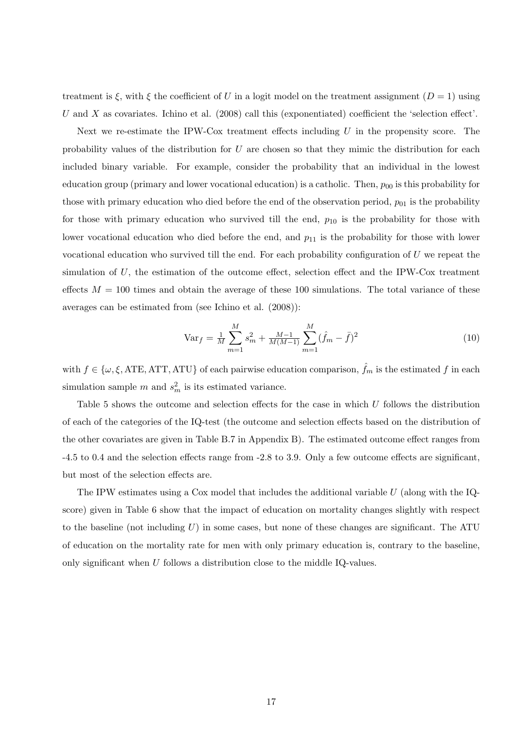treatment is  $\xi$ , with  $\xi$  the coefficient of *U* in a logit model on the treatment assignment  $(D = 1)$  using *U* and *X* as covariates. Ichino et al. (2008) call this (exponentiated) coefficient the 'selection effect'.

Next we re-estimate the IPW-Cox treatment effects including *U* in the propensity score. The probability values of the distribution for *U* are chosen so that they mimic the distribution for each included binary variable. For example, consider the probability that an individual in the lowest education group (primary and lower vocational education) is a catholic. Then,  $p_{00}$  is this probability for those with primary education who died before the end of the observation period,  $p_{01}$  is the probability for those with primary education who survived till the end,  $p_{10}$  is the probability for those with lower vocational education who died before the end, and  $p_{11}$  is the probability for those with lower vocational education who survived till the end. For each probability configuration of *U* we repeat the simulation of *U*, the estimation of the outcome effect, selection effect and the IPW-Cox treatment effects  $M = 100$  times and obtain the average of these 100 simulations. The total variance of these averages can be estimated from (see Ichino et al. (2008)):

$$
\text{Var}_f = \frac{1}{M} \sum_{m=1}^{M} s_m^2 + \frac{M-1}{M(M-1)} \sum_{m=1}^{M} (\hat{f}_m - \bar{f})^2
$$
(10)

with  $f \in \{\omega, \xi, \text{ATE}, \text{ATT}, \text{ATU}\}\$  of each pairwise education comparison,  $f_m$  is the estimated  $f$  in each simulation sample  $m$  and  $s_m^2$  is its estimated variance.

Table 5 shows the outcome and selection effects for the case in which *U* follows the distribution of each of the categories of the IQ-test (the outcome and selection effects based on the distribution of the other covariates are given in Table B.7 in Appendix B). The estimated outcome effect ranges from -4.5 to 0.4 and the selection effects range from -2.8 to 3.9. Only a few outcome effects are significant, but most of the selection effects are.

The IPW estimates using a Cox model that includes the additional variable *U* (along with the IQscore) given in Table 6 show that the impact of education on mortality changes slightly with respect to the baseline (not including *U*) in some cases, but none of these changes are significant. The ATU of education on the mortality rate for men with only primary education is, contrary to the baseline, only significant when *U* follows a distribution close to the middle IQ-values.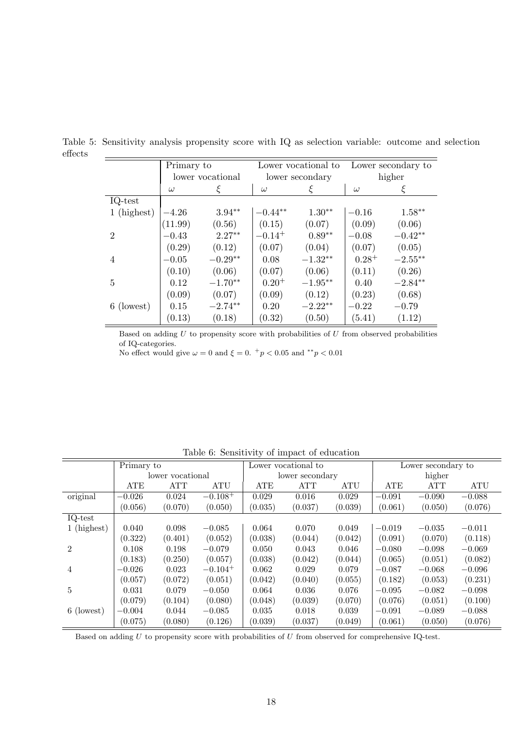|                | Primary to |                  |             | Lower vocational to |            | Lower secondary to |  |
|----------------|------------|------------------|-------------|---------------------|------------|--------------------|--|
|                |            | lower vocational |             | lower secondary     |            | higher             |  |
|                | $\omega$   |                  | $\omega$    | ξ                   | $\omega$   | ξ                  |  |
| IQ-test        |            |                  |             |                     |            |                    |  |
| $1$ (highest)  | $-4.26$    | $3.94**$         | $-0.44**$   | $1.30**$            | $-0.16$    | $1.58***$          |  |
|                | (11.99)    | (0.56)           | (0.15)      | (0.07)              | (0.09)     | (0.06)             |  |
| $\overline{2}$ | $-0.43$    | $2.27**$         | $-0.14^{+}$ | $0.89**$            | $-0.08$    | $-0.42**$          |  |
|                | (0.29)     | (0.12)           | (0.07)      | (0.04)              | (0.07)     | (0.05)             |  |
| 4              | $-0.05$    | $-0.29**$        | 0.08        | $-1.32**$           | $0.28^{+}$ | $-2.55***$         |  |
|                | (0.10)     | (0.06)           | (0.07)      | (0.06)              | (0.11)     | (0.26)             |  |
| 5              | 0.12       | $-1.70**$        | $0.20^{+}$  | $-1.95**$           | 0.40       | $-2.84**$          |  |
|                | (0.09)     | (0.07)           | (0.09)      | (0.12)              | (0.23)     | (0.68)             |  |
| 6 (lowest)     | 0.15       | $-2.74**$        | 0.20        | $-2.22**$           | $-0.22$    | $-0.79$            |  |
|                | (0.13)     | (0.18)           | (0.32)      | (0.50)              | (5.41)     | (1.12)             |  |

Table 5: Sensitivity analysis propensity score with IQ as selection variable: outcome and selection effects  $\overline{a}$ 

Based on adding  $U$  to propensity score with probabilities of  $U$  from observed probabilities of IQ-categories.

No effect would give  $\omega = 0$  and  $\xi = 0$ .  $^+p < 0.05$  and  $^{**}p < 0.01$ 

| Table 0. Demontrier of impact of caucation |            |                  |                       |         |                     |         |          |                    |          |  |
|--------------------------------------------|------------|------------------|-----------------------|---------|---------------------|---------|----------|--------------------|----------|--|
|                                            | Primary to |                  |                       |         | Lower vocational to |         |          | Lower secondary to |          |  |
|                                            |            | lower vocational |                       |         | lower secondary     |         |          | higher             |          |  |
|                                            | ATE        | ATT              | ATU                   | ATE     | <b>ATT</b>          | ATU     | ATE      | <b>ATT</b>         | ATU      |  |
| original                                   | $-0.026$   | 0.024            | $-0.108^{+}$          | 0.029   | 0.016               | 0.029   | $-0.091$ | $-0.090$           | $-0.088$ |  |
|                                            | (0.056)    | (0.070)          | (0.050)               | (0.035) | (0.037)             | (0.039) | (0.061)  | (0.050)            | (0.076)  |  |
| $IQ-test$                                  |            |                  |                       |         |                     |         |          |                    |          |  |
| 1 (highest)                                | 0.040      | 0.098            | $-0.085$              | 0.064   | 0.070               | 0.049   | $-0.019$ | $-0.035$           | $-0.011$ |  |
|                                            | (0.322)    | (0.401)          | (0.052)               | (0.038) | (0.044)             | (0.042) | (0.091)  | (0.070)            | (0.118)  |  |
| $\overline{2}$                             | 0.108      | 0.198            | $-0.079$              | 0.050   | 0.043               | 0.046   | $-0.080$ | $-0.098$           | $-0.069$ |  |
|                                            | (0.183)    | (0.250)          | (0.057)               | (0.038) | (0.042)             | (0.044) | (0.065)  | (0.051)            | (0.082)  |  |
| 4                                          | $-0.026$   | 0.023            | $-0.104$ <sup>+</sup> | 0.062   | 0.029               | 0.079   | $-0.087$ | $-0.068$           | $-0.096$ |  |
|                                            | (0.057)    | (0.072)          | (0.051)               | (0.042) | (0.040)             | (0.055) | (0.182)  | (0.053)            | (0.231)  |  |
| 5                                          | 0.031      | 0.079            | $-0.050$              | 0.064   | 0.036               | 0.076   | $-0.095$ | $-0.082$           | $-0.098$ |  |
|                                            | (0.079)    | (0.104)          | (0.080)               | (0.048) | (0.039)             | (0.070) | (0.076)  | (0.051)            | (0.100)  |  |
| 6 (lowest)                                 | $-0.004$   | 0.044            | $-0.085$              | 0.035   | 0.018               | 0.039   | $-0.091$ | $-0.089$           | $-0.088$ |  |
|                                            | (0.075)    | (0.080)          | (0.126)               | (0.039) | (0.037)             | (0.049) | (0.061)  | (0.050)            | (0.076)  |  |

Table 6: Sensitivity of impact of education

Based on adding  $U$  to propensity score with probabilities of  $U$  from observed for comprehensive IQ-test.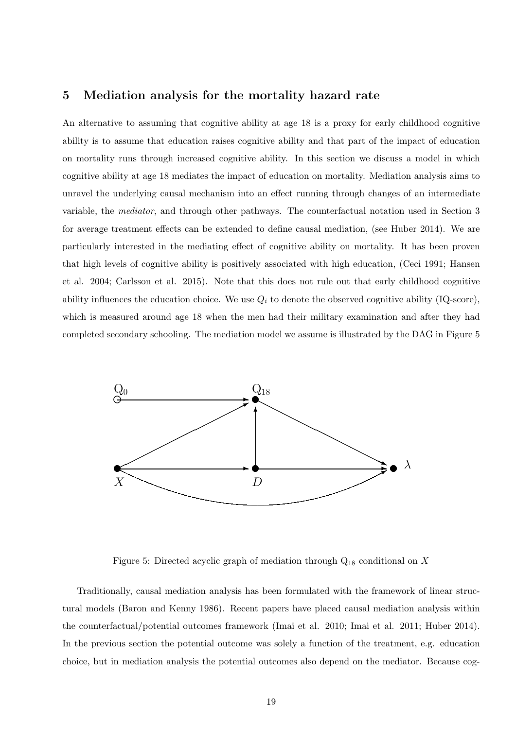## **5 Mediation analysis for the mortality hazard rate**

An alternative to assuming that cognitive ability at age 18 is a proxy for early childhood cognitive ability is to assume that education raises cognitive ability and that part of the impact of education on mortality runs through increased cognitive ability. In this section we discuss a model in which cognitive ability at age 18 mediates the impact of education on mortality. Mediation analysis aims to unravel the underlying causal mechanism into an effect running through changes of an intermediate variable, the *mediator*, and through other pathways. The counterfactual notation used in Section 3 for average treatment effects can be extended to define causal mediation, (see Huber 2014). We are particularly interested in the mediating effect of cognitive ability on mortality. It has been proven that high levels of cognitive ability is positively associated with high education, (Ceci 1991; Hansen et al. 2004; Carlsson et al. 2015). Note that this does not rule out that early childhood cognitive ability influences the education choice. We use  $Q_i$  to denote the observed cognitive ability (IQ-score), which is measured around age 18 when the men had their military examination and after they had completed secondary schooling. The mediation model we assume is illustrated by the DAG in Figure 5



Figure 5: Directed acyclic graph of mediation through Q<sup>18</sup> conditional on *X*

Traditionally, causal mediation analysis has been formulated with the framework of linear structural models (Baron and Kenny 1986). Recent papers have placed causal mediation analysis within the counterfactual/potential outcomes framework (Imai et al. 2010; Imai et al. 2011; Huber 2014). In the previous section the potential outcome was solely a function of the treatment, e.g. education choice, but in mediation analysis the potential outcomes also depend on the mediator. Because cog-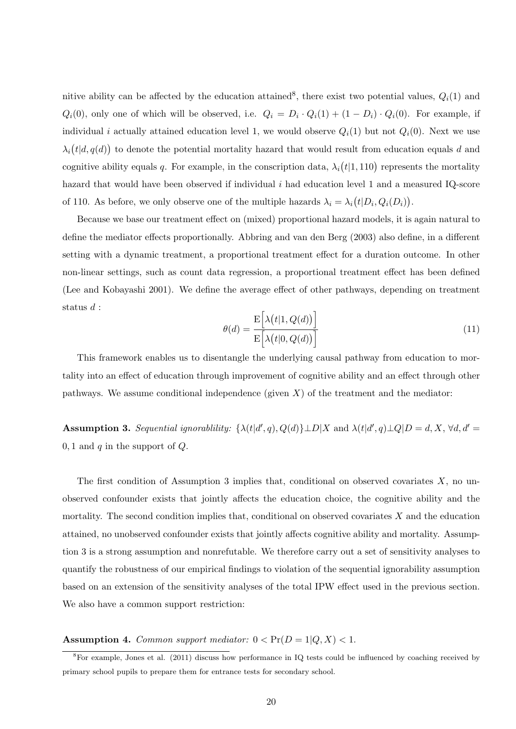nitive ability can be affected by the education attained<sup>8</sup>, there exist two potential values,  $Q_i(1)$  and  $Q_i(0)$ , only one of which will be observed, i.e.  $Q_i = D_i \cdot Q_i(1) + (1 - D_i) \cdot Q_i(0)$ . For example, if individual *i* actually attained education level 1, we would observe  $Q_i(1)$  but not  $Q_i(0)$ . Next we use  $\lambda_i(t|d, q(d))$  to denote the potential mortality hazard that would result from education equals *d* and cognitive ability equals *q*. For example, in the conscription data,  $\lambda_i(t|1,110)$  represents the mortality hazard that would have been observed if individual *i* had education level 1 and a measured IQ-score of 110. As before, we only observe one of the multiple hazards  $\lambda_i = \lambda_i (t | D_i, Q_i(D_i))$ .

Because we base our treatment effect on (mixed) proportional hazard models, it is again natural to define the mediator effects proportionally. Abbring and van den Berg (2003) also define, in a different setting with a dynamic treatment, a proportional treatment effect for a duration outcome. In other non-linear settings, such as count data regression, a proportional treatment effect has been defined (Lee and Kobayashi 2001). We define the average effect of other pathways, depending on treatment status *d* :

$$
\theta(d) = \frac{\mathcal{E}\left[\lambda(t|1, Q(d))\right]}{\mathcal{E}\left[\lambda(t|0, Q(d))\right]}
$$
\n(11)

This framework enables us to disentangle the underlying causal pathway from education to mortality into an effect of education through improvement of cognitive ability and an effect through other pathways. We assume conditional independence (given  $X$ ) of the treatment and the mediator:

**Assumption 3.** Sequential ignorability:  $\{\lambda(t|d', q), Q(d)\} \perp D|X$  and  $\lambda(t|d', q) \perp Q|D = d, X, \forall d, d' = d$ 0*,* 1 and *q* in the support of *Q*.

The first condition of Assumption 3 implies that, conditional on observed covariates *X*, no unobserved confounder exists that jointly affects the education choice, the cognitive ability and the mortality. The second condition implies that, conditional on observed covariates *X* and the education attained, no unobserved confounder exists that jointly affects cognitive ability and mortality. Assumption 3 is a strong assumption and nonrefutable. We therefore carry out a set of sensitivity analyses to quantify the robustness of our empirical findings to violation of the sequential ignorability assumption based on an extension of the sensitivity analyses of the total IPW effect used in the previous section. We also have a common support restriction:

#### **Assumption 4.** *Common support mediator:*  $0 < Pr(D = 1|Q, X) < 1$ .

<sup>8</sup>For example, Jones et al. (2011) discuss how performance in IQ tests could be influenced by coaching received by primary school pupils to prepare them for entrance tests for secondary school.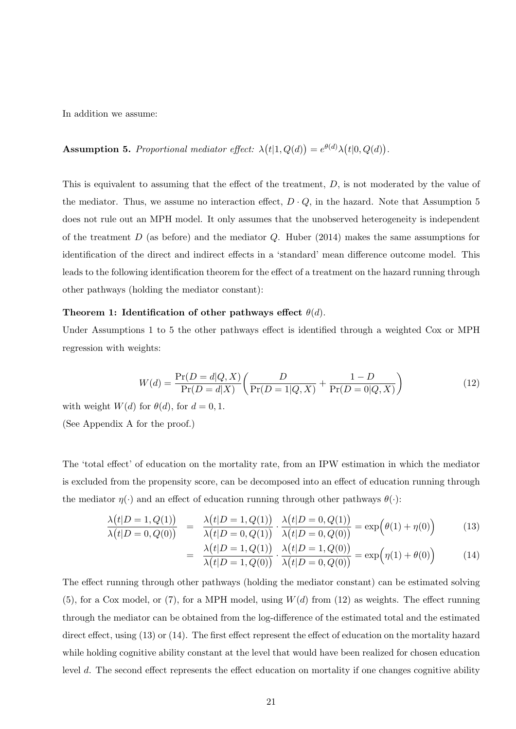In addition we assume:

## **Assumption 5.** Proportional mediator effect:  $\lambda(t|1, Q(d)) = e^{\theta(d)}\lambda(t|0, Q(d)).$

This is equivalent to assuming that the effect of the treatment, *D*, is not moderated by the value of the mediator. Thus, we assume no interaction effect,  $D \cdot Q$ , in the hazard. Note that Assumption 5 does not rule out an MPH model. It only assumes that the unobserved heterogeneity is independent of the treatment *D* (as before) and the mediator *Q*. Huber (2014) makes the same assumptions for identification of the direct and indirect effects in a 'standard' mean difference outcome model. This leads to the following identification theorem for the effect of a treatment on the hazard running through other pathways (holding the mediator constant):

#### **Theorem 1: Identification of other pathways effect** *θ*(*d*).

Under Assumptions 1 to 5 the other pathways effect is identified through a weighted Cox or MPH regression with weights:

$$
W(d) = \frac{\Pr(D = d|Q, X)}{\Pr(D = d|X)} \left( \frac{D}{\Pr(D = 1|Q, X)} + \frac{1 - D}{\Pr(D = 0|Q, X)} \right)
$$
(12)

with weight  $W(d)$  for  $\theta(d)$ , for  $d = 0, 1$ .

(See Appendix A for the proof.)

The 'total effect' of education on the mortality rate, from an IPW estimation in which the mediator is excluded from the propensity score, can be decomposed into an effect of education running through the mediator  $\eta(\cdot)$  and an effect of education running through other pathways  $\theta(\cdot)$ :

$$
\frac{\lambda(t|D=1, Q(1))}{\lambda(t|D=0, Q(0))} = \frac{\lambda(t|D=1, Q(1))}{\lambda(t|D=0, Q(1))} \cdot \frac{\lambda(t|D=0, Q(1))}{\lambda(t|D=0, Q(0))} = \exp(\theta(1) + \eta(0))
$$
\n(13)

$$
= \frac{\lambda(t|D=1, Q(1))}{\lambda(t|D=1, Q(0))} \cdot \frac{\lambda(t|D=1, Q(0))}{\lambda(t|D=0, Q(0))} = \exp(\eta(1) + \theta(0))
$$
(14)

The effect running through other pathways (holding the mediator constant) can be estimated solving (5), for a Cox model, or (7), for a MPH model, using *W*(*d*) from (12) as weights. The effect running through the mediator can be obtained from the log-difference of the estimated total and the estimated direct effect, using (13) or (14). The first effect represent the effect of education on the mortality hazard while holding cognitive ability constant at the level that would have been realized for chosen education level *d*. The second effect represents the effect education on mortality if one changes cognitive ability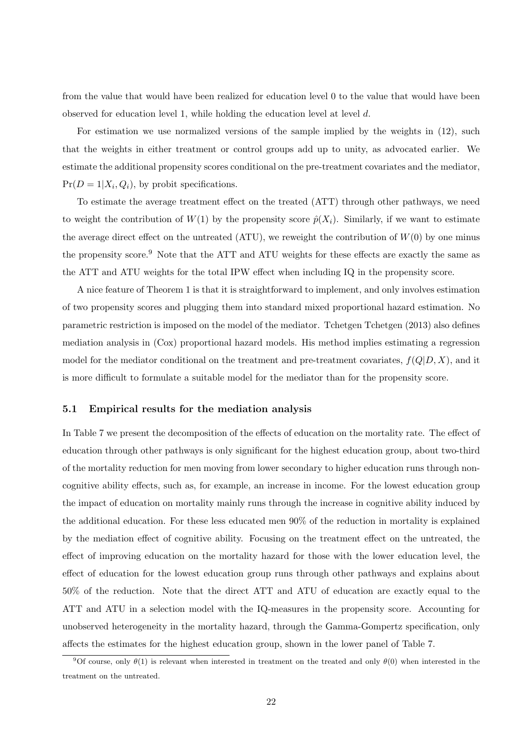from the value that would have been realized for education level 0 to the value that would have been observed for education level 1, while holding the education level at level *d*.

For estimation we use normalized versions of the sample implied by the weights in (12), such that the weights in either treatment or control groups add up to unity, as advocated earlier. We estimate the additional propensity scores conditional on the pre-treatment covariates and the mediator,  $Pr(D = 1 | X_i, Q_i)$ , by probit specifications.

To estimate the average treatment effect on the treated (ATT) through other pathways, we need to weight the contribution of  $W(1)$  by the propensity score  $\hat{p}(X_i)$ . Similarly, if we want to estimate the average direct effect on the untreated  $(ATU)$ , we reweight the contribution of  $W(0)$  by one minus the propensity score.<sup>9</sup> Note that the ATT and ATU weights for these effects are exactly the same as the ATT and ATU weights for the total IPW effect when including IQ in the propensity score.

A nice feature of Theorem 1 is that it is straightforward to implement, and only involves estimation of two propensity scores and plugging them into standard mixed proportional hazard estimation. No parametric restriction is imposed on the model of the mediator. Tchetgen Tchetgen (2013) also defines mediation analysis in (Cox) proportional hazard models. His method implies estimating a regression model for the mediator conditional on the treatment and pre-treatment covariates,  $f(Q|D, X)$ , and it is more difficult to formulate a suitable model for the mediator than for the propensity score.

#### **5.1 Empirical results for the mediation analysis**

In Table 7 we present the decomposition of the effects of education on the mortality rate. The effect of education through other pathways is only significant for the highest education group, about two-third of the mortality reduction for men moving from lower secondary to higher education runs through noncognitive ability effects, such as, for example, an increase in income. For the lowest education group the impact of education on mortality mainly runs through the increase in cognitive ability induced by the additional education. For these less educated men 90% of the reduction in mortality is explained by the mediation effect of cognitive ability. Focusing on the treatment effect on the untreated, the effect of improving education on the mortality hazard for those with the lower education level, the effect of education for the lowest education group runs through other pathways and explains about 50% of the reduction. Note that the direct ATT and ATU of education are exactly equal to the ATT and ATU in a selection model with the IQ-measures in the propensity score. Accounting for unobserved heterogeneity in the mortality hazard, through the Gamma-Gompertz specification, only affects the estimates for the highest education group, shown in the lower panel of Table 7.

<sup>&</sup>lt;sup>9</sup>Of course, only  $\theta(1)$  is relevant when interested in treatment on the treated and only  $\theta(0)$  when interested in the treatment on the untreated.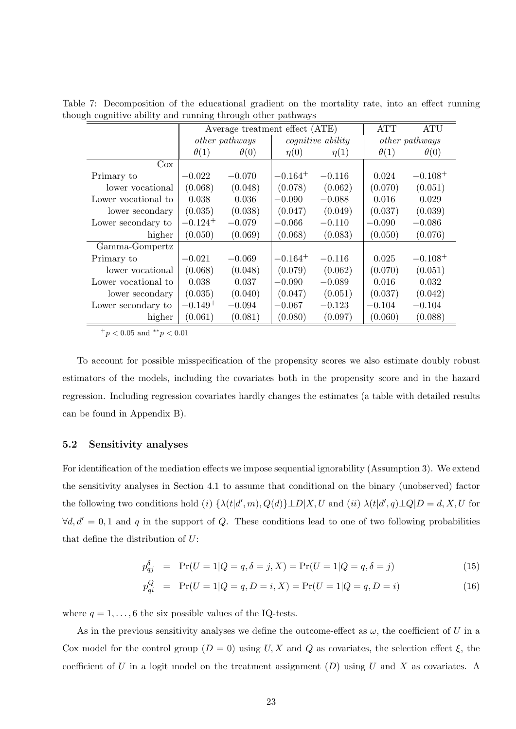|                     | дн содиннус артну ана ганинд тигоиди отног ратнуауз |                                |              |                          |                       |              |  |  |
|---------------------|-----------------------------------------------------|--------------------------------|--------------|--------------------------|-----------------------|--------------|--|--|
|                     |                                                     | Average treatment effect (ATE) |              |                          | <b>ATT</b>            | <b>ATU</b>   |  |  |
|                     |                                                     | <i>other pathways</i>          |              | <i>cognitive ability</i> | <i>other pathways</i> |              |  |  |
|                     | $\theta(1)$                                         | $\theta(0)$                    | $\eta(0)$    | $\eta(1)$                | $\theta(1)$           | $\theta(0)$  |  |  |
| $\cos$              |                                                     |                                |              |                          |                       |              |  |  |
| Primary to          | $-0.022$                                            | $-0.070$                       | $-0.164^{+}$ | $-0.116$                 | 0.024                 | $-0.108^{+}$ |  |  |
| lower vocational    | (0.068)                                             | (0.048)                        | (0.078)      | (0.062)                  | (0.070)               | (0.051)      |  |  |
| Lower vocational to | 0.038                                               | 0.036                          | $-0.090$     | $-0.088$                 | 0.016                 | 0.029        |  |  |
| lower secondary     | (0.035)                                             | (0.038)                        | (0.047)      | (0.049)                  | (0.037)               | (0.039)      |  |  |
| Lower secondary to  | $-0.124 +$                                          | $-0.079$                       | $-0.066$     | $-0.110$                 | $-0.090$              | $-0.086$     |  |  |
| higher              | (0.050)                                             | (0.069)                        | (0.068)      | (0.083)                  | (0.050)               | (0.076)      |  |  |
| Gamma-Gompertz      |                                                     |                                |              |                          |                       |              |  |  |
| Primary to          | $-0.021$                                            | $-0.069$                       | $-0.164^{+}$ | $-0.116$                 | 0.025                 | $-0.108^{+}$ |  |  |
| lower vocational    | (0.068)                                             | (0.048)                        | (0.079)      | (0.062)                  | (0.070)               | (0.051)      |  |  |
| Lower vocational to | 0.038                                               | 0.037                          | $-0.090$     | $-0.089$                 | 0.016                 | 0.032        |  |  |
| lower secondary     | (0.035)                                             | (0.040)                        | (0.047)      | (0.051)                  | (0.037)               | (0.042)      |  |  |
| Lower secondary to  | $-0.149+$                                           | $-0.094$                       | $-0.067$     | $-0.123$                 | $-0.104$              | $-0.104$     |  |  |
| higher              | (0.061)                                             | (0.081)                        | (0.080)      | (0.097)                  | (0.060)               | (0.088)      |  |  |

Table 7: Decomposition of the educational gradient on the mortality rate, into an effect running though cognitive ability and running through other pathways

To account for possible misspecification of the propensity scores we also estimate doubly robust estimators of the models, including the covariates both in the propensity score and in the hazard regression. Including regression covariates hardly changes the estimates (a table with detailed results can be found in Appendix B).

#### **5.2 Sensitivity analyses**

For identification of the mediation effects we impose sequential ignorability (Assumption 3). We extend the sensitivity analyses in Section 4.1 to assume that conditional on the binary (unobserved) factor the following two conditions hold (i)  $\{\lambda(t|d',m),Q(d)\}\perp D|X,U$  and (ii)  $\lambda(t|d',q)\perp Q|D=d,X,U$  for *∀d, d'* = 0,1 and *q* in the support of *Q*. These conditions lead to one of two following probabilities that define the distribution of *U*:

$$
p_{qj}^{\delta} = \Pr(U = 1 | Q = q, \delta = j, X) = \Pr(U = 1 | Q = q, \delta = j)
$$
\n(15)

$$
p_{qi}^{Q} = \Pr(U = 1|Q = q, D = i, X) = \Pr(U = 1|Q = q, D = i)
$$
\n(16)

where  $q = 1, \ldots, 6$  the six possible values of the IQ-tests.

As in the previous sensitivity analyses we define the outcome-effect as  $\omega$ , the coefficient of *U* in a Cox model for the control group  $(D = 0)$  using *U, X* and *Q* as covariates, the selection effect  $\xi$ , the coefficient of *U* in a logit model on the treatment assignment (*D*) using *U* and *X* as covariates. A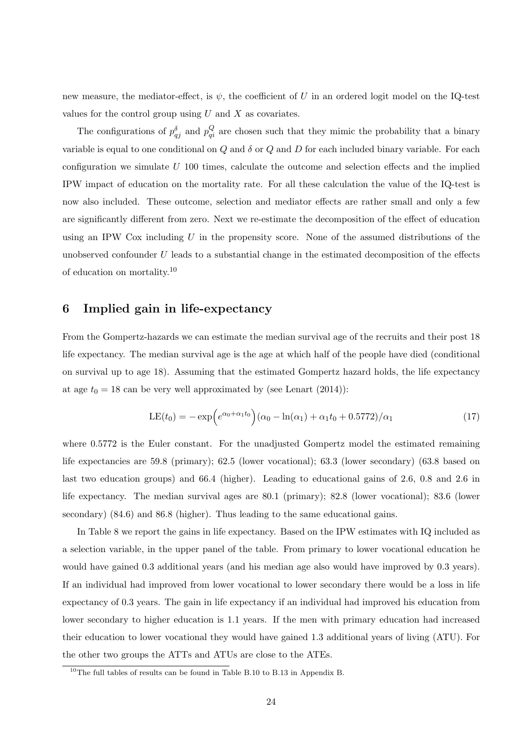new measure, the mediator-effect, is  $\psi$ , the coefficient of *U* in an ordered logit model on the IQ-test values for the control group using *U* and *X* as covariates.

The configurations of  $p_{qj}^{\delta}$  and  $p_{qi}^Q$  are chosen such that they mimic the probability that a binary variable is equal to one conditional on *Q* and *δ* or *Q* and *D* for each included binary variable. For each configuration we simulate *U* 100 times, calculate the outcome and selection effects and the implied IPW impact of education on the mortality rate. For all these calculation the value of the IQ-test is now also included. These outcome, selection and mediator effects are rather small and only a few are significantly different from zero. Next we re-estimate the decomposition of the effect of education using an IPW Cox including *U* in the propensity score. None of the assumed distributions of the unobserved confounder *U* leads to a substantial change in the estimated decomposition of the effects of education on mortality.<sup>10</sup>

## **6 Implied gain in life-expectancy**

From the Gompertz-hazards we can estimate the median survival age of the recruits and their post 18 life expectancy. The median survival age is the age at which half of the people have died (conditional on survival up to age 18). Assuming that the estimated Gompertz hazard holds, the life expectancy at age  $t_0 = 18$  can be very well approximated by (see Lenart (2014)):

$$
LE(t_0) = -\exp\left(e^{\alpha_0 + \alpha_1 t_0}\right)(\alpha_0 - \ln(\alpha_1) + \alpha_1 t_0 + 0.5772)/\alpha_1\tag{17}
$$

where  $0.5772$  is the Euler constant. For the unadjusted Gompertz model the estimated remaining life expectancies are 59.8 (primary); 62.5 (lower vocational); 63.3 (lower secondary) (63.8 based on last two education groups) and 66.4 (higher). Leading to educational gains of 2.6, 0.8 and 2.6 in life expectancy. The median survival ages are 80.1 (primary); 82.8 (lower vocational); 83.6 (lower secondary) (84.6) and 86.8 (higher). Thus leading to the same educational gains.

In Table 8 we report the gains in life expectancy. Based on the IPW estimates with IQ included as a selection variable, in the upper panel of the table. From primary to lower vocational education he would have gained 0.3 additional years (and his median age also would have improved by 0.3 years). If an individual had improved from lower vocational to lower secondary there would be a loss in life expectancy of 0.3 years. The gain in life expectancy if an individual had improved his education from lower secondary to higher education is 1.1 years. If the men with primary education had increased their education to lower vocational they would have gained 1.3 additional years of living (ATU). For the other two groups the ATTs and ATUs are close to the ATEs.

 $10$ <sup>10</sup>The full tables of results can be found in Table B.10 to B.13 in Appendix B.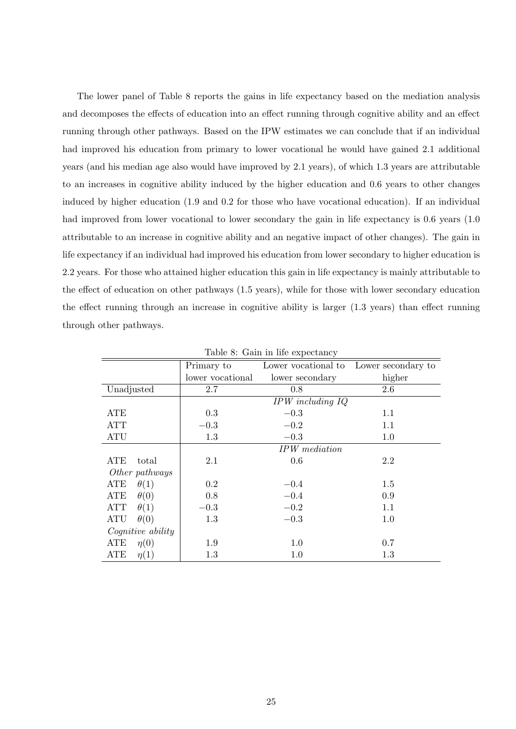The lower panel of Table 8 reports the gains in life expectancy based on the mediation analysis and decomposes the effects of education into an effect running through cognitive ability and an effect running through other pathways. Based on the IPW estimates we can conclude that if an individual had improved his education from primary to lower vocational he would have gained 2.1 additional years (and his median age also would have improved by 2.1 years), of which 1.3 years are attributable to an increases in cognitive ability induced by the higher education and 0.6 years to other changes induced by higher education (1.9 and 0.2 for those who have vocational education). If an individual had improved from lower vocational to lower secondary the gain in life expectancy is 0.6 years (1.0) attributable to an increase in cognitive ability and an negative impact of other changes). The gain in life expectancy if an individual had improved his education from lower secondary to higher education is 2.2 years. For those who attained higher education this gain in life expectancy is mainly attributable to the effect of education on other pathways (1.5 years), while for those with lower secondary education the effect running through an increase in cognitive ability is larger (1.3 years) than effect running through other pathways.

|                           | Primary to                          | Lower vocational to  | Lower secondary to |  |  |  |  |  |
|---------------------------|-------------------------------------|----------------------|--------------------|--|--|--|--|--|
|                           | lower vocational<br>lower secondary |                      | higher             |  |  |  |  |  |
| Unadjusted                | 2.7                                 | 0.8                  | 2.6                |  |  |  |  |  |
|                           |                                     | $IPW$ including $IQ$ |                    |  |  |  |  |  |
| <b>ATE</b>                | 0.3                                 | $-0.3$               | 1.1                |  |  |  |  |  |
| <b>ATT</b>                | $-0.3$                              | $-0.2$               | 1.1                |  |  |  |  |  |
| <b>ATU</b>                | 1.3                                 | $-0.3$               | 1.0                |  |  |  |  |  |
|                           |                                     | IPW mediation        |                    |  |  |  |  |  |
| ATE<br>total              | 2.1                                 | 0.6                  | 2.2                |  |  |  |  |  |
| Other pathways            |                                     |                      |                    |  |  |  |  |  |
| $\theta(1)$<br>ATE        | 0.2                                 | $-0.4$               | 1.5                |  |  |  |  |  |
| $\theta(0)$<br>ATE        | 0.8                                 | $-0.4$               | 0.9                |  |  |  |  |  |
| $\theta(1)$<br><b>ATT</b> | $-0.3$                              | $-0.2$               | 1.1                |  |  |  |  |  |
| $\theta(0)$<br><b>ATU</b> | 1.3                                 | $-0.3$               | 1.0                |  |  |  |  |  |
| Cognitive ability         |                                     |                      |                    |  |  |  |  |  |
| ATE<br>$\eta(0)$          | 1.9                                 | 1.0                  | 0.7                |  |  |  |  |  |
| ATE<br>$\eta(1)$          | 1.3                                 | $1.0\,$              | 1.3                |  |  |  |  |  |

Table 8: Gain in life expectancy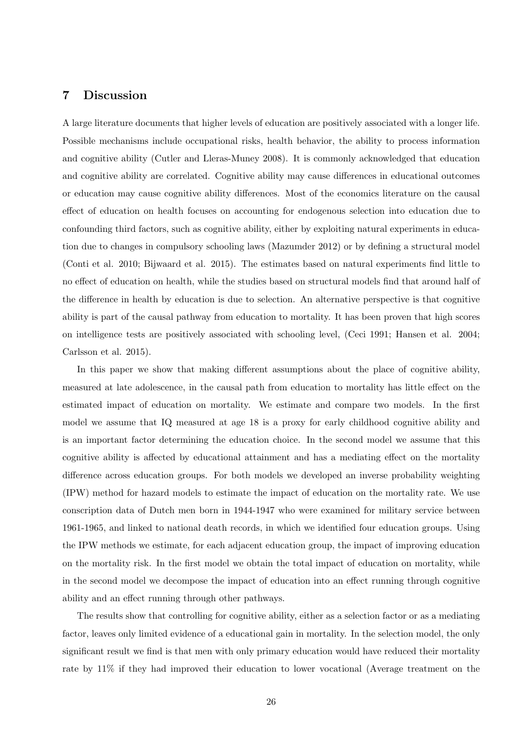## **7 Discussion**

A large literature documents that higher levels of education are positively associated with a longer life. Possible mechanisms include occupational risks, health behavior, the ability to process information and cognitive ability (Cutler and Lleras-Muney 2008). It is commonly acknowledged that education and cognitive ability are correlated. Cognitive ability may cause differences in educational outcomes or education may cause cognitive ability differences. Most of the economics literature on the causal effect of education on health focuses on accounting for endogenous selection into education due to confounding third factors, such as cognitive ability, either by exploiting natural experiments in education due to changes in compulsory schooling laws (Mazumder 2012) or by defining a structural model (Conti et al. 2010; Bijwaard et al. 2015). The estimates based on natural experiments find little to no effect of education on health, while the studies based on structural models find that around half of the difference in health by education is due to selection. An alternative perspective is that cognitive ability is part of the causal pathway from education to mortality. It has been proven that high scores on intelligence tests are positively associated with schooling level, (Ceci 1991; Hansen et al. 2004; Carlsson et al. 2015).

In this paper we show that making different assumptions about the place of cognitive ability, measured at late adolescence, in the causal path from education to mortality has little effect on the estimated impact of education on mortality. We estimate and compare two models. In the first model we assume that IQ measured at age 18 is a proxy for early childhood cognitive ability and is an important factor determining the education choice. In the second model we assume that this cognitive ability is affected by educational attainment and has a mediating effect on the mortality difference across education groups. For both models we developed an inverse probability weighting (IPW) method for hazard models to estimate the impact of education on the mortality rate. We use conscription data of Dutch men born in 1944-1947 who were examined for military service between 1961-1965, and linked to national death records, in which we identified four education groups. Using the IPW methods we estimate, for each adjacent education group, the impact of improving education on the mortality risk. In the first model we obtain the total impact of education on mortality, while in the second model we decompose the impact of education into an effect running through cognitive ability and an effect running through other pathways.

The results show that controlling for cognitive ability, either as a selection factor or as a mediating factor, leaves only limited evidence of a educational gain in mortality. In the selection model, the only significant result we find is that men with only primary education would have reduced their mortality rate by 11% if they had improved their education to lower vocational (Average treatment on the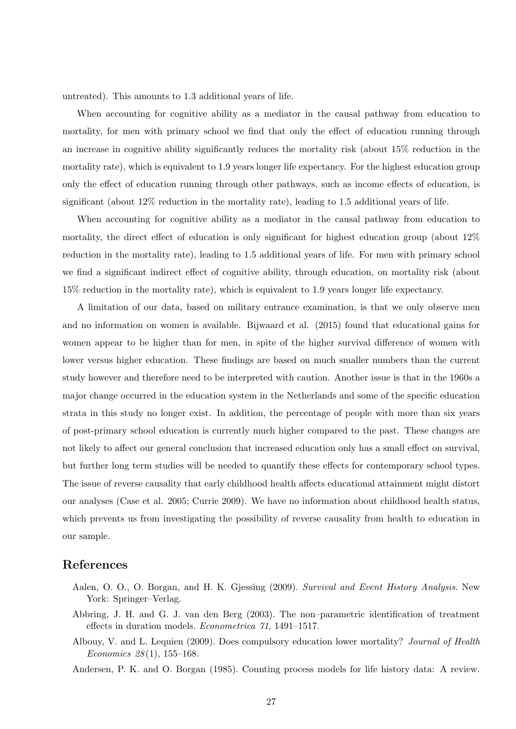untreated). This amounts to 1.3 additional years of life.

When accounting for cognitive ability as a mediator in the causal pathway from education to mortality, for men with primary school we find that only the effect of education running through an increase in cognitive ability significantly reduces the mortality risk (about 15% reduction in the mortality rate), which is equivalent to 1.9 years longer life expectancy. For the highest education group only the effect of education running through other pathways, such as income effects of education, is significant (about 12% reduction in the mortality rate), leading to 1.5 additional years of life.

When accounting for cognitive ability as a mediator in the causal pathway from education to mortality, the direct effect of education is only significant for highest education group (about 12% reduction in the mortality rate), leading to 1.5 additional years of life. For men with primary school we find a significant indirect effect of cognitive ability, through education, on mortality risk (about 15% reduction in the mortality rate), which is equivalent to 1.9 years longer life expectancy.

A limitation of our data, based on military entrance examination, is that we only observe men and no information on women is available. Bijwaard et al. (2015) found that educational gains for women appear to be higher than for men, in spite of the higher survival difference of women with lower versus higher education. These findings are based on much smaller numbers than the current study however and therefore need to be interpreted with caution. Another issue is that in the 1960s a major change occurred in the education system in the Netherlands and some of the specific education strata in this study no longer exist. In addition, the percentage of people with more than six years of post-primary school education is currently much higher compared to the past. These changes are not likely to affect our general conclusion that increased education only has a small effect on survival, but further long term studies will be needed to quantify these effects for contemporary school types. The issue of reverse causality that early childhood health affects educational attainment might distort our analyses (Case et al. 2005; Currie 2009). We have no information about childhood health status, which prevents us from investigating the possibility of reverse causality from health to education in our sample.

## **References**

- Aalen, O. O., O. Borgan, and H. K. Gjessing (2009). *Survival and Event History Analysis*. New York: Springer–Verlag.
- Abbring, J. H. and G. J. van den Berg (2003). The non–parametric identification of treatment effects in duration models. *Econometrica 71*, 1491–1517.
- Albouy, V. and L. Lequien (2009). Does compulsory education lower mortality? *Journal of Health Economics 28* (1), 155–168.

Andersen, P. K. and O. Borgan (1985). Counting process models for life history data: A review.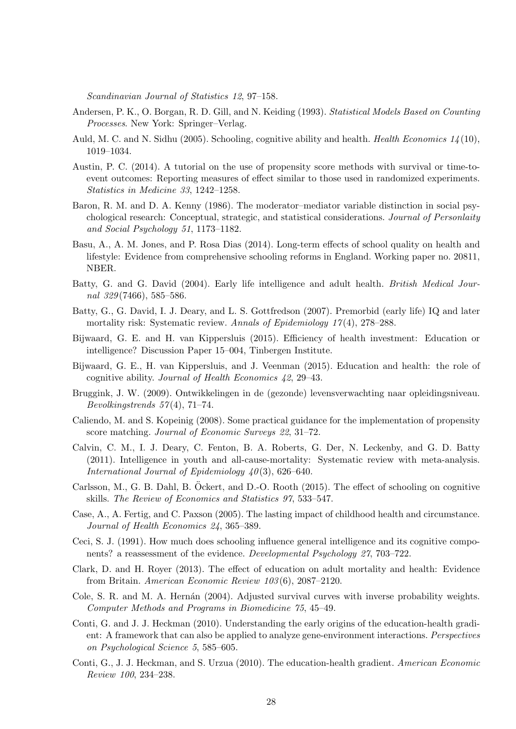*Scandinavian Journal of Statistics 12*, 97–158.

- Andersen, P. K., O. Borgan, R. D. Gill, and N. Keiding (1993). *Statistical Models Based on Counting Processes*. New York: Springer–Verlag.
- Auld, M. C. and N. Sidhu (2005). Schooling, cognitive ability and health. *Health Economics 14* (10), 1019–1034.
- Austin, P. C. (2014). A tutorial on the use of propensity score methods with survival or time-toevent outcomes: Reporting measures of effect similar to those used in randomized experiments. *Statistics in Medicine 33*, 1242–1258.
- Baron, R. M. and D. A. Kenny (1986). The moderator–mediator variable distinction in social psychological research: Conceptual, strategic, and statistical considerations. *Journal of Personlaity and Social Psychology 51*, 1173–1182.
- Basu, A., A. M. Jones, and P. Rosa Dias (2014). Long-term effects of school quality on health and lifestyle: Evidence from comprehensive schooling reforms in England. Working paper no. 20811, NBER.
- Batty, G. and G. David (2004). Early life intelligence and adult health. *British Medical Journal 329* (7466), 585–586.
- Batty, G., G. David, I. J. Deary, and L. S. Gottfredson (2007). Premorbid (early life) IQ and later mortality risk: Systematic review. *Annals of Epidemiology 17* (4), 278–288.
- Bijwaard, G. E. and H. van Kippersluis (2015). Efficiency of health investment: Education or intelligence? Discussion Paper 15–004, Tinbergen Institute.
- Bijwaard, G. E., H. van Kippersluis, and J. Veenman (2015). Education and health: the role of cognitive ability. *Journal of Health Economics 42*, 29–43.
- Bruggink, J. W. (2009). Ontwikkelingen in de (gezonde) levensverwachting naar opleidingsniveau. *Bevolkingstrends 57* (4), 71–74.
- Caliendo, M. and S. Kopeinig (2008). Some practical guidance for the implementation of propensity score matching. *Journal of Economic Surveys 22*, 31–72.
- Calvin, C. M., I. J. Deary, C. Fenton, B. A. Roberts, G. Der, N. Leckenby, and G. D. Batty (2011). Intelligence in youth and all-cause-mortality: Systematic review with meta-analysis. *International Journal of Epidemiology 40* (3), 626–640.
- Carlsson, M., G. B. Dahl, B. Öckert, and D.-O. Rooth (2015). The effect of schooling on cognitive skills. *The Review of Economics and Statistics 97*, 533–547.
- Case, A., A. Fertig, and C. Paxson (2005). The lasting impact of childhood health and circumstance. *Journal of Health Economics 24*, 365–389.
- Ceci, S. J. (1991). How much does schooling influence general intelligence and its cognitive components? a reassessment of the evidence. *Developmental Psychology 27*, 703–722.
- Clark, D. and H. Royer (2013). The effect of education on adult mortality and health: Evidence from Britain. *American Economic Review 103* (6), 2087–2120.
- Cole, S. R. and M. A. Hernán (2004). Adjusted survival curves with inverse probability weights. *Computer Methods and Programs in Biomedicine 75*, 45–49.
- Conti, G. and J. J. Heckman (2010). Understanding the early origins of the education-health gradient: A framework that can also be applied to analyze gene-environment interactions. *Perspectives on Psychological Science 5*, 585–605.
- Conti, G., J. J. Heckman, and S. Urzua (2010). The education-health gradient. *American Economic Review 100*, 234–238.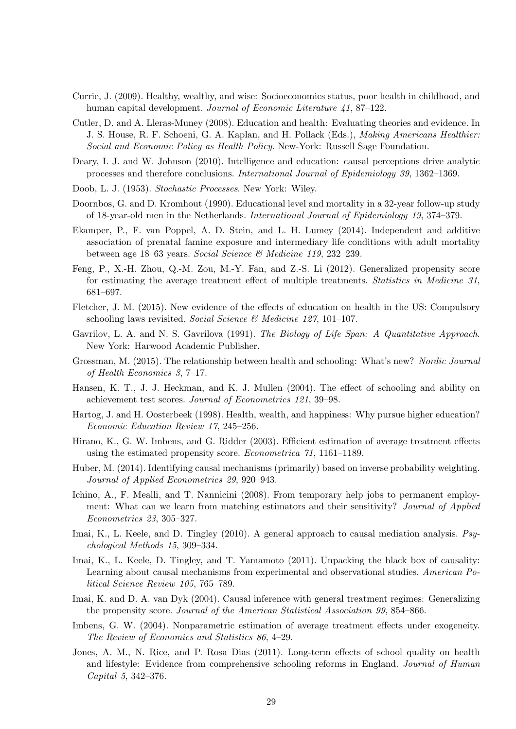- Currie, J. (2009). Healthy, wealthy, and wise: Socioeconomics status, poor health in childhood, and human capital development. *Journal of Economic Literature 41*, 87–122.
- Cutler, D. and A. Lleras-Muney (2008). Education and health: Evaluating theories and evidence. In J. S. House, R. F. Schoeni, G. A. Kaplan, and H. Pollack (Eds.), *Making Americans Healthier: Social and Economic Policy as Health Policy*. New-York: Russell Sage Foundation.
- Deary, I. J. and W. Johnson (2010). Intelligence and education: causal perceptions drive analytic processes and therefore conclusions. *International Journal of Epidemiology 39*, 1362–1369.
- Doob, L. J. (1953). *Stochastic Processes*. New York: Wiley.
- Doornbos, G. and D. Kromhout (1990). Educational level and mortality in a 32-year follow-up study of 18-year-old men in the Netherlands. *International Journal of Epidemiology 19*, 374–379.
- Ekamper, P., F. van Poppel, A. D. Stein, and L. H. Lumey (2014). Independent and additive association of prenatal famine exposure and intermediary life conditions with adult mortality between age 18–63 years. *Social Science & Medicine 119*, 232–239.
- Feng, P., X.-H. Zhou, Q.-M. Zou, M.-Y. Fan, and Z.-S. Li (2012). Generalized propensity score for estimating the average treatment effect of multiple treatments. *Statistics in Medicine 31*, 681–697.
- Fletcher, J. M. (2015). New evidence of the effects of education on health in the US: Compulsory schooling laws revisited. *Social Science & Medicine 127*, 101–107.
- Gavrilov, L. A. and N. S. Gavrilova (1991). *The Biology of Life Span: A Quantitative Approach*. New York: Harwood Academic Publisher.
- Grossman, M. (2015). The relationship between health and schooling: What's new? *Nordic Journal of Health Economics 3*, 7–17.
- Hansen, K. T., J. J. Heckman, and K. J. Mullen (2004). The effect of schooling and ability on achievement test scores. *Journal of Econometrics 121*, 39–98.
- Hartog, J. and H. Oosterbeek (1998). Health, wealth, and happiness: Why pursue higher education? *Economic Education Review 17*, 245–256.
- Hirano, K., G. W. Imbens, and G. Ridder (2003). Efficient estimation of average treatment effects using the estimated propensity score. *Econometrica 71*, 1161–1189.
- Huber, M. (2014). Identifying causal mechanisms (primarily) based on inverse probability weighting. *Journal of Applied Econometrics 29*, 920–943.
- Ichino, A., F. Mealli, and T. Nannicini (2008). From temporary help jobs to permanent employment: What can we learn from matching estimators and their sensitivity? *Journal of Applied Econometrics 23*, 305–327.
- Imai, K., L. Keele, and D. Tingley (2010). A general approach to causal mediation analysis. *Psychological Methods 15*, 309–334.
- Imai, K., L. Keele, D. Tingley, and T. Yamamoto (2011). Unpacking the black box of causality: Learning about causal mechanisms from experimental and observational studies. *American Political Science Review 105*, 765–789.
- Imai, K. and D. A. van Dyk (2004). Causal inference with general treatment regimes: Generalizing the propensity score. *Journal of the American Statistical Association 99*, 854–866.
- Imbens, G. W. (2004). Nonparametric estimation of average treatment effects under exogeneity. *The Review of Economics and Statistics 86*, 4–29.
- Jones, A. M., N. Rice, and P. Rosa Dias (2011). Long-term effects of school quality on health and lifestyle: Evidence from comprehensive schooling reforms in England. *Journal of Human Capital 5*, 342–376.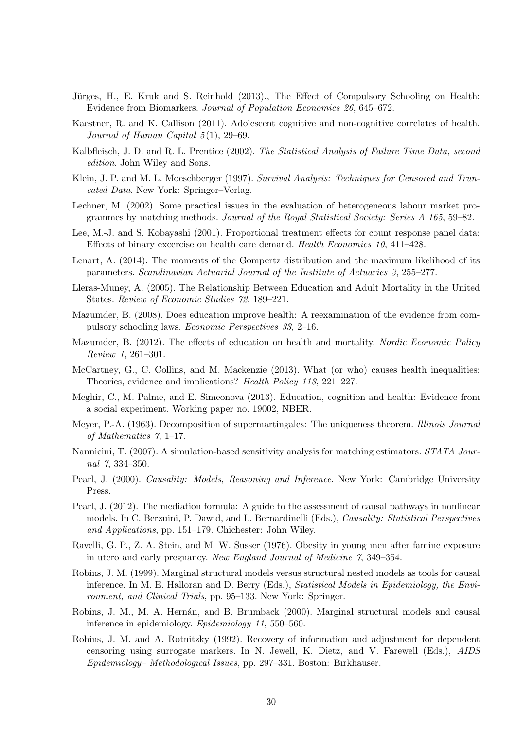- Jürges, H., E. Kruk and S. Reinhold (2013)., The Effect of Compulsory Schooling on Health: Evidence from Biomarkers. *Journal of Population Economics 26*, 645–672.
- Kaestner, R. and K. Callison (2011). Adolescent cognitive and non-cognitive correlates of health. *Journal of Human Capital 5* (1), 29–69.
- Kalbfleisch, J. D. and R. L. Prentice (2002). *The Statistical Analysis of Failure Time Data, second edition*. John Wiley and Sons.
- Klein, J. P. and M. L. Moeschberger (1997). *Survival Analysis: Techniques for Censored and Truncated Data*. New York: Springer–Verlag.
- Lechner, M. (2002). Some practical issues in the evaluation of heterogeneous labour market programmes by matching methods. *Journal of the Royal Statistical Society: Series A 165*, 59–82.
- Lee, M.-J. and S. Kobayashi (2001). Proportional treatment effects for count response panel data: Effects of binary excercise on health care demand. *Health Economics 10*, 411–428.
- Lenart, A. (2014). The moments of the Gompertz distribution and the maximum likelihood of its parameters. *Scandinavian Actuarial Journal of the Institute of Actuaries 3*, 255–277.
- Lleras-Muney, A. (2005). The Relationship Between Education and Adult Mortality in the United States. *Review of Economic Studies 72*, 189–221.
- Mazumder, B. (2008). Does education improve health: A reexamination of the evidence from compulsory schooling laws. *Economic Perspectives 33*, 2–16.
- Mazumder, B. (2012). The effects of education on health and mortality. *Nordic Economic Policy Review 1*, 261–301.
- McCartney, G., C. Collins, and M. Mackenzie (2013). What (or who) causes health inequalities: Theories, evidence and implications? *Health Policy 113*, 221–227.
- Meghir, C., M. Palme, and E. Simeonova (2013). Education, cognition and health: Evidence from a social experiment. Working paper no. 19002, NBER.
- Meyer, P.-A. (1963). Decomposition of supermartingales: The uniqueness theorem. *Illinois Journal of Mathematics 7*, 1–17.
- Nannicini, T. (2007). A simulation-based sensitivity analysis for matching estimators. *STATA Journal 7*, 334–350.
- Pearl, J. (2000). *Causality: Models, Reasoning and Inference*. New York: Cambridge University Press.
- Pearl, J. (2012). The mediation formula: A guide to the assessment of causal pathways in nonlinear models. In C. Berzuini, P. Dawid, and L. Bernardinelli (Eds.), *Causality: Statistical Perspectives and Applications*, pp. 151–179. Chichester: John Wiley.
- Ravelli, G. P., Z. A. Stein, and M. W. Susser (1976). Obesity in young men after famine exposure in utero and early pregnancy. *New England Journal of Medicine 7*, 349–354.
- Robins, J. M. (1999). Marginal structural models versus structural nested models as tools for causal inference. In M. E. Halloran and D. Berry (Eds.), *Statistical Models in Epidemiology, the Environment, and Clinical Trials*, pp. 95–133. New York: Springer.
- Robins, J. M., M. A. Hernán, and B. Brumback (2000). Marginal structural models and causal inference in epidemiology. *Epidemiology 11*, 550–560.
- Robins, J. M. and A. Rotnitzky (1992). Recovery of information and adjustment for dependent censoring using surrogate markers. In N. Jewell, K. Dietz, and V. Farewell (Eds.), *AIDS Epidemiology– Methodological Issues*, pp. 297–331. Boston: Birkhäuser.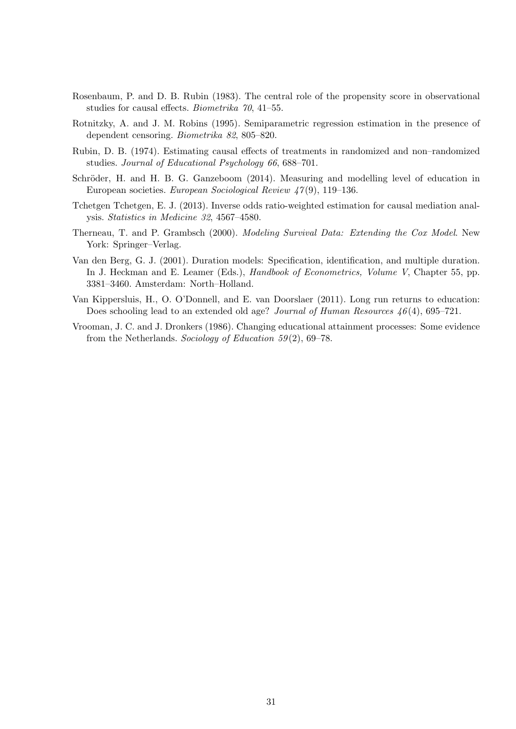- Rosenbaum, P. and D. B. Rubin (1983). The central role of the propensity score in observational studies for causal effects. *Biometrika 70*, 41–55.
- Rotnitzky, A. and J. M. Robins (1995). Semiparametric regression estimation in the presence of dependent censoring. *Biometrika 82*, 805–820.
- Rubin, D. B. (1974). Estimating causal effects of treatments in randomized and non–randomized studies. *Journal of Educational Psychology 66*, 688–701.
- Schröder, H. and H. B. G. Ganzeboom (2014). Measuring and modelling level of education in European societies. *European Sociological Review 47* (9), 119–136.
- Tchetgen Tchetgen, E. J. (2013). Inverse odds ratio-weighted estimation for causal mediation analysis. *Statistics in Medicine 32*, 4567–4580.
- Therneau, T. and P. Grambsch (2000). *Modeling Survival Data: Extending the Cox Model*. New York: Springer–Verlag.
- Van den Berg, G. J. (2001). Duration models: Specification, identification, and multiple duration. In J. Heckman and E. Leamer (Eds.), *Handbook of Econometrics, Volume V*, Chapter 55, pp. 3381–3460. Amsterdam: North–Holland.
- Van Kippersluis, H., O. O'Donnell, and E. van Doorslaer (2011). Long run returns to education: Does schooling lead to an extended old age? *Journal of Human Resources 46* (4), 695–721.
- Vrooman, J. C. and J. Dronkers (1986). Changing educational attainment processes: Some evidence from the Netherlands. *Sociology of Education 59* (2), 69–78.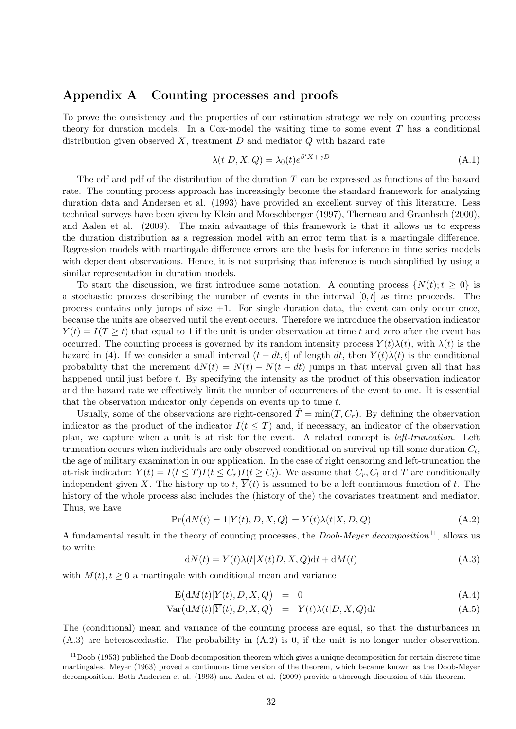## **Appendix A Counting processes and proofs**

To prove the consistency and the properties of our estimation strategy we rely on counting process theory for duration models. In a Cox-model the waiting time to some event *T* has a conditional distribution given observed *X*, treatment *D* and mediator *Q* with hazard rate

$$
\lambda(t|D, X, Q) = \lambda_0(t)e^{\beta'X + \gamma D} \tag{A.1}
$$

The cdf and pdf of the distribution of the duration *T* can be expressed as functions of the hazard rate. The counting process approach has increasingly become the standard framework for analyzing duration data and Andersen et al. (1993) have provided an excellent survey of this literature. Less technical surveys have been given by Klein and Moeschberger (1997), Therneau and Grambsch (2000), and Aalen et al. (2009). The main advantage of this framework is that it allows us to express the duration distribution as a regression model with an error term that is a martingale difference. Regression models with martingale difference errors are the basis for inference in time series models with dependent observations. Hence, it is not surprising that inference is much simplified by using a similar representation in duration models.

To start the discussion, we first introduce some notation. A counting process  $\{N(t); t \geq 0\}$  is a stochastic process describing the number of events in the interval [0*, t*] as time proceeds. The process contains only jumps of size  $+1$ . For single duration data, the event can only occur once, because the units are observed until the event occurs. Therefore we introduce the observation indicator  $Y(t) = I(T \ge t)$  that equal to 1 if the unit is under observation at time *t* and zero after the event has occurred. The counting process is governed by its random intensity process  $Y(t)\lambda(t)$ , with  $\lambda(t)$  is the hazard in (4). If we consider a small interval  $(t - dt, t]$  of length  $dt$ , then  $Y(t)\lambda(t)$  is the conditional probability that the increment  $dN(t) = N(t) - N(t - dt)$  jumps in that interval given all that has happened until just before *t*. By specifying the intensity as the product of this observation indicator and the hazard rate we effectively limit the number of occurrences of the event to one. It is essential that the observation indicator only depends on events up to time *t*.

Usually, some of the observations are right-censored  $\tilde{T} = \min(T, C_r)$ . By defining the observation indicator as the product of the indicator  $I(t \leq T)$  and, if necessary, an indicator of the observation plan, we capture when a unit is at risk for the event. A related concept is *left-truncation*. Left truncation occurs when individuals are only observed conditional on survival up till some duration *C<sup>l</sup>* , the age of military examination in our application. In the case of right censoring and left-truncation the at-risk indicator:  $Y(t) = I(t \leq T)I(t \leq C_r)I(t \geq C_l)$ . We assume that  $C_r, C_l$  and T are conditionally independent given X. The history up to  $t$ ,  $\overline{Y}(t)$  is assumed to be a left continuous function of t. The history of the whole process also includes the (history of the) the covariates treatment and mediator. Thus, we have

$$
Pr(dN(t) = 1|\overline{Y}(t), D, X, Q) = Y(t)\lambda(t|X, D, Q)
$$
\n(A.2)

A fundamental result in the theory of counting processes, the *Doob-Meyer decomposition*11, allows us to write

$$
dN(t) = Y(t)\lambda(t|\overline{X}(t)D, X, Q)dt + dM(t)
$$
\n(A.3)

with  $M(t)$ ,  $t \geq 0$  a martingale with conditional mean and variance

$$
E(dM(t)|\overline{Y}(t), D, X, Q) = 0 \qquad (A.4)
$$

$$
Var(dM(t)|\overline{Y}(t), D, X, Q) = Y(t)\lambda(t|D, X, Q)dt
$$
\n(A.5)

The (conditional) mean and variance of the counting process are equal, so that the disturbances in (A.3) are heteroscedastic. The probability in (A.2) is 0, if the unit is no longer under observation.

 $11$ Doob (1953) published the Doob decomposition theorem which gives a unique decomposition for certain discrete time martingales. Meyer (1963) proved a continuous time version of the theorem, which became known as the Doob-Meyer decomposition. Both Andersen et al. (1993) and Aalen et al. (2009) provide a thorough discussion of this theorem.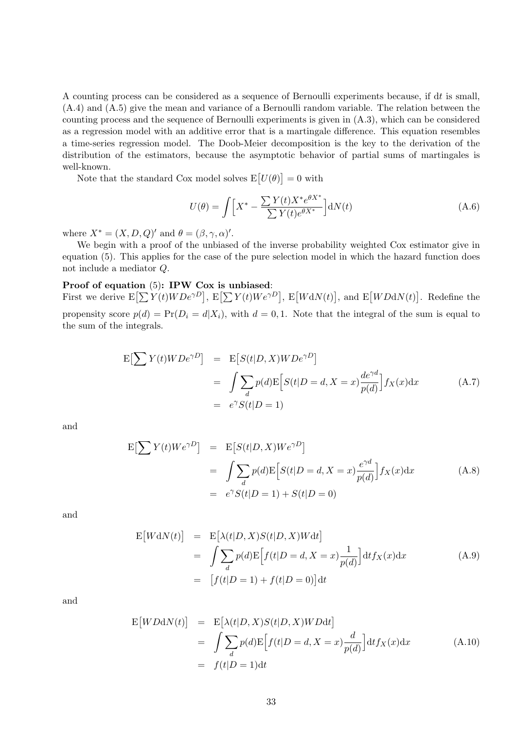A counting process can be considered as a sequence of Bernoulli experiments because, if d*t* is small, (A.4) and (A.5) give the mean and variance of a Bernoulli random variable. The relation between the counting process and the sequence of Bernoulli experiments is given in (A.3), which can be considered as a regression model with an additive error that is a martingale difference. This equation resembles a time-series regression model. The Doob-Meier decomposition is the key to the derivation of the distribution of the estimators, because the asymptotic behavior of partial sums of martingales is well-known.

Note that the standard Cox model solves  $E[U(\theta)] = 0$  with

$$
U(\theta) = \int \Big[ X^* - \frac{\sum Y(t)X^* e^{\theta X^*}}{\sum Y(t) e^{\theta X^*}} \Big] dN(t)
$$
 (A.6)

where  $X^* = (X, D, Q)'$  and  $\theta = (\beta, \gamma, \alpha)'$ .

We begin with a proof of the unbiased of the inverse probability weighted Cox estimator give in equation (5). This applies for the case of the pure selection model in which the hazard function does not include a mediator *Q*.

#### **Proof of equation** (5)**: IPW Cox is unbiased**:

First we derive  $E[\sum Y(t)WDe^{\gamma D}]$ ,  $E[\sum Y(t)We^{\gamma D}]$ ,  $E[WdN(t)]$ , and  $E[WDdN(t)]$ . Redefine the propensity score  $p(d) = Pr(D_i = d | X_i)$ , with  $d = 0, 1$ . Note that the integral of the sum is equal to the sum of the integrals.

$$
\begin{aligned} \mathcal{E}\left[\sum Y(t) W D e^{\gamma D}\right] &= \mathcal{E}\left[S(t|D, X) W D e^{\gamma D}\right] \\ &= \int \sum_{d} p(d) \mathcal{E}\left[S(t|D=d, X=x) \frac{de^{\gamma d}}{p(d)}\right] f_X(x) \, \mathrm{d}x \\ &= e^{\gamma} S(t|D=1) \end{aligned} \tag{A.7}
$$

and

$$
E[\sum Y(t)We^{\gamma D}] = E[S(t|D, X)We^{\gamma D}]
$$
  
= 
$$
\int \sum_{d} p(d)E[S(t|D = d, X = x)\frac{e^{\gamma d}}{p(d)}]f_X(x)dx
$$
  
= 
$$
e^{\gamma}S(t|D = 1) + S(t|D = 0)
$$
 (A.8)

and

$$
E[WdN(t)] = E[\lambda(t|D, X)S(t|D, X)Wdt]
$$
  
= 
$$
\int \sum_{d} p(d)E[f(t|D = d, X = x)\frac{1}{p(d)}]dt f_X(x)dx
$$
  
= 
$$
[f(t|D = 1) + f(t|D = 0)]dt
$$
 (A.9)

and

$$
E[WDdN(t)] = E[\lambda(t|D, X)S(t|D, X)WDdt]
$$
  
= 
$$
\int \sum_{d} p(d)E[f(t|D = d, X = x)\frac{d}{p(d)}]dt f_X(x)dx
$$
 (A.10)  
= 
$$
f(t|D = 1)dt
$$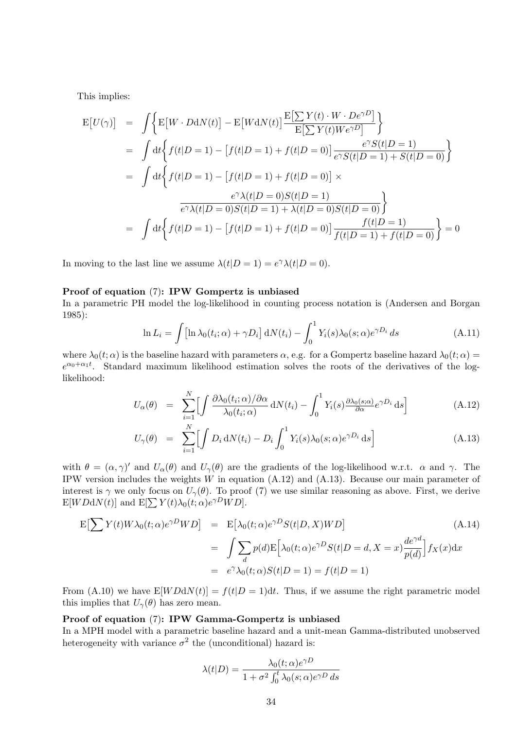This implies:

$$
E[U(\gamma)] = \int \Big\{ E[W \cdot DdN(t)] - E[WdN(t)] \frac{E[\sum Y(t) \cdot W \cdot De^{\gamma D}]}{E[\sum Y(t)We^{\gamma D}]} \Big\}
$$
  
= 
$$
\int dt \Big\{ f(t|D = 1) - [f(t|D = 1) + f(t|D = 0)] \frac{e^{\gamma} S(t|D = 1)}{e^{\gamma} S(t|D = 1) + S(t|D = 0)} \Big\}
$$
  
= 
$$
\int dt \Big\{ f(t|D = 1) - [f(t|D = 1) + f(t|D = 0)] \times
$$
  

$$
\frac{e^{\gamma} \lambda(t|D = 0) S(t|D = 1)}{e^{\gamma} \lambda(t|D = 0) S(t|D = 1) + \lambda(t|D = 0) S(t|D = 0)} \Big\}
$$
  
= 
$$
\int dt \Big\{ f(t|D = 1) - [f(t|D = 1) + f(t|D = 0)] \frac{f(t|D = 1)}{f(t|D = 1) + f(t|D = 0)} \Big\} = 0
$$

In moving to the last line we assume  $\lambda(t|D=1) = e^{\gamma} \lambda(t|D=0)$ .

#### **Proof of equation** (7)**: IPW Gompertz is unbiased**

In a parametric PH model the log-likelihood in counting process notation is (Andersen and Borgan 1985):

$$
\ln L_i = \int \left[ \ln \lambda_0(t_i; \alpha) + \gamma D_i \right] dN(t_i) - \int_0^1 Y_i(s) \lambda_0(s; \alpha) e^{\gamma D_i} ds \tag{A.11}
$$

where  $\lambda_0(t; \alpha)$  is the baseline hazard with parameters  $\alpha$ , e.g. for a Gompertz baseline hazard  $\lambda_0(t; \alpha)$  =  $e^{\alpha_0 + \alpha_1 t}$ . Standard maximum likelihood estimation solves the roots of the derivatives of the loglikelihood:

$$
U_{\alpha}(\theta) = \sum_{i=1}^{N} \left[ \int \frac{\partial \lambda_0(t_i; \alpha) / \partial \alpha}{\lambda_0(t_i; \alpha)} dN(t_i) - \int_0^1 Y_i(s) \frac{\partial \lambda_0(s; \alpha)}{\partial \alpha} e^{\gamma D_i} ds \right]
$$
(A.12)

$$
U_{\gamma}(\theta) = \sum_{i=1}^{N} \Bigl[ \int D_i \, \mathrm{d}N(t_i) - D_i \int_0^1 Y_i(s) \lambda_0(s; \alpha) e^{\gamma D_i} \, \mathrm{d}s \Bigr] \tag{A.13}
$$

with  $\theta = (\alpha, \gamma)'$  and  $U_{\alpha}(\theta)$  and  $U_{\gamma}(\theta)$  are the gradients of the log-likelihood w.r.t.  $\alpha$  and  $\gamma$ . The IPW version includes the weights *W* in equation (A.12) and (A.13). Because our main parameter of interest is  $\gamma$  we only focus on  $U_{\gamma}(\theta)$ . To proof (7) we use similar reasoning as above. First, we derive  $E[WDdN(t)]$  and  $E[\sum Y(t)\lambda_0(t;\alpha)e^{\gamma D}WD]$ .

$$
E\left[\sum Y(t)W\lambda_0(t;\alpha)e^{\gamma D}WD\right] = E\left[\lambda_0(t;\alpha)e^{\gamma D}S(t|D,X)WD\right]
$$
\n
$$
= \int \sum_d p(d)E\left[\lambda_0(t;\alpha)e^{\gamma D}S(t|D=d,X=x)\frac{de^{\gamma d}}{p(d)}\right]f_X(x)dx
$$
\n
$$
= e^{\gamma}\lambda_0(t;\alpha)S(t|D=1) = f(t|D=1)
$$
\n(A.14)

From (A.10) we have  $E[WDdN(t)] = f(t|D = 1)dt$ . Thus, if we assume the right parametric model this implies that  $U_\gamma(\theta)$  has zero mean.

#### **Proof of equation** (7)**: IPW Gamma-Gompertz is unbiased**

In a MPH model with a parametric baseline hazard and a unit-mean Gamma-distributed unobserved heterogeneity with variance  $\sigma^2$  the (unconditional) hazard is:

$$
\lambda(t|D) = \frac{\lambda_0(t;\alpha)e^{\gamma D}}{1 + \sigma^2 \int_0^t \lambda_0(s;\alpha)e^{\gamma D} ds}
$$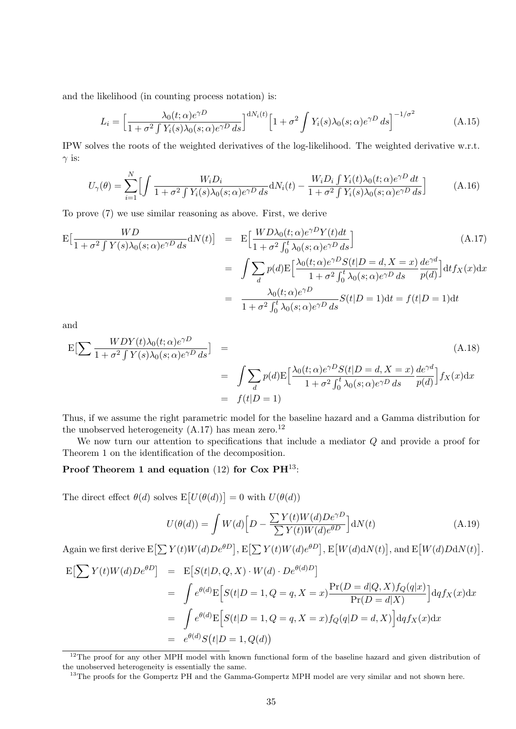and the likelihood (in counting process notation) is:

$$
L_i = \left[\frac{\lambda_0(t;\alpha)e^{\gamma D}}{1+\sigma^2\int Y_i(s)\lambda_0(s;\alpha)e^{\gamma D}ds}\right]^{dN_i(t)} \left[1+\sigma^2\int Y_i(s)\lambda_0(s;\alpha)e^{\gamma D}ds\right]^{-1/\sigma^2}
$$
(A.15)

IPW solves the roots of the weighted derivatives of the log-likelihood. The weighted derivative w.r.t. *γ* is:

$$
U_{\gamma}(\theta) = \sum_{i=1}^{N} \Big[ \int \frac{W_i D_i}{1 + \sigma^2 \int Y_i(s) \lambda_0(s; \alpha) e^{\gamma D} ds} dN_i(t) - \frac{W_i D_i \int Y_i(t) \lambda_0(t; \alpha) e^{\gamma D} dt}{1 + \sigma^2 \int Y_i(s) \lambda_0(s; \alpha) e^{\gamma D} ds} \Big]
$$
(A.16)

To prove (7) we use similar reasoning as above. First, we derive

$$
E\left[\frac{WD}{1+\sigma^2 \int Y(s)\lambda_0(s;\alpha)e^{\gamma D} ds}dN(t)\right] = E\left[\frac{WD\lambda_0(t;\alpha)e^{\gamma D}Y(t)dt}{1+\sigma^2 \int_0^t \lambda_0(s;\alpha)e^{\gamma D} ds}\right]
$$
(A.17)  

$$
= \int \sum_d p(d)E\left[\frac{\lambda_0(t;\alpha)e^{\gamma D}S(t|D=d,X=x)}{1+\sigma^2 \int_0^t \lambda_0(s;\alpha)e^{\gamma D} ds}\frac{de^{\gamma d}}{p(d)}\right]dt f_X(x)dx
$$
  

$$
= \frac{\lambda_0(t;\alpha)e^{\gamma D}}{1+\sigma^2 \int_0^t \lambda_0(s;\alpha)e^{\gamma D} ds}S(t|D=1)dt = f(t|D=1)dt
$$

and

$$
\mathcal{E}\left[\sum \frac{WDY(t)\lambda_0(t;\alpha)e^{\gamma D}}{1+\sigma^2\int Y(s)\lambda_0(s;\alpha)e^{\gamma D}ds}\right] = \int \sum_d p(d)\mathcal{E}\left[\frac{\lambda_0(t;\alpha)e^{\gamma D}S(t|D=d,X=x)}{1+\sigma^2\int_0^t \lambda_0(s;\alpha)e^{\gamma D}ds}\frac{de^{\gamma d}}{p(d)}\right]f_X(x)dx
$$
  
=  $f(t|D=1)$  (A.18)

Thus, if we assume the right parametric model for the baseline hazard and a Gamma distribution for the unobserved heterogeneity  $(A.17)$  has mean zero.<sup>12</sup>

We now turn our attention to specifications that include a mediator *Q* and provide a proof for Theorem 1 on the identification of the decomposition.

#### **Proof Theorem 1 and equation** (12) **for Cox PH**13:

The direct effect  $\theta(d)$  solves  $E[U(\theta(d))] = 0$  with  $U(\theta(d))$ 

$$
U(\theta(d)) = \int W(d) \Big[ D - \frac{\sum Y(t)W(d)De^{\gamma D}}{\sum Y(t)W(d)e^{\theta D}} \Big] dN(t)
$$
\n(A.19)

Again we first derive  $E[\sum Y(t)W(d)De^{\theta D}]$ ,  $E[\sum Y(t)W(d)e^{\theta D}]$ ,  $E[W(d)dN(t)]$ , and  $E[W(d)DAN(t)]$ .

$$
E\left[\sum Y(t)W(d)De^{\theta D}\right] = E\left[S(t|D,Q,X) \cdot W(d) \cdot De^{\theta(d)D}\right]
$$
  
\n
$$
= \int e^{\theta(d)}E\left[S(t|D=1,Q=q,X=x)\frac{\Pr(D=d|Q,X)f_Q(q|x)}{\Pr(D=d|X)}\right] dq f_X(x) dx
$$
  
\n
$$
= \int e^{\theta(d)}E\left[S(t|D=1,Q=q,X=x)f_Q(q|D=d,X)\right] dq f_X(x) dx
$$
  
\n
$$
= e^{\theta(d)}S(t|D=1,Q(d))
$$

<sup>12</sup>The proof for any other MPH model with known functional form of the baseline hazard and given distribution of the unobserved heterogeneity is essentially the same.

<sup>&</sup>lt;sup>13</sup>The proofs for the Gompertz PH and the Gamma-Gompertz MPH model are very similar and not shown here.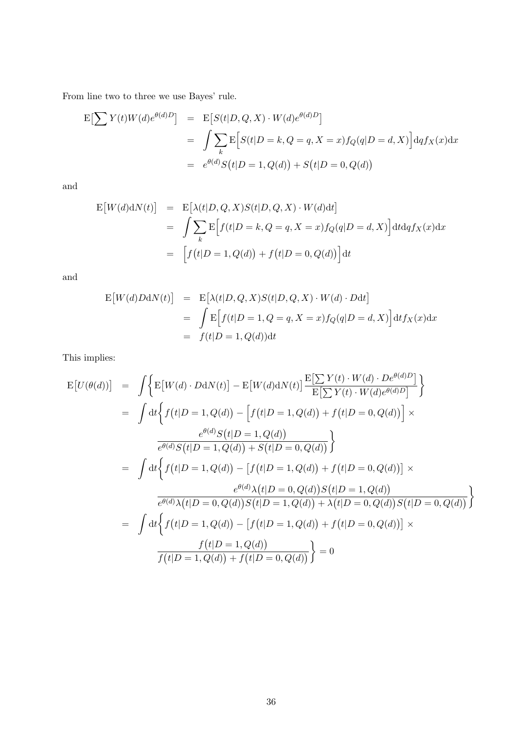From line two to three we use Bayes' rule.

$$
\begin{aligned} \mathcal{E}\left[\sum Y(t)W(d)e^{\theta(d)D}\right] &= \mathcal{E}\left[S(t|D,Q,X)\cdot W(d)e^{\theta(d)D}\right] \\ &= \int \sum_{k} \mathcal{E}\left[S(t|D=k,Q=q,X=x)f_Q(q|D=d,X)\right] dq f_X(x) dx \\ &= e^{\theta(d)}S\left(t|D=1,Q(d)\right) + S\left(t|D=0,Q(d)\right) \end{aligned}
$$

and

$$
\begin{aligned} \mathcal{E}\big[W(d)\mathrm{d}N(t)\big] &= \mathcal{E}\big[\lambda(t|D,Q,X)S(t|D,Q,X)\cdot W(d)\mathrm{d}t\big] \\ &= \int \sum_{k} \mathcal{E}\Big[f(t|D=k,Q=q,X=x)f_Q(q|D=d,X)\Big] \mathrm{d}t \mathrm{d}q f_X(x) \mathrm{d}x \\ &= \Big[f\big(t|D=1,Q(d)\big)+f\big(t|D=0,Q(d)\big)\Big] \mathrm{d}t \end{aligned}
$$

and

$$
E[W(d)DAN(t)] = E[\lambda(t|D, Q, X)S(t|D, Q, X) \cdot W(d) \cdot Ddt]
$$
  
= 
$$
\int E[f(t|D = 1, Q = q, X = x) f_Q(q|D = d, X)] dt f_X(x) dx
$$
  
= 
$$
f(t|D = 1, Q(d)) dt
$$

This implies:

$$
E[U(\theta(d))] = \int \Big\{ E[W(d) \cdot DdN(t)] - E[W(d)dN(t)] \frac{E[\sum Y(t) \cdot W(d) \cdot De^{\theta(d)D}]}{E[\sum Y(t) \cdot W(d)e^{\theta(d)D}]} \Big\}
$$
  
\n
$$
= \int dt \Big\{ f(t|D = 1, Q(d)) - \Big[ f(t|D = 1, Q(d)) + f(t|D = 0, Q(d)) \Big] \times
$$
  
\n
$$
\frac{e^{\theta(d)}S(t|D = 1, Q(d))}{e^{\theta(d)}S(t|D = 1, Q(d)) + S(t|D = 0, Q(d))} \Big\}
$$
  
\n
$$
= \int dt \Big\{ f(t|D = 1, Q(d)) - \Big[ f(t|D = 1, Q(d)) + f(t|D = 0, Q(d)) \Big] \times
$$
  
\n
$$
\frac{e^{\theta(d)}\lambda(t|D = 0, Q(d))S(t|D = 1, Q(d))}{e^{\theta(d)}\lambda(t|D = 0, Q(d))S(t|D = 1, Q(d))} + \lambda(t|D = 0, Q(d))S(t|D = 0, Q(d))} \Big\}
$$
  
\n
$$
= \int dt \Big\{ f(t|D = 1, Q(d)) - \Big[ f(t|D = 1, Q(d)) + f(t|D = 0, Q(d)) \Big] \times
$$
  
\n
$$
\frac{f(t|D = 1, Q(d))}{f(t|D = 1, Q(d)) + f(t|D = 0, Q(d))} \Big\} = 0
$$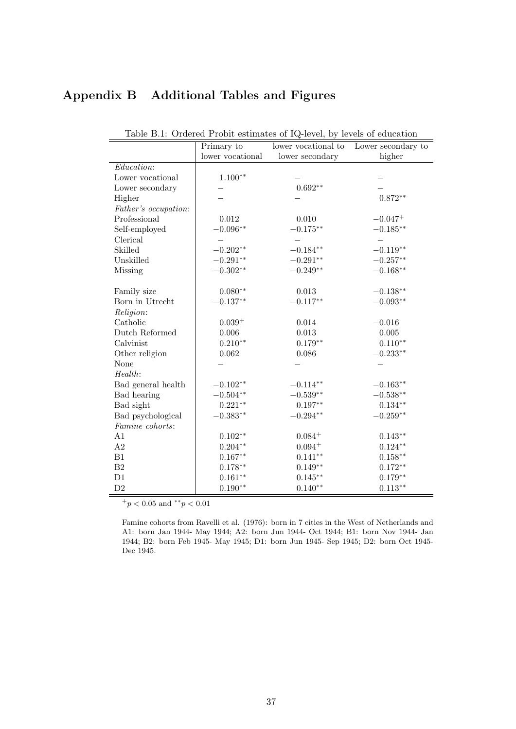## **Appendix B Additional Tables and Figures**

|                      | Primary to          | Lable D.I. Ordered I robbe commates of Le Tever, by Tevels of education<br>lower vocational to | Lower secondary to  |
|----------------------|---------------------|------------------------------------------------------------------------------------------------|---------------------|
|                      | lower vocational    | lower secondary                                                                                | higher              |
| Education:           |                     |                                                                                                |                     |
| Lower vocational     | $1.100**$           |                                                                                                |                     |
| Lower secondary      |                     | $0.692**$                                                                                      |                     |
| Higher               |                     |                                                                                                | $0.872**$           |
| Father's occupation: |                     |                                                                                                |                     |
| Professional         | 0.012               | 0.010                                                                                          | $-0.047^+$          |
| Self-employed        | $-0.096**$          | $-0.175**$                                                                                     | $-0.185**$          |
| Clerical             |                     |                                                                                                |                     |
| Skilled              | $-0.202**$          | $-0.184**$                                                                                     | $-0.119**$          |
| Unskilled            | $-0.291^{\ast\ast}$ | $-0.291**$                                                                                     | $-0.257^{\ast\ast}$ |
| <b>Missing</b>       | $-0.302**$          | $-0.249**$                                                                                     | $-0.168**$          |
|                      |                     |                                                                                                |                     |
| Family size          | $0.080**$           | 0.013                                                                                          | $-0.138**$          |
| Born in Utrecht      | $-0.137**$          | $-0.117**$                                                                                     | $-0.093**$          |
| Religion:            |                     |                                                                                                |                     |
| Catholic             | $0.039+$            | 0.014                                                                                          | $-0.016$            |
| Dutch Reformed       | $0.006\,$           | $\,0.013\,$                                                                                    | $0.005\,$           |
| Calvinist            | $0.210**$           | $0.179**$                                                                                      | $0.110**$           |
| Other religion       | 0.062               | 0.086                                                                                          | $-0.233**$          |
| None                 |                     |                                                                                                |                     |
| Health:              |                     |                                                                                                |                     |
| Bad general health   | $-0.102**$          | $-0.114**$                                                                                     | $-0.163**$          |
| Bad hearing          | $-0.504^{\ast\ast}$ | $-0.539**$                                                                                     | $-0.538**$          |
| Bad sight            | $0.221**$           | $0.197**$                                                                                      | $0.134**$           |
| Bad psychological    | $-0.383^{\ast\ast}$ | $-0.294**$                                                                                     | $-0.259^{\ast\ast}$ |
| Famine cohorts:      |                     |                                                                                                |                     |
| A1                   | $0.102**$           | $0.084 +$                                                                                      | $0.143**$           |
| $\rm A2$             | $0.204**$           | $0.094 +$                                                                                      | $0.124**$           |
| B1                   | $0.167**$           | $0.141**$                                                                                      | $0.158***$          |
| $\rm B2$             | $0.178**$           | $0.149**$                                                                                      | $0.172**$           |
| D1                   | $0.161**$           | $0.145***$                                                                                     | $0.179**$           |
| $\mathrm{D}2$        | $0.190**$           | $0.140**$                                                                                      | $0.113**$           |

| Table B.1: Ordered Probit estimates of IQ-level, by levels of education |  |  |  |  |
|-------------------------------------------------------------------------|--|--|--|--|
|-------------------------------------------------------------------------|--|--|--|--|

<sup>+</sup>*p <* 0*.*05 and *∗∗p <* 0*.*01

Famine cohorts from Ravelli et al. (1976): born in 7 cities in the West of Netherlands and A1: born Jan 1944- May 1944; A2: born Jun 1944- Oct 1944; B1: born Nov 1944- Jan 1944; B2: born Feb 1945- May 1945; D1: born Jun 1945- Sep 1945; D2: born Oct 1945- Dec 1945.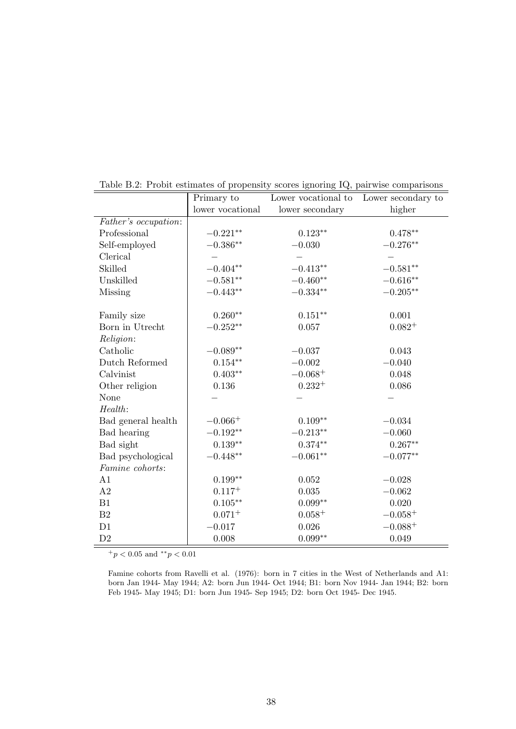|                      | Primary to       | Lower vocational to | Lower secondary to  |
|----------------------|------------------|---------------------|---------------------|
|                      | lower vocational | lower secondary     | higher              |
| Father's occupation: |                  |                     |                     |
| Professional         | $-0.221**$       | $0.123**$           | $0.478**$           |
| Self-employed        | $-0.386**$       | $-0.030$            | $-0.276**$          |
| Clerical             |                  |                     |                     |
| Skilled              | $-0.404**$       | $-0.413**$          | $-0.581^{\ast\ast}$ |
| Unskilled            | $-0.581**$       | $-0.460**$          | $-0.616**$          |
| Missing              | $-0.443**$       | $-0.334**$          | $-0.205**$          |
| Family size          | $0.260**$        | $0.151**$           | 0.001               |
| Born in Utrecht      | $-0.252**$       | 0.057               | $0.082^{+}$         |
| Religion:            |                  |                     |                     |
| Catholic             | $-0.089**$       | $-0.037$            | 0.043               |
| Dutch Reformed       | $0.154**$        | $-0.002$            | $-0.040$            |
| Calvinist            | $0.403**$        | $-0.068+$           | 0.048               |
| Other religion       | 0.136            | $0.232^{+}$         | 0.086               |
| None                 |                  |                     |                     |
| Health:              |                  |                     |                     |
| Bad general health   | $-0.066+$        | $0.109**$           | $-0.034$            |
| Bad hearing          | $-0.192**$       | $-0.213**$          | $-0.060$            |
| Bad sight            | $0.139**$        | $0.374**$           | $0.267**$           |
| Bad psychological    | $-0.448**$       | $-0.061**$          | $-0.077**$          |
| Famine cohorts:      |                  |                     |                     |
| A1                   | $0.199**$        | 0.052               | $-0.028$            |
| A2                   | $0.117^{+}$      | 0.035               | $-0.062$            |
| B1                   | $0.105***$       | $0.099**$           | 0.020               |
| B <sub>2</sub>       | $0.071^{+}$      | $0.058 +$           | $-0.058+$           |
| D1                   | $-0.017$         | 0.026               | $-0.088 +$          |
| D2                   | 0.008            | $0.099**$           | 0.049               |

Table B.2: Probit estimates of propensity scores ignoring IQ, pairwise comparisons

Famine cohorts from Ravelli et al. (1976): born in 7 cities in the West of Netherlands and A1: born Jan 1944- May 1944; A2: born Jun 1944- Oct 1944; B1: born Nov 1944- Jan 1944; B2: born Feb 1945- May 1945; D1: born Jun 1945- Sep 1945; D2: born Oct 1945- Dec 1945.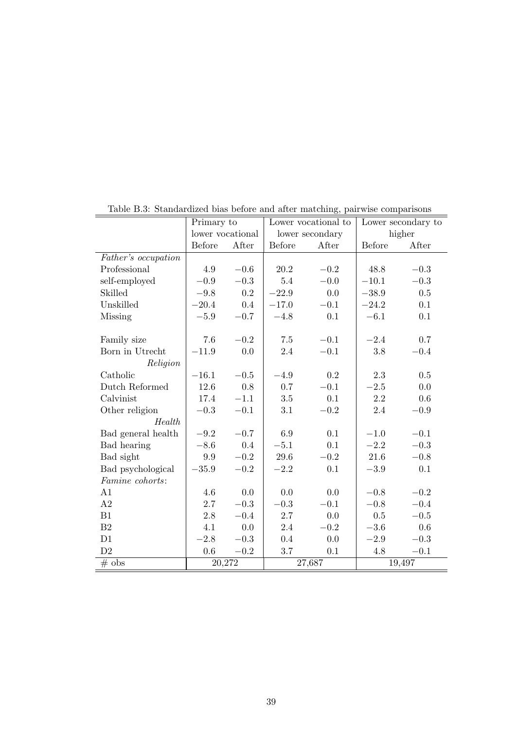|                     | Primary to       |          | Lower vocational to |                 | Lower secondary to |          |
|---------------------|------------------|----------|---------------------|-----------------|--------------------|----------|
|                     | lower vocational |          |                     | lower secondary |                    | higher   |
|                     | <b>Before</b>    | After    | Before              | After           | <b>Before</b>      | After    |
| Father's occupation |                  |          |                     |                 |                    |          |
| Professional        | 4.9              | $-0.6$   | 20.2                | $-0.2$          | 48.8               | $-0.3$   |
| self-employed       | $-0.9$           | $-0.3$   | 5.4                 | $-0.0$          | $-10.1$            | $-0.3$   |
| Skilled             | $-9.8$           | 0.2      | $-22.9$             | 0.0             | $-38.9$            | 0.5      |
| Unskilled           | $-20.4$          | 0.4      | $-17.0$             | $-0.1$          | $-24.2$            | 0.1      |
| Missing             | $-5.9$           | $-0.7$   | $-4.8$              | 0.1             | $-6.1$             | 0.1      |
|                     |                  |          |                     |                 |                    |          |
| Family size         | 7.6              | $-0.2$   | 7.5                 | $-0.1$          | $-2.4$             | 0.7      |
| Born in Utrecht     | $-11.9$          | 0.0      | 2.4                 | $-0.1$          | 3.8                | $-0.4$   |
| Religion            |                  |          |                     |                 |                    |          |
| Catholic            | $-16.1$          | $-0.5$   | $-4.9$              | 0.2             | 2.3                | 0.5      |
| Dutch Reformed      | 12.6             | 0.8      | 0.7                 | $-0.1$          | $-2.5$             | 0.0      |
| Calvinist           | 17.4             | $-1.1$   | $3.5\,$             | 0.1             | $2.2\,$            | 0.6      |
| Other religion      | $-0.3$           | $-0.1$   | 3.1                 | $-0.2$          | 2.4                | $-0.9$   |
| Health              |                  |          |                     |                 |                    |          |
| Bad general health  | $-9.2$           | $-0.7$   | 6.9                 | 0.1             | $-1.0$             | $-0.1$   |
| Bad hearing         | $-8.6$           | 0.4      | $-5.1$              | 0.1             | $-2.2$             | $-0.3$   |
| Bad sight           | 9.9              | $-0.2$   | 29.6                | $-0.2$          | 21.6               | $-0.8$   |
| Bad psychological   | $-35.9$          | $\!-0.2$ | $-2.2$              | 0.1             | $-3.9\,$           | 0.1      |
| Famine cohorts:     |                  |          |                     |                 |                    |          |
| A1                  | $4.6\,$          | 0.0      | 0.0                 | 0.0             | $-0.8$             | $\!-0.2$ |
| A2                  | 2.7              | $-0.3$   | $-0.3$              | $-0.1$          | $-0.8$             | $-0.4$   |
| B1                  | 2.8              | $-0.4$   | 2.7                 | 0.0             | 0.5                | $-0.5$   |
| B <sub>2</sub>      | 4.1              | 0.0      | 2.4                 | $-0.2$          | $-3.6$             | 0.6      |
| D1                  | $-2.8$           | $-0.3$   | 0.4                 | 0.0             | $-2.9$             | $-0.3$   |
| D2                  | 0.6              | $-0.2$   | 3.7                 | 0.1             | 4.8                | $-0.1$   |
| $#$ obs             | 20,272           |          |                     | 27,687          |                    | 19,497   |

Table B.3: Standardized bias before and after matching, pairwise comparisons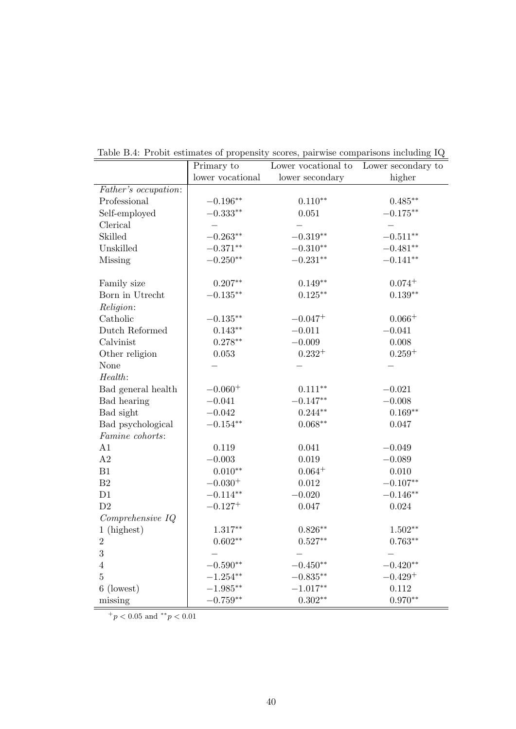|                      | Primary to       | Lower vocational to | Lower secondary to |
|----------------------|------------------|---------------------|--------------------|
|                      | lower vocational | lower secondary     | higher             |
| Father's occupation: |                  |                     |                    |
| Professional         | $-0.196**$       | $0.110**$           | $0.485**$          |
| Self-employed        | $-0.333**$       | 0.051               | $-0.175**$         |
| Clerical             |                  |                     |                    |
| Skilled              | $-0.263**$       | $-0.319**$          | $-0.511**$         |
| Unskilled            | $-0.371**$       | $-0.310**$          | $-0.481**$         |
| <b>Missing</b>       | $-0.250**$       | $-0.231**$          | $-0.141**$         |
| Family size          | $0.207**$        | $0.149**$           | $0.074 +$          |
| Born in Utrecht      | $-0.135**$       | $0.125**$           | $0.139**$          |
| Religion:            |                  |                     |                    |
| Catholic             | $-0.135***$      | $-0.047^{+}$        | $0.066+$           |
| Dutch Reformed       | $0.143**$        | $-0.011$            | $-0.041$           |
| Calvinist            | $0.278**$        | $-0.009$            | 0.008              |
| Other religion       | 0.053            | $0.232^{+}$         | $0.259^{+}$        |
| None                 |                  |                     |                    |
| Health:              |                  |                     |                    |
| Bad general health   | $-0.060^{+}$     | $0.111***$          | $-0.021$           |
| Bad hearing          | $-0.041$         | $-0.147**$          | $-0.008$           |
| Bad sight            | $-0.042$         | $0.244**$           | $0.169**$          |
| Bad psychological    | $-0.154**$       | $0.068**$           | 0.047              |
| Famine cohorts:      |                  |                     |                    |
| A1                   | 0.119            | 0.041               | $-0.049$           |
| $\rm A2$             | $-0.003$         | 0.019               | $-0.089$           |
| B1                   | $0.010**$        | $0.064^{+}$         | $0.010\,$          |
| $\rm B2$             | $-0.030^{+}$     | $0.012\,$           | $-0.107**$         |
| D1                   | $-0.114**$       | $-0.020$            | $-0.146**$         |
| D2                   | $-0.127^{+}$     | 0.047               | 0.024              |
| Comprehensive IQ     |                  |                     |                    |
| 1 (highest)          | $1.317**$        | $0.826**$           | $1.502**$          |
| $\sqrt{2}$           | $0.602**$        | $0.527**$           | $0.763**$          |
| 3                    |                  |                     |                    |
| $\overline{4}$       | $-0.590**$       | $-0.450**$          | $-0.420**$         |
| $\overline{5}$       | $-1.254**$       | $-0.835**$          | $-0.429+$          |
| 6 (lowest)           | $-1.985**$       | $-1.017**$          | 0.112              |
| missing              | $-0.759**$       | $0.302**$           | $0.970**$          |

Table B.4: Probit estimates of propensity scores, pairwise comparisons including IQ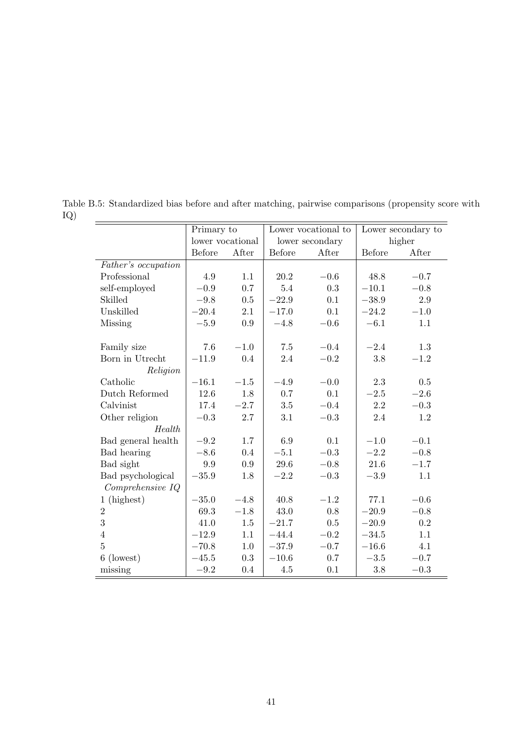|                     | Primary to       |         |         | Lower vocational to |         | Lower secondary to |
|---------------------|------------------|---------|---------|---------------------|---------|--------------------|
|                     | lower vocational |         |         | lower secondary     |         | higher             |
|                     | <b>Before</b>    | After   | Before  | After               | Before  | After              |
| Father's occupation |                  |         |         |                     |         |                    |
| Professional        | 4.9              | 1.1     | 20.2    | $-0.6$              | 48.8    | $-0.7$             |
| self-employed       | $-0.9$           | 0.7     | 5.4     | 0.3                 | $-10.1$ | $-0.8$             |
| Skilled             | $-9.8$           | 0.5     | $-22.9$ | 0.1                 | $-38.9$ | $2.9\,$            |
| Unskilled           | $-20.4$          | 2.1     | $-17.0$ | 0.1                 | $-24.2$ | $-1.0$             |
| Missing             | $-5.9$           | 0.9     | $-4.8$  | $-0.6$              | $-6.1$  | 1.1                |
| Family size         | 7.6              | $-1.0$  | 7.5     | $-0.4$              | $-2.4$  | 1.3                |
| Born in Utrecht     | $-11.9$          | 0.4     | 2.4     | $-0.2$              | $3.8\,$ | $-1.2$             |
| Religion            |                  |         |         |                     |         |                    |
| Catholic            | $-16.1$          | $-1.5$  | $-4.9$  | $-0.0$              | 2.3     | 0.5                |
| Dutch Reformed      | 12.6             | 1.8     | 0.7     | 0.1                 | $-2.5$  | $-2.6$             |
| Calvinist           | 17.4             | $-2.7$  | 3.5     | $-0.4$              | 2.2     | $\!-0.3$           |
| Other religion      | $-0.3$           | 2.7     | 3.1     | $-0.3$              | 2.4     | $1.2\,$            |
| Health              |                  |         |         |                     |         |                    |
| Bad general health  | $-9.2$           | 1.7     | 6.9     | 0.1                 | $-1.0$  | $-0.1$             |
| Bad hearing         | $-8.6$           | 0.4     | $-5.1$  | $-0.3\,$            | $-2.2$  | $-0.8$             |
| Bad sight           | $\rm 9.9$        | 0.9     | 29.6    | $-0.8$              | 21.6    | $-1.7$             |
| Bad psychological   | $-35.9$          | 1.8     | $-2.2$  | $-0.3$              | $-3.9$  | 1.1                |
| Comprehensive IQ    |                  |         |         |                     |         |                    |
| 1 (highest)         | $-35.0$          | $-4.8$  | 40.8    | $-1.2$              | 77.1    | $-0.6$             |
| $\overline{2}$      | 69.3             | $-1.8$  | 43.0    | 0.8                 | $-20.9$ | $-0.8$             |
| $\overline{3}$      | 41.0             | $1.5\,$ | $-21.7$ | $0.5\,$             | $-20.9$ | 0.2                |
| $\overline{4}$      | $-12.9$          | 1.1     | $-44.4$ | $-0.2$              | $-34.5$ | 1.1                |
| $\overline{5}$      | $-70.8$          | 1.0     | $-37.9$ | $-0.7$              | $-16.6$ | 4.1                |
| 6 (lowest)          | $-45.5$          | 0.3     | $-10.6$ | $0.7\,$             | $-3.5$  | $-0.7$             |
| missing             | $-9.2$           | 0.4     | $4.5\,$ | 0.1                 | 3.8     | $-0.3$             |

Table B.5: Standardized bias before and after matching, pairwise comparisons (propensity score with IQ)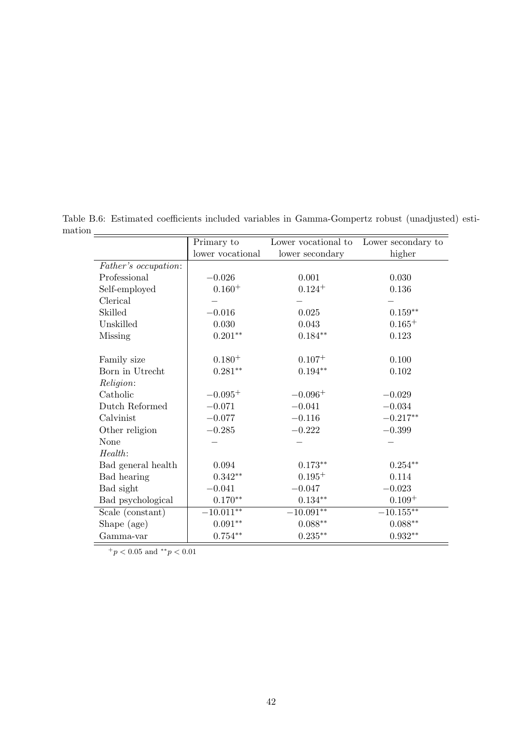|                      | Primary to         | Lower vocational to | Lower secondary to |
|----------------------|--------------------|---------------------|--------------------|
|                      | lower vocational   | lower secondary     | higher             |
| Father's occupation: |                    |                     |                    |
| Professional         | $-0.026$           | 0.001               | 0.030              |
| Self-employed        | $0.160^{+}$        | $0.124 +$           | 0.136              |
| Clerical             |                    |                     |                    |
| Skilled              | $-0.016$           | 0.025               | $0.159^{\ast\ast}$ |
| Unskilled            | 0.030              | 0.043               | $0.165^{+}$        |
| Missing              | $0.201**$          | $0.184**$           | 0.123              |
| Family size          | $0.180^{+}$        | $0.107 +$           | 0.100              |
| Born in Utrecht      | $0.281^{\ast\ast}$ | $0.194**$           | 0.102              |
| Religion:            |                    |                     |                    |
| Catholic             | $-0.095^{+}$       | $-0.096+$           | $-0.029$           |
| Dutch Reformed       | $-0.071$           | $-0.041$            | $-0.034$           |
| Calvinist            | $-0.077$           | $-0.116$            | $-0.217**$         |
| Other religion       | $-0.285$           | $-0.222$            | $-0.399$           |
| None                 |                    |                     |                    |
| Health:              |                    |                     |                    |
| Bad general health   | 0.094              | $0.173**$           | $0.254**$          |
| Bad hearing          | $0.342**$          | $0.195^{+}$         | 0.114              |
| Bad sight            | $-0.041$           | $-0.047$            | $-0.023$           |
| Bad psychological    | $0.170**$          | $0.134**$           | $0.109 +$          |
| Scale (constant)     | $-10.011**$        | $-10.091**$         | $-10.155**$        |
| Shape (age)          | $0.091**$          | $0.088^{\ast\ast}$  | $0.088**$          |
| Gamma-var            | $0.754**$          | $0.235***$          | $0.932**$          |

Table B.6: Estimated coefficients included variables in Gamma-Gompertz robust (unadjusted) esti- $\begin{array}{c|c}\n\hline\n\text{mation} & \text{mation} \\
\hline\n\end{array}$ Primary to Lower vocational to Lower secondary to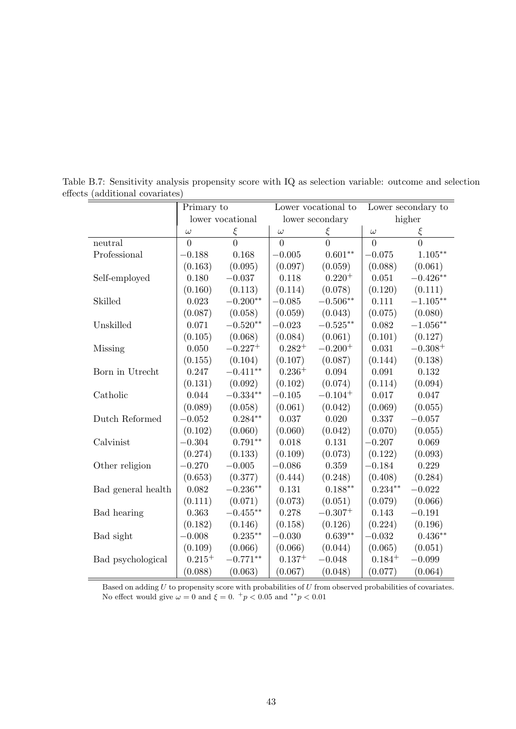|                    | Primary to  |                  |                | Lower vocational to   |             | Lower secondary to |
|--------------------|-------------|------------------|----------------|-----------------------|-------------|--------------------|
|                    |             | lower vocational |                | lower secondary       |             | higher             |
|                    | $\omega$    | $\xi$            | $\omega$       | ξ                     | $\omega$    | ξ                  |
| neutral            | $\theta$    | $\overline{0}$   | $\overline{0}$ | $\overline{0}$        | $\theta$    | $\overline{0}$     |
| Professional       | $-0.188$    | 0.168            | $-0.005$       | $0.601**$             | $-0.075$    | $1.105***$         |
|                    | (0.163)     | (0.095)          | (0.097)        | (0.059)               | (0.088)     | (0.061)            |
| Self-employed      | 0.180       | $-0.037$         | 0.118          | $0.220 +$             | 0.051       | $-0.426**$         |
|                    | (0.160)     | (0.113)          | (0.114)        | (0.078)               | (0.120)     | (0.111)            |
| Skilled            | 0.023       | $-0.200**$       | $-0.085$       | $-0.506**$            | 0.111       | $-1.105**$         |
|                    | (0.087)     | (0.058)          | (0.059)        | (0.043)               | (0.075)     | (0.080)            |
| Unskilled          | 0.071       | $-0.520**$       | $-0.023$       | $-0.525**$            | 0.082       | $-1.056**$         |
|                    | (0.105)     | (0.068)          | (0.084)        | (0.061)               | (0.101)     | (0.127)            |
| Missing            | 0.050       | $-0.227^{+}$     | $0.282^{+}$    | $-0.200^{+}$          | 0.031       | $-0.308^{+}$       |
|                    | (0.155)     | (0.104)          | (0.107)        | (0.087)               | (0.144)     | (0.138)            |
| Born in Utrecht    | 0.247       | $-0.411**$       | $0.236+$       | 0.094                 | 0.091       | 0.132              |
|                    | (0.131)     | (0.092)          | (0.102)        | (0.074)               | (0.114)     | (0.094)            |
| Catholic           | 0.044       | $-0.334**$       | $-0.105$       | $-0.104$ <sup>+</sup> | 0.017       | 0.047              |
|                    | (0.089)     | (0.058)          | (0.061)        | (0.042)               | (0.069)     | (0.055)            |
| Dutch Reformed     | $-0.052$    | $0.284**$        | 0.037          | 0.020                 | 0.337       | $-0.057$           |
|                    | (0.102)     | (0.060)          | (0.060)        | (0.042)               | (0.070)     | (0.055)            |
| Calvinist          | $-0.304$    | $0.791**$        | 0.018          | 0.131                 | $-0.207$    | 0.069              |
|                    | (0.274)     | (0.133)          | (0.109)        | (0.073)               | (0.122)     | (0.093)            |
| Other religion     | $-0.270$    | $-0.005$         | $-0.086$       | 0.359                 | $-0.184$    | 0.229              |
|                    | (0.653)     | (0.377)          | (0.444)        | (0.248)               | (0.408)     | (0.284)            |
| Bad general health | 0.082       | $-0.236**$       | 0.131          | $0.188**$             | $0.234**$   | $-0.022$           |
|                    | (0.111)     | (0.071)          | (0.073)        | (0.051)               | (0.079)     | (0.066)            |
| Bad hearing        | 0.363       | $-0.455***$      | 0.278          | $-0.307+$             | 0.143       | $-0.191$           |
|                    | (0.182)     | (0.146)          | (0.158)        | (0.126)               | (0.224)     | (0.196)            |
| Bad sight          | $-0.008$    | $0.235***$       | $-0.030$       | $0.639**$             | $-0.032$    | $0.436**$          |
|                    | (0.109)     | (0.066)          | (0.066)        | (0.044)               | (0.065)     | (0.051)            |
| Bad psychological  | $0.215^{+}$ | $-0.771**$       | $0.137^{+}$    | $-0.048$              | $0.184^{+}$ | $-0.099$           |
|                    | (0.088)     | (0.063)          | (0.067)        | (0.048)               | (0.077)     | (0.064)            |

Table B.7: Sensitivity analysis propensity score with IQ as selection variable: outcome and selection effects (additional covariates)

Based on adding *U* to propensity score with probabilities of *U* from observed probabilities of covariates. No effect would give  $\omega = 0$  and  $\xi = 0$ .  $^{+}p < 0.05$  and  $^{*}p < 0.01$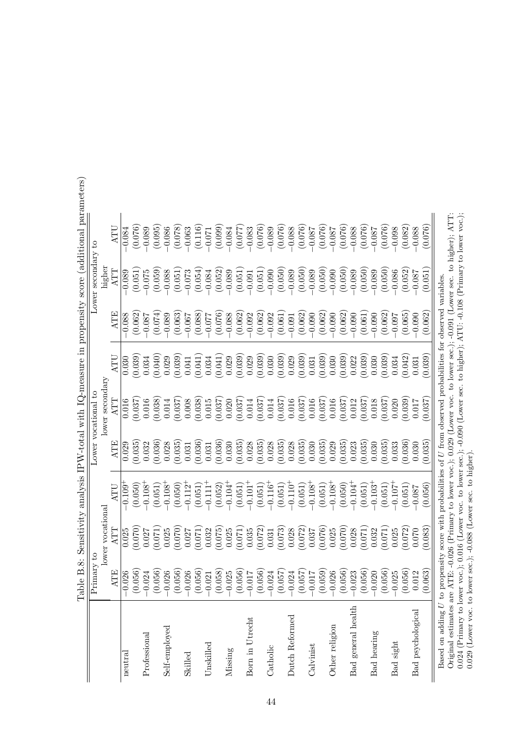|                                                                                                                                       |                                                          |                  |                                                                                                              |         |                     |         |          |                    | тара Осторов С. 2004 года и 100 км представит и 100 км представить с 100 км представить с 100 км представить с |
|---------------------------------------------------------------------------------------------------------------------------------------|----------------------------------------------------------|------------------|--------------------------------------------------------------------------------------------------------------|---------|---------------------|---------|----------|--------------------|----------------------------------------------------------------------------------------------------------------|
|                                                                                                                                       | Primary to                                               |                  |                                                                                                              |         | Lower vocational to |         |          | Lower secondary to |                                                                                                                |
|                                                                                                                                       |                                                          | lower vocational |                                                                                                              |         | lower secondary     |         |          | higher             |                                                                                                                |
|                                                                                                                                       | ATE                                                      | ATT              | ATU                                                                                                          | ATE     | ATT                 | ATU     | ATE      | ATT                | ATU                                                                                                            |
| neutral                                                                                                                               | .026<br>$ \vec{\cdot} $                                  | 0.025            | $-0.109$ <sup>+</sup>                                                                                        | 0.029   | 0.016               | 0.030   | $-0.088$ | $-0.089$           | $-0.084$                                                                                                       |
|                                                                                                                                       | (056)                                                    | (0.070)          | (0.050)                                                                                                      | (0.035) | (0.037)             | (0.039) | (0.062)  | (0.051)            | (0.076)                                                                                                        |
| Professional                                                                                                                          | .024                                                     | 0.027            | $-0.108 +$                                                                                                   | 0.032   | 0.016               | 0.034   | $-0.087$ | $-0.075$           | $-0.089$                                                                                                       |
|                                                                                                                                       | (056)                                                    | (0.071)          | (0.051)                                                                                                      | (0.036) | (0.038)             | (0.040) | (0.074)  | (0.059)            | (0.095)                                                                                                        |
| Self-employed                                                                                                                         | .026                                                     | 0.025            | $-0.108 +$                                                                                                   | 0.028   | 0.014               | 0.029   | $-0.089$ | $-0.088$           | $-0.086$                                                                                                       |
|                                                                                                                                       | (056)                                                    | (0.070)          | (0.050)                                                                                                      | (0.035) | (0.037)             | (0.039) | (0.063)  | (0.051)            | (0.078)                                                                                                        |
| Skilled                                                                                                                               | .026                                                     | 0.027            | $-0.112$ <sup>+</sup>                                                                                        | 0.031   | 0.008               | 0.041   | $-0.067$ | $-0.073$           | $-0.063$                                                                                                       |
|                                                                                                                                       | (056)                                                    | (0.071)          | (0.051)                                                                                                      | (0.036) | (0.038)             | (0.041) | (0.088)  | (0.054)            | (0.116)                                                                                                        |
| Unskilled                                                                                                                             | .021                                                     | 0.032            | $-0.111$ <sup>+</sup>                                                                                        | 0.031   | 0.015               | 0.034   | $-0.077$ | $-0.084$           | $-0.071$                                                                                                       |
|                                                                                                                                       | (858)                                                    | (0.075)          | (0.052)                                                                                                      | (0.036) | (0.037)             | (0.041) | (0.076)  | (0.052)            | (0.099)                                                                                                        |
| Missing                                                                                                                               | 025                                                      | 0.025            | $-0.104+$                                                                                                    | 0.030   | 0.020               | 0.029   | $-0.088$ | $-0.089$           | $-0.084$                                                                                                       |
|                                                                                                                                       | (056)                                                    | (0.071)          | (0.051)                                                                                                      | (0.035) | (0.037)             | (0.039) | (0.062)  | (0.051)            | (0.077)                                                                                                        |
| Born in Utrecht                                                                                                                       | 710.                                                     | 0.035            | $-0.101 +$                                                                                                   | 0.028   | 0.014               | 0.029   | $-0.092$ | $-0.091$           | $-0.083$                                                                                                       |
|                                                                                                                                       | (056)                                                    | (0.072)          | (0.051)                                                                                                      | (0.035) | (0.037)             | (0.039) | (0.062)  | (0.051)            | (0.076)                                                                                                        |
| Catholic                                                                                                                              | .024                                                     | 0.031            | $-0.116^{+}$                                                                                                 | 0.028   | 0.014               | 0.030   | $-0.092$ | $-0.090$           | $-0.089$                                                                                                       |
|                                                                                                                                       | (57)                                                     | (0.073)          | (0.051)                                                                                                      | (0.035) | (0.037)             | (0.039) | (0.061)  | (0.050)            | (0.076)                                                                                                        |
| Dutch Reformed                                                                                                                        | 024                                                      | 0.028            | $-0.110^{+}$                                                                                                 | 0.028   | 0.016               | 0.029   | $-0.091$ | $-0.089$           | $-0.088$                                                                                                       |
|                                                                                                                                       | .057                                                     | (0.072)          | (0.051)                                                                                                      | (0.035) | (0.037)             | (0.039) | (0.062)  | (0.050)            | (0.076)                                                                                                        |
| Calvinist                                                                                                                             | 710                                                      | 0.037            | $-0.108 +$                                                                                                   | 0.030   | 0.016               | 0.031   | $-0.090$ | $-0.089$           | $-0.087$                                                                                                       |
|                                                                                                                                       | (659)                                                    | (0.076)          | (0.051)                                                                                                      | (0.035) | (0.037)             | (0.039) | (0.062)  | (0.050)            | (0.076)                                                                                                        |
| Other religion                                                                                                                        | .026                                                     | 0.025            | $-0.108 +$                                                                                                   | 0.029   | 0.016               | 0.030   | $-0.090$ | $-0.090$           | $-0.087$                                                                                                       |
|                                                                                                                                       | (056)                                                    | (0.070)          | (0.050)                                                                                                      | (0.035) | (0.037)             | (0.039) | (0.062)  | (0.050)            | (0.076)                                                                                                        |
| Bad general health                                                                                                                    | 023                                                      | 0.028            | $-0.104$ <sup>+</sup>                                                                                        | 0.023   | 0.012               | 0.022   | $-0.090$ | $-0.089$           | $-0.088$                                                                                                       |
|                                                                                                                                       | (056)<br><u>Specie e cheche presidente e cheche e co</u> | (120.0)          | (0.051)                                                                                                      | (0.035) | (0.037)             | (0.039) | (0.061)  | (0.050)            | (0.076)                                                                                                        |
| <b>Bad</b> hearing                                                                                                                    | 020                                                      | 0.032            | $-0.103+$                                                                                                    | 0.030   | 0.018               | 0.030   | $-0.090$ | $-0.089$           | $-0.087$                                                                                                       |
|                                                                                                                                       | (36)                                                     | (120.0)          | (0.051)                                                                                                      | (0.035) | (0.037)             | (0.039) | (0.062)  | (0.050)            | (0.076)                                                                                                        |
| Bad sight                                                                                                                             | 025                                                      | 0.025            | $-7.01.0$                                                                                                    | 0.033   | 0.020               | 0.034   | $-0.097$ | $-0.086$           | $-0.098$                                                                                                       |
|                                                                                                                                       | (056)                                                    | (0.072)          | (0.051)                                                                                                      | (0.036) | (0.039)             | (0.042) | (0.065)  | (0.052)            | (0.082)                                                                                                        |
| Bad psychological                                                                                                                     | 012                                                      | 0.070            | $-0.087$                                                                                                     | 0.030   | 0.017               | 0.031   | $-0.090$ | $-0.087$           | $-0.088$                                                                                                       |
|                                                                                                                                       | (63)                                                     | (0.083)          | (0.056)                                                                                                      | (0.035) | (0.037)             | (0.039) | (0.062)  | (0.051)            | (0.076)                                                                                                        |
| Based on adding $U$ to propensity score with probabilities of $U$ from observed probabilities for observed variables.                 |                                                          |                  |                                                                                                              |         |                     |         |          |                    |                                                                                                                |
| Original estimates are ATE: $-0.026$ (Primary to lower voc.); 0.029 (Lower voc. to lower sec.); $-0.091$ (Lower sec. to higher); ATT: |                                                          |                  |                                                                                                              |         |                     |         |          |                    |                                                                                                                |
| $0.024$ (Primary to lower                                                                                                             |                                                          |                  | voc.); 0.016 (Lower voc. to lower sec.); -0.090 (Lower sec. to higher); ATU: -0.108 (Primary to lower voc.); |         |                     |         |          |                    |                                                                                                                |
| 0.029 (Lower voc. to lower sec.); -0.088 (Lower sec. to higher)                                                                       |                                                          |                  |                                                                                                              |         |                     |         |          |                    |                                                                                                                |

Table B.8: Sensitivity analysis IPW-total with IQ-measure in propensity score (additional parameters) Table B.8: Sensitivity analysis IPW-total with IQ-measure in propensity score (additional parameters)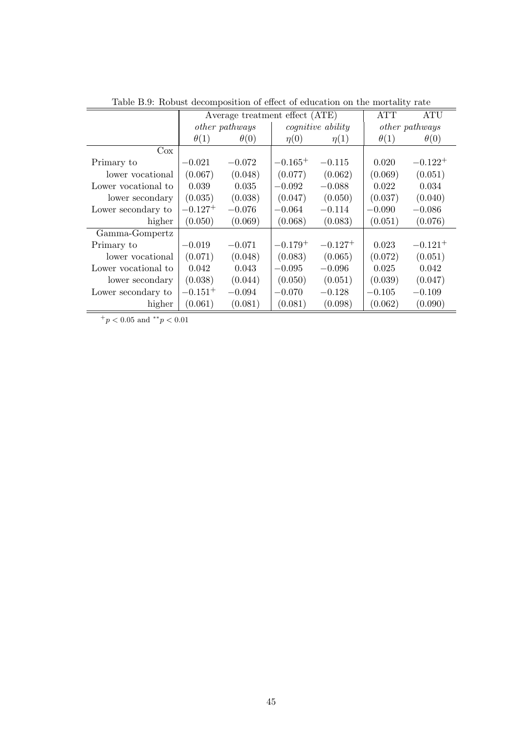|                     |              | Average treatment effect (ATE) |              |                          | <b>ATT</b>  | <b>ATU</b>            |
|---------------------|--------------|--------------------------------|--------------|--------------------------|-------------|-----------------------|
|                     |              | <i>other pathways</i>          |              | <i>cognitive ability</i> |             | <i>other pathways</i> |
|                     | $\theta(1)$  | $\theta(0)$                    | $\eta(0)$    | $\eta(1)$                | $\theta(1)$ | $\theta(0)$           |
| $\cos$              |              |                                |              |                          |             |                       |
| Primary to          | $-0.021$     | $-0.072$                       | $-0.165+$    | $-0.115$                 | 0.020       | $-0.122^{+}$          |
| lower vocational    | (0.067)      | (0.048)                        | (0.077)      | (0.062)                  | (0.069)     | (0.051)               |
| Lower vocational to | 0.039        | 0.035                          | $-0.092$     | $-0.088$                 | 0.022       | 0.034                 |
| lower secondary     | (0.035)      | (0.038)                        | (0.047)      | (0.050)                  | (0.037)     | (0.040)               |
| Lower secondary to  | $-0.127^{+}$ | $-0.076$                       | $-0.064$     | $-0.114$                 | $-0.090$    | $-0.086$              |
| higher              | (0.050)      | (0.069)                        | (0.068)      | (0.083)                  | (0.051)     | (0.076)               |
| Gamma-Gompertz      |              |                                |              |                          |             |                       |
| Primary to          | $-0.019$     | $-0.071$                       | $-0.179^{+}$ | $-0.127^{+}$             | 0.023       | $-0.121^{+}$          |
| lower vocational    | (0.071)      | (0.048)                        | (0.083)      | (0.065)                  | (0.072)     | (0.051)               |
| Lower vocational to | 0.042        | 0.043                          | $-0.095$     | $-0.096$                 | 0.025       | 0.042                 |
| lower secondary     | (0.038)      | (0.044)                        | (0.050)      | (0.051)                  | (0.039)     | (0.047)               |
| Lower secondary to  | $-0.151^{+}$ | $-0.094$                       | $-0.070$     | $-0.128$                 | $-0.105$    | $-0.109$              |
| higher              | (0.061)      | (0.081)                        | (0.081)      | (0.098)                  | (0.062)     | (0.090)               |

Table B.9: Robust decomposition of effect of education on the mortality rate

 $+ p < 0.05$  and  $*^* p < 0.01$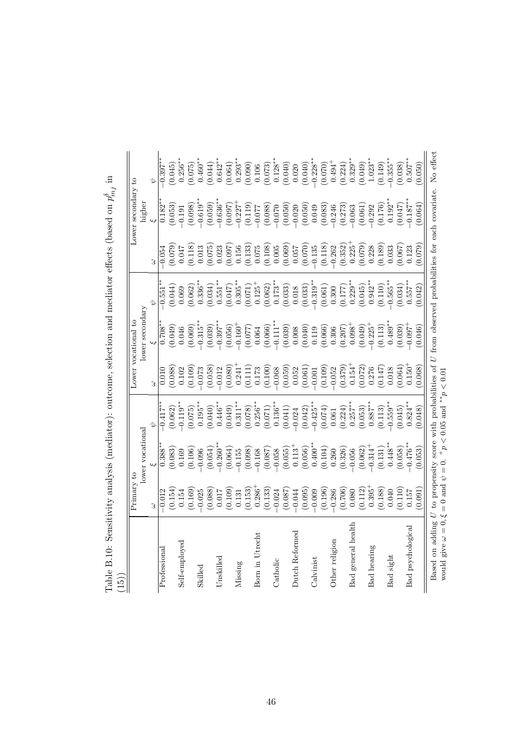| (15)                                  |                                                              |                                                                                                                                                                                                                                                                                                                                                 |                                                                                                                                                                                                                                                                                                                           |                                                                                                                                                                                                             |                                                                                                                                                                                                                                                                                                                                                  |                                                                                                                     |                                                                                                                                                                                                                                                                                                                       |                                                                                                                                                    |                                                                                                                    |
|---------------------------------------|--------------------------------------------------------------|-------------------------------------------------------------------------------------------------------------------------------------------------------------------------------------------------------------------------------------------------------------------------------------------------------------------------------------------------|---------------------------------------------------------------------------------------------------------------------------------------------------------------------------------------------------------------------------------------------------------------------------------------------------------------------------|-------------------------------------------------------------------------------------------------------------------------------------------------------------------------------------------------------------|--------------------------------------------------------------------------------------------------------------------------------------------------------------------------------------------------------------------------------------------------------------------------------------------------------------------------------------------------|---------------------------------------------------------------------------------------------------------------------|-----------------------------------------------------------------------------------------------------------------------------------------------------------------------------------------------------------------------------------------------------------------------------------------------------------------------|----------------------------------------------------------------------------------------------------------------------------------------------------|--------------------------------------------------------------------------------------------------------------------|
|                                       | Primary to                                                   | lower vocational                                                                                                                                                                                                                                                                                                                                |                                                                                                                                                                                                                                                                                                                           | Lower vocational                                                                                                                                                                                            | lower secondary                                                                                                                                                                                                                                                                                                                                  |                                                                                                                     |                                                                                                                                                                                                                                                                                                                       | Lower secondary to<br>higher                                                                                                                       |                                                                                                                    |
|                                       |                                                              |                                                                                                                                                                                                                                                                                                                                                 |                                                                                                                                                                                                                                                                                                                           | 3                                                                                                                                                                                                           |                                                                                                                                                                                                                                                                                                                                                  |                                                                                                                     |                                                                                                                                                                                                                                                                                                                       |                                                                                                                                                    |                                                                                                                    |
| Professional                          | 0.012                                                        | $0.388^{**}$                                                                                                                                                                                                                                                                                                                                    | $-0.417*$                                                                                                                                                                                                                                                                                                                 | 0.010                                                                                                                                                                                                       | $0.708*$                                                                                                                                                                                                                                                                                                                                         | 0.551                                                                                                               | 0.054                                                                                                                                                                                                                                                                                                                 | $0.182*$                                                                                                                                           | $0.397**$                                                                                                          |
|                                       | (0.154)                                                      |                                                                                                                                                                                                                                                                                                                                                 | (0.062)                                                                                                                                                                                                                                                                                                                   | (0.088)                                                                                                                                                                                                     |                                                                                                                                                                                                                                                                                                                                                  | (0.044)                                                                                                             |                                                                                                                                                                                                                                                                                                                       | (0.053)                                                                                                                                            | $(0.045)$<br>$0.256***$                                                                                            |
| Self-employed                         | 0.154                                                        | $\begin{array}{c} (0.083) \\ 0.169 \end{array}$                                                                                                                                                                                                                                                                                                 | $-0.119**$                                                                                                                                                                                                                                                                                                                | 0.102                                                                                                                                                                                                       | $(0.049)$<br>0.046                                                                                                                                                                                                                                                                                                                               | 0.069                                                                                                               | $710.079$<br>0.047                                                                                                                                                                                                                                                                                                    | $-0.191$                                                                                                                                           |                                                                                                                    |
|                                       | (0.169)                                                      | $(0.106)$<br>$-0.096$                                                                                                                                                                                                                                                                                                                           | (0.075)                                                                                                                                                                                                                                                                                                                   | (0.109)                                                                                                                                                                                                     | (0.069)                                                                                                                                                                                                                                                                                                                                          | (0.062)                                                                                                             | $\begin{array}{c} (0.118) \\ 0.013 \end{array}$                                                                                                                                                                                                                                                                       | (0.098)                                                                                                                                            | (0.075)                                                                                                            |
| Skilled                               | $-0.025$                                                     |                                                                                                                                                                                                                                                                                                                                                 | $0.195**$                                                                                                                                                                                                                                                                                                                 | $-0.073$                                                                                                                                                                                                    | $-0.315*$                                                                                                                                                                                                                                                                                                                                        | $0.336**$                                                                                                           |                                                                                                                                                                                                                                                                                                                       | $-0.619**$                                                                                                                                         | $0.460**$                                                                                                          |
|                                       | (0.088)                                                      | (0.054)                                                                                                                                                                                                                                                                                                                                         | (0.040)                                                                                                                                                                                                                                                                                                                   | (0.058)                                                                                                                                                                                                     | (0.039)                                                                                                                                                                                                                                                                                                                                          | (0.034)                                                                                                             | $(0.075)$<br>$0.023$                                                                                                                                                                                                                                                                                                  | (0.059)                                                                                                                                            | (0.044)                                                                                                            |
| Unskilled                             | 710.0                                                        | $-0.260**$                                                                                                                                                                                                                                                                                                                                      | $0.446**$                                                                                                                                                                                                                                                                                                                 | $-0.012$                                                                                                                                                                                                    | $-0.397$ *                                                                                                                                                                                                                                                                                                                                       | $0.551***$                                                                                                          |                                                                                                                                                                                                                                                                                                                       | $-0.636***$                                                                                                                                        | $0.642**$                                                                                                          |
|                                       | (0.109)                                                      | $\begin{array}{l} (0.064) \\ (-0.155) \\ (-0.098) \\ (0.087) \\ (-0.067) \\ (0.058) \\ (-0.067) \\ (-0.058) \\ (-0.055) \\ (-0.056) \\ (-0.040)^{**} \\ (0.040) \\ (-0.040) \\ (-0.040) \\ (-0.040) \\ (-0.040) \\ (-0.040) \\ (-0.040) \\ (-0.040) \\ (-0.040) \\ (-0.040) \\ (-0.040) \\ (-0.040) \\ (-0.040) \\ (-0.040) \\ (-0.040) \\ (-0$ | $\begin{array}{c} (0.049)\\0.311^{**}\\0.311^{**}\\0.078)\\0.256^{**}\\(0.071)\\0.136^{**}\\(0.041)\\-0.042\\(-0.042)\\-0.0428^{**}\\-0.425^{**}\\-0.425^{**}\\-0.425^{**}\\-0.425^{**}\\-0.425^{**}\\-0.425^{**}\\-0.425^{**}\\-0.425^{**}\\-0.425^{**}\\-0.425^{**}\\-0.425^{**}\\-0.425^{**}\\-0.425^{**}\\-0.425^{**$ | $\begin{array}{c} (0.080) \\ 0.241 \\ 0.171 \\ 0.173 \\ 0.000 \\ 0.000 \\ 0.000 \\ 0.000 \\ 0.001 \\ 0.001 \\ 0.001 \\ 0.001 \\ 0.001 \\ 0.000 \\ 0.001 \\ 0.002 \\ 0.002 \\ 0.002 \\ 0.003 \\ \end{array}$ | $\begin{array}{l} (0.056) \\[-4pt] (-0.160^{+}) \\[-4pt] (-0.066) \\[-4pt] (-0.066) \\[-4pt] (-0.039) \\[-4pt] (-0.039) \\[-4pt] (-0.039) \\[-4pt] (-0.039) \\[-4pt] (-0.039) \\[-4pt] (-0.039) \\[-4pt] (-0.039) \\[-4pt] (-0.039) \\[-4pt] (-0.039) \\[-4pt] (-0.039) \\[-4pt] (-0.039) \\[-4pt] (-0.039) \\[-4pt] (-0.039) \\[-4pt] (-0.039)$ | $\begin{array}{c} (0.047) \\ 0.305^{**} \\ (0.071) \\ 0.125^{+} \\ (0.062) \\ 0.173^{**} \\ (0.063) \\ \end{array}$ | $\begin{array}{l} (0.097) \\ 0.156 \\ (0.133) \\ (0.075) \\ (0.006) \\ (0.006) \\ (0.007) \\ (0.007) \\ (0.007) \\ (0.070) \\ (0.070) \\ (0.070) \\ (0.070) \\ (0.070) \\ (0.070) \\ (0.070) \\ (0.070) \\ (0.070) \\ (0.070) \\ (0.070) \\ (0.070) \\ (0.070) \\ (0.070) \\ (0.070) \\ (0.070) \\ (0.070) \\ (0.070$ | $\begin{array}{l} (0.097) \\ -0.227 \\ -0.227 \\ 0.119) \\ -0.077 \\ -0.088 \\ -0.070 \\ -0.009 \\ -0.009 \\ -0.009 \\ 0.049 \\ 0.083 \end{array}$ | $\begin{array}{c} (0.064) \\ 0.293^{**} \\ (0.090) \\ 0.106 \\ (0.073) \\ 0.128^{**} \\ (0.040) \\ \end{array}$    |
| Missing                               | 0.131                                                        |                                                                                                                                                                                                                                                                                                                                                 |                                                                                                                                                                                                                                                                                                                           |                                                                                                                                                                                                             |                                                                                                                                                                                                                                                                                                                                                  |                                                                                                                     |                                                                                                                                                                                                                                                                                                                       |                                                                                                                                                    |                                                                                                                    |
|                                       |                                                              |                                                                                                                                                                                                                                                                                                                                                 |                                                                                                                                                                                                                                                                                                                           |                                                                                                                                                                                                             |                                                                                                                                                                                                                                                                                                                                                  |                                                                                                                     |                                                                                                                                                                                                                                                                                                                       |                                                                                                                                                    |                                                                                                                    |
| Born in Utrecht                       |                                                              |                                                                                                                                                                                                                                                                                                                                                 |                                                                                                                                                                                                                                                                                                                           |                                                                                                                                                                                                             |                                                                                                                                                                                                                                                                                                                                                  |                                                                                                                     |                                                                                                                                                                                                                                                                                                                       |                                                                                                                                                    |                                                                                                                    |
|                                       | $\begin{array}{c} (0.153) \\ 0.286^+ \\ (0.133) \end{array}$ |                                                                                                                                                                                                                                                                                                                                                 |                                                                                                                                                                                                                                                                                                                           |                                                                                                                                                                                                             |                                                                                                                                                                                                                                                                                                                                                  |                                                                                                                     |                                                                                                                                                                                                                                                                                                                       |                                                                                                                                                    |                                                                                                                    |
| Catholic                              | $-0.024$                                                     |                                                                                                                                                                                                                                                                                                                                                 |                                                                                                                                                                                                                                                                                                                           |                                                                                                                                                                                                             |                                                                                                                                                                                                                                                                                                                                                  |                                                                                                                     |                                                                                                                                                                                                                                                                                                                       |                                                                                                                                                    |                                                                                                                    |
|                                       | (0.087)                                                      |                                                                                                                                                                                                                                                                                                                                                 |                                                                                                                                                                                                                                                                                                                           |                                                                                                                                                                                                             |                                                                                                                                                                                                                                                                                                                                                  |                                                                                                                     |                                                                                                                                                                                                                                                                                                                       |                                                                                                                                                    |                                                                                                                    |
| Dutch Reformed                        | $-0.044$                                                     |                                                                                                                                                                                                                                                                                                                                                 |                                                                                                                                                                                                                                                                                                                           |                                                                                                                                                                                                             |                                                                                                                                                                                                                                                                                                                                                  |                                                                                                                     |                                                                                                                                                                                                                                                                                                                       |                                                                                                                                                    | 0.020                                                                                                              |
|                                       | (0.095)                                                      |                                                                                                                                                                                                                                                                                                                                                 |                                                                                                                                                                                                                                                                                                                           |                                                                                                                                                                                                             |                                                                                                                                                                                                                                                                                                                                                  | (0.018)                                                                                                             |                                                                                                                                                                                                                                                                                                                       |                                                                                                                                                    | (0.040)                                                                                                            |
| $_{\rm Calvinst}$                     | $-0.009$                                                     |                                                                                                                                                                                                                                                                                                                                                 |                                                                                                                                                                                                                                                                                                                           |                                                                                                                                                                                                             |                                                                                                                                                                                                                                                                                                                                                  | $-0.319**$                                                                                                          |                                                                                                                                                                                                                                                                                                                       |                                                                                                                                                    | $-0.228**$                                                                                                         |
|                                       | (0.196)                                                      |                                                                                                                                                                                                                                                                                                                                                 | $\left(0.074\right)$ $0.061$                                                                                                                                                                                                                                                                                              |                                                                                                                                                                                                             |                                                                                                                                                                                                                                                                                                                                                  |                                                                                                                     | (0.118)                                                                                                                                                                                                                                                                                                               |                                                                                                                                                    |                                                                                                                    |
| Other religion                        | $-0.286$                                                     |                                                                                                                                                                                                                                                                                                                                                 |                                                                                                                                                                                                                                                                                                                           |                                                                                                                                                                                                             |                                                                                                                                                                                                                                                                                                                                                  | $\begin{array}{c} (0.061)\\0.300\\0.177)\\0.229^{**}\\0.045)\\0.942^{**}\\ \end{array}$                             | $\begin{array}{c} -0.262 \\ (0.352) \\ 0.225^+ \end{array}$                                                                                                                                                                                                                                                           | $-0.246$                                                                                                                                           | $(0.070)$ $0.494^+$                                                                                                |
|                                       | (0.706)                                                      | $(0.326)$<br>$-0.056$                                                                                                                                                                                                                                                                                                                           | $\begin{array}{c} (0.224) \\ 0.257^{**} \\ (0.053) \\ 0.887^{**} \end{array}$                                                                                                                                                                                                                                             | $\begin{array}{c} (0.379) \\ 0.154 \\ 0.072 \\ 0.072 \\ 0.276 \\ 0.0147 \\ 0.018 \\ \end{array}$                                                                                                            |                                                                                                                                                                                                                                                                                                                                                  |                                                                                                                     |                                                                                                                                                                                                                                                                                                                       | $\begin{array}{c} (0.273) \\ -0.063 \\ (0.061) \\ 0.292 \\ -0.292 \\ 0.176) \\ 0.192^{**} \end{array}$                                             | $\begin{array}{c} (0.224) \\ 0.329^{**} \\ (0.049) \\ 1.023^{**} \\ (0.149) \\ (0.149) \\ -0.355^{**} \end{array}$ |
| general health<br>Bad                 | 0.080                                                        |                                                                                                                                                                                                                                                                                                                                                 |                                                                                                                                                                                                                                                                                                                           |                                                                                                                                                                                                             |                                                                                                                                                                                                                                                                                                                                                  |                                                                                                                     |                                                                                                                                                                                                                                                                                                                       |                                                                                                                                                    |                                                                                                                    |
|                                       | $\begin{array}{c} (0.112) \\ 0.395^+ \end{array}$            |                                                                                                                                                                                                                                                                                                                                                 |                                                                                                                                                                                                                                                                                                                           |                                                                                                                                                                                                             |                                                                                                                                                                                                                                                                                                                                                  |                                                                                                                     | $(0.079)$<br>$0.228$                                                                                                                                                                                                                                                                                                  |                                                                                                                                                    |                                                                                                                    |
| Bad hearing                           |                                                              |                                                                                                                                                                                                                                                                                                                                                 |                                                                                                                                                                                                                                                                                                                           |                                                                                                                                                                                                             |                                                                                                                                                                                                                                                                                                                                                  |                                                                                                                     |                                                                                                                                                                                                                                                                                                                       |                                                                                                                                                    |                                                                                                                    |
|                                       | $\begin{array}{c} (0.188) \\ 0.040 \end{array}$              | $\begin{array}{c} (0.062) \\ -0.314^+ \\ (0.131) \\ 0.448^{**} \end{array}$                                                                                                                                                                                                                                                                     | (0.113)                                                                                                                                                                                                                                                                                                                   |                                                                                                                                                                                                             |                                                                                                                                                                                                                                                                                                                                                  | $(0.110)$<br>$-0.565**$                                                                                             | $\left( 0.189\right)$ $\left( 0.033\right)$                                                                                                                                                                                                                                                                           |                                                                                                                                                    |                                                                                                                    |
| Bad sight                             |                                                              |                                                                                                                                                                                                                                                                                                                                                 | $-0.559***$                                                                                                                                                                                                                                                                                                               |                                                                                                                                                                                                             |                                                                                                                                                                                                                                                                                                                                                  |                                                                                                                     |                                                                                                                                                                                                                                                                                                                       |                                                                                                                                                    |                                                                                                                    |
|                                       | (0.110)                                                      | (0.058)                                                                                                                                                                                                                                                                                                                                         | (0.045)                                                                                                                                                                                                                                                                                                                   | (0.064)                                                                                                                                                                                                     | (0.039)                                                                                                                                                                                                                                                                                                                                          | (0.034)                                                                                                             | (0.067)                                                                                                                                                                                                                                                                                                               | (0.047)                                                                                                                                            | (0.038)                                                                                                            |
| Bad psychological                     | 0.157                                                        | $-0.476**$                                                                                                                                                                                                                                                                                                                                      | $0.824**$                                                                                                                                                                                                                                                                                                                 | $0.150 +$                                                                                                                                                                                                   | $-160.0$                                                                                                                                                                                                                                                                                                                                         | $0.557$ *                                                                                                           | 0.123                                                                                                                                                                                                                                                                                                                 | $-0.187**$                                                                                                                                         | $0.507***$                                                                                                         |
|                                       | 0.091                                                        | (0.053)                                                                                                                                                                                                                                                                                                                                         | (0.048)                                                                                                                                                                                                                                                                                                                   | 0.068)                                                                                                                                                                                                      | (0.046)                                                                                                                                                                                                                                                                                                                                          | (0.042)                                                                                                             | (670, 0)                                                                                                                                                                                                                                                                                                              | (0.064)                                                                                                                                            | (0.050)                                                                                                            |
| would give $\omega = 0, \xi$<br>Based |                                                              |                                                                                                                                                                                                                                                                                                                                                 | on adding ${\cal U}$ to propensity score with probabilities of<br>= 0 and $\psi$ = 0. $^+p$ < 0.05 and ** $p$ < 0.01                                                                                                                                                                                                      |                                                                                                                                                                                                             |                                                                                                                                                                                                                                                                                                                                                  |                                                                                                                     |                                                                                                                                                                                                                                                                                                                       | U from observed probabilities for each covariate.                                                                                                  | No effect                                                                                                          |
|                                       |                                                              |                                                                                                                                                                                                                                                                                                                                                 |                                                                                                                                                                                                                                                                                                                           |                                                                                                                                                                                                             |                                                                                                                                                                                                                                                                                                                                                  |                                                                                                                     |                                                                                                                                                                                                                                                                                                                       |                                                                                                                                                    |                                                                                                                    |

Table B.10: Sensitivity analysis (mediator): outcome, selection and mediator effects (based on *p δmj* in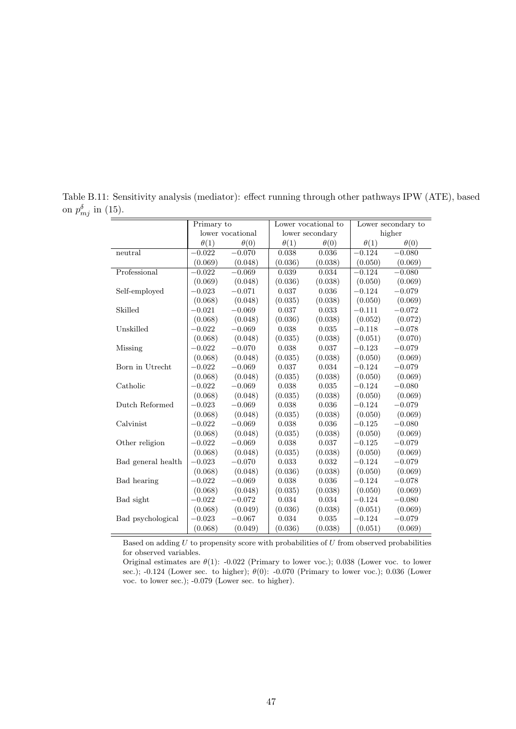|                    | Primary to  |                  |             | Lower vocational to |             | Lower secondary to |
|--------------------|-------------|------------------|-------------|---------------------|-------------|--------------------|
|                    |             | lower vocational |             | lower secondary     |             | higher             |
|                    | $\theta(1)$ | $\theta(0)$      | $\theta(1)$ | $\theta(0)$         | $\theta(1)$ | $\theta(0)$        |
| neutral            | $-0.022$    | $-0.070$         | 0.038       | 0.036               | $-0.124$    | $-0.080$           |
|                    | (0.069)     | (0.048)          | (0.036)     | (0.038)             | (0.050)     | (0.069)            |
| Professional       | $-0.022$    | $-0.069$         | 0.039       | 0.034               | $-0.124$    | $-0.080$           |
|                    | (0.069)     | (0.048)          | (0.036)     | (0.038)             | (0.050)     | (0.069)            |
| Self-employed      | $-0.023$    | $-0.071$         | $\,0.037\,$ | 0.036               | $-0.124$    | $-0.079$           |
|                    | (0.068)     | (0.048)          | (0.035)     | (0.038)             | (0.050)     | (0.069)            |
| Skilled            | $-0.021$    | $-0.069$         | 0.037       | 0.033               | $-0.111$    | $-0.072$           |
|                    | (0.068)     | (0.048)          | (0.036)     | (0.038)             | (0.052)     | (0.072)            |
| Unskilled          | $-0.022$    | $-0.069$         | 0.038       | 0.035               | $-0.118$    | $-0.078$           |
|                    | (0.068)     | (0.048)          | (0.035)     | (0.038)             | (0.051)     | (0.070)            |
| Missing            | $-0.022$    | $-0.070$         | 0.038       | 0.037               | $-0.123$    | $-0.079$           |
|                    | (0.068)     | (0.048)          | (0.035)     | (0.038)             | (0.050)     | (0.069)            |
| Born in Utrecht    | $-0.022$    | $-0.069$         | $\,0.037\,$ | 0.034               | $-0.124$    | $-0.079$           |
|                    | (0.068)     | (0.048)          | (0.035)     | (0.038)             | (0.050)     | (0.069)            |
| Catholic           | $-0.022$    | $-0.069$         | 0.038       | 0.035               | $-0.124$    | $-0.080$           |
|                    | (0.068)     | (0.048)          | (0.035)     | (0.038)             | (0.050)     | (0.069)            |
| Dutch Reformed     | $-0.023$    | $-0.069$         | 0.038       | 0.036               | $-0.124$    | $-0.079$           |
|                    | (0.068)     | (0.048)          | (0.035)     | (0.038)             | (0.050)     | (0.069)            |
| Calvinist          | $-0.022$    | $-0.069$         | 0.038       | 0.036               | $-0.125$    | $-0.080$           |
|                    | (0.068)     | (0.048)          | (0.035)     | (0.038)             | (0.050)     | (0.069)            |
| Other religion     | $-0.022$    | $-0.069$         | 0.038       | 0.037               | $-0.125$    | $-0.079$           |
|                    | (0.068)     | (0.048)          | (0.035)     | (0.038)             | (0.050)     | (0.069)            |
| Bad general health | $-0.023$    | $-0.070$         | 0.033       | 0.032               | $-0.124$    | $-0.079$           |
|                    | (0.068)     | (0.048)          | (0.036)     | (0.038)             | (0.050)     | (0.069)            |
| Bad hearing        | $-0.022$    | $-0.069$         | 0.038       | 0.036               | $-0.124$    | $-0.078$           |
|                    | (0.068)     | (0.048)          | (0.035)     | (0.038)             | (0.050)     | (0.069)            |
| Bad sight          | $-0.022$    | $-0.072$         | 0.034       | 0.034               | $-0.124$    | $-0.080$           |
|                    | (0.068)     | (0.049)          | (0.036)     | (0.038)             | (0.051)     | (0.069)            |
| Bad psychological  | $-0.023$    | $-0.067$         | 0.034       | 0.035               | $-0.124$    | $-0.079$           |
|                    | (0.068)     | (0.049)          | (0.036)     | (0.038)             | (0.051)     | (0.069)            |

Table B.11: Sensitivity analysis (mediator): effect running through other pathways IPW (ATE), based on  $p_{mj}^{\delta}$  in (15).

Based on adding *U* to propensity score with probabilities of *U* from observed probabilities for observed variables.

Original estimates are *θ*(1): -0.022 (Primary to lower voc.); 0.038 (Lower voc. to lower sec.); -0.124 (Lower sec. to higher); *θ*(0): -0.070 (Primary to lower voc.); 0.036 (Lower voc. to lower sec.); -0.079 (Lower sec. to higher).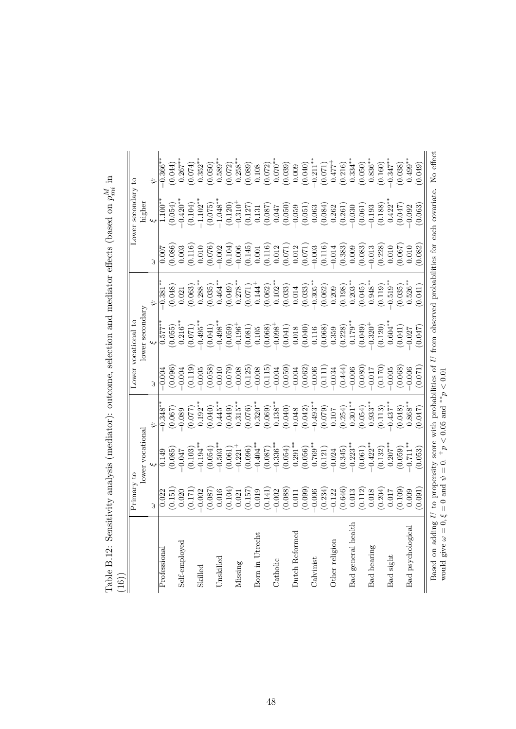| (31)                                  | Primary to                                                |                                                                                                                   |                                                                                                   | Lower vocational    |                                                                                                                                                                                           |                                                                                                                                |                                                                                                                                                  | Lower secondary to                                                                                                                                                 |                                                                                                                                                                                                                                                                                               |
|---------------------------------------|-----------------------------------------------------------|-------------------------------------------------------------------------------------------------------------------|---------------------------------------------------------------------------------------------------|---------------------|-------------------------------------------------------------------------------------------------------------------------------------------------------------------------------------------|--------------------------------------------------------------------------------------------------------------------------------|--------------------------------------------------------------------------------------------------------------------------------------------------|--------------------------------------------------------------------------------------------------------------------------------------------------------------------|-----------------------------------------------------------------------------------------------------------------------------------------------------------------------------------------------------------------------------------------------------------------------------------------------|
|                                       |                                                           | lower vocational                                                                                                  |                                                                                                   |                     | lower secondary                                                                                                                                                                           |                                                                                                                                |                                                                                                                                                  | higher                                                                                                                                                             |                                                                                                                                                                                                                                                                                               |
|                                       |                                                           |                                                                                                                   |                                                                                                   | 3                   |                                                                                                                                                                                           |                                                                                                                                |                                                                                                                                                  |                                                                                                                                                                    |                                                                                                                                                                                                                                                                                               |
| Professional                          | 0.022                                                     | 0.149                                                                                                             | $-0.348*$                                                                                         | $-0.004$            | $0.577*$                                                                                                                                                                                  | 0.381                                                                                                                          |                                                                                                                                                  | $1.100*$                                                                                                                                                           | $0.366**$                                                                                                                                                                                                                                                                                     |
|                                       | (0.151)                                                   | (0.085)                                                                                                           | (0.067)                                                                                           | (0.096)             | (0.055)                                                                                                                                                                                   | (0.048)                                                                                                                        |                                                                                                                                                  | (0.054)                                                                                                                                                            | $(0.044)$<br>0.267**                                                                                                                                                                                                                                                                          |
| Self-employed                         | 0.020                                                     | 0.047                                                                                                             | $-0.089$                                                                                          | $-0.004$            | $0.216*$                                                                                                                                                                                  | 0.021                                                                                                                          | $(0.086)$<br>$0.003$<br>$(0.116)$<br>$0.010$                                                                                                     | $-0.420**$                                                                                                                                                         |                                                                                                                                                                                                                                                                                               |
|                                       | (0.171)                                                   | $(0.103)$<br>-0.194**                                                                                             | (0.077)                                                                                           | (0.119)             | (0.071)                                                                                                                                                                                   | (0.063)                                                                                                                        |                                                                                                                                                  | (0.104)                                                                                                                                                            |                                                                                                                                                                                                                                                                                               |
| Skilled                               | $-0.002$                                                  |                                                                                                                   | $0.192**$                                                                                         | $-0.005$            | $-0.495**$                                                                                                                                                                                | $0.288^{**}$                                                                                                                   |                                                                                                                                                  | $-1.102**$                                                                                                                                                         | $(0.074)$<br>0.352**                                                                                                                                                                                                                                                                          |
|                                       | (0.087)                                                   | (0.054)                                                                                                           | (0.040)                                                                                           | (0.058)             | (0.041)                                                                                                                                                                                   | (0.035)                                                                                                                        | (0.076)                                                                                                                                          | (0.075)                                                                                                                                                            | $(0.050)$<br>0.589**                                                                                                                                                                                                                                                                          |
| Unskilled                             | 0.016                                                     | $-0.503**$                                                                                                        | $0.445**$                                                                                         | $-0.010$            | $-0.498**$                                                                                                                                                                                | $0.464***$                                                                                                                     | $-0.002$                                                                                                                                         | $-1.048**$                                                                                                                                                         |                                                                                                                                                                                                                                                                                               |
|                                       | $\left(0.104\right)$ $\left(0.021\right)$                 | $\begin{array}{c} (0.061) \\ -0.221^+ \\ (0.096) \\ -0.404^{**} \\ (0.087) \\ (0.087) \\ -0.336^{**} \end{array}$ | $\begin{array}{c} (0.049) \\ 0.315^{**} \\ (0.076) \\ 0.320^{**} \\ (0.069) \\ \end{array}$       | (0.079)             | $(0.059)$<br>-0.196 <sup>+</sup>                                                                                                                                                          | (0.049)                                                                                                                        | $\begin{array}{c} (0.104) \\ -0.006 \\ (0.145) \\ (0.011 \\ (0.116) \\ (0.011 \\ (0.071) \\ (0.071) \\ (0.071) \\ (0.071) \\ -0.003 \end{array}$ | $\begin{array}{l} (0.120) \\ -0.310^+ \\ (0.127) \\ 0.087) \\ (0.087) \\ (0.047) \\ (0.050) \\ (0.050) \\ (0.063) \\ (0.084) \\ (0.082) \\ (0.082) \\ \end{array}$ | $\begin{array}{c} (0.072)\\ 0.258^{**}\\ 0.069)\\ (0.069)\\ (0.072)\\ (0.072)\\ (0.039)\\ (0.009)\\ (0.000)\\ (0.000)\\ (0.001)\\ (0.001)\\ (0.001)\\ (0.000)\\ (0.000)\\ (0.000)\\ (0.000)\\ (0.001)\\ (0.001)\\ (0.000)\\ (0.001)\\ (0.000)\\ (0.001)\\ (0.000)\\ (0.001)\\ (0.000)\\ (0.0$ |
| Missing                               |                                                           |                                                                                                                   |                                                                                                   | $-0.008$            |                                                                                                                                                                                           |                                                                                                                                |                                                                                                                                                  |                                                                                                                                                                    |                                                                                                                                                                                                                                                                                               |
|                                       |                                                           |                                                                                                                   |                                                                                                   | (0.125)             |                                                                                                                                                                                           |                                                                                                                                |                                                                                                                                                  |                                                                                                                                                                    |                                                                                                                                                                                                                                                                                               |
| Born in Utrecht                       |                                                           |                                                                                                                   |                                                                                                   | $-0.008$            |                                                                                                                                                                                           |                                                                                                                                |                                                                                                                                                  |                                                                                                                                                                    |                                                                                                                                                                                                                                                                                               |
|                                       | $\begin{array}{c} (0.157) \\ 0.019 \\ 0.141) \end{array}$ |                                                                                                                   |                                                                                                   | $(0.115)$<br>-0.004 |                                                                                                                                                                                           |                                                                                                                                |                                                                                                                                                  |                                                                                                                                                                    |                                                                                                                                                                                                                                                                                               |
| Catholic                              | $-0.002$                                                  |                                                                                                                   |                                                                                                   |                     |                                                                                                                                                                                           |                                                                                                                                |                                                                                                                                                  |                                                                                                                                                                    |                                                                                                                                                                                                                                                                                               |
|                                       | (0.088)                                                   | $\begin{array}{c} (0.054) \\ 0.291^{**} \\ (0.056) \\ 0.769^{**} \end{array}$                                     | $\begin{array}{c} 0.138^{**} \ 0.040) \ -0.048 \ -0.042) \ -0.049^{**} \ -0.493^{**} \end{array}$ | $(0.059)$<br>-0.004 | $\begin{array}{c} (0.081) \\ 0.105 \\ 0.068) \\ (0.068) \\ (0.041) \\ (0.018) \\ (0.018) \\ (0.040) \\ (0.018) \\ (0.038) \\ (0.238) \\ (0.238) \\ (0.238) \\ (0.179^{**} \\ \end{array}$ | $\begin{array}{c} 0.278^{**} \\ (0.071) \\ 0.144^{+} \\ (0.062) \\ (0.062) \\ 0.102^{**} \\ (0.033) \\ (0.033) \\ \end{array}$ |                                                                                                                                                  |                                                                                                                                                                    |                                                                                                                                                                                                                                                                                               |
| Dutch Reformed                        | $0.011\,$                                                 |                                                                                                                   |                                                                                                   |                     |                                                                                                                                                                                           |                                                                                                                                |                                                                                                                                                  |                                                                                                                                                                    |                                                                                                                                                                                                                                                                                               |
|                                       | (0.099)                                                   |                                                                                                                   |                                                                                                   | (0.062)             |                                                                                                                                                                                           | (0.033)                                                                                                                        |                                                                                                                                                  |                                                                                                                                                                    |                                                                                                                                                                                                                                                                                               |
| Calvinist                             | $-0.006$                                                  |                                                                                                                   |                                                                                                   | $-0.006$            |                                                                                                                                                                                           | $-0.305**$                                                                                                                     |                                                                                                                                                  |                                                                                                                                                                    |                                                                                                                                                                                                                                                                                               |
|                                       | (0.234)                                                   | (0.121)                                                                                                           | $\begin{array}{c} (0.079) \\ 0.107 \end{array}$                                                   | (0.111)             |                                                                                                                                                                                           | $(0.062)$<br>0.209<br>$(0.198)$<br>0.203**                                                                                     | $(0.116)$<br>-0.014                                                                                                                              |                                                                                                                                                                    |                                                                                                                                                                                                                                                                                               |
| Other religion                        | $-0.122$                                                  | $-0.024$                                                                                                          |                                                                                                   | $-0.034$            |                                                                                                                                                                                           |                                                                                                                                |                                                                                                                                                  |                                                                                                                                                                    |                                                                                                                                                                                                                                                                                               |
|                                       | (0.646)                                                   | $(0.345)$<br>-0.223**                                                                                             | $(0.254)$<br>0.301**                                                                              | (0.444)             |                                                                                                                                                                                           |                                                                                                                                | $(0.383)$<br>$0.009$<br>$(0.083)$<br>$(0.083)$                                                                                                   |                                                                                                                                                                    |                                                                                                                                                                                                                                                                                               |
| Bad general health                    | 0.013                                                     |                                                                                                                   |                                                                                                   | $-0.006$            |                                                                                                                                                                                           |                                                                                                                                |                                                                                                                                                  |                                                                                                                                                                    |                                                                                                                                                                                                                                                                                               |
|                                       | (0.112)                                                   | $(0.061)$<br>-0.422**                                                                                             | $(0.054)$<br>0.933**                                                                              | (0.080)             |                                                                                                                                                                                           | $(0.045)$<br>0.948**                                                                                                           |                                                                                                                                                  |                                                                                                                                                                    |                                                                                                                                                                                                                                                                                               |
| Bad hearing                           | 0.018                                                     |                                                                                                                   |                                                                                                   | $-0.017$            |                                                                                                                                                                                           |                                                                                                                                |                                                                                                                                                  |                                                                                                                                                                    |                                                                                                                                                                                                                                                                                               |
|                                       | (0.204)                                                   | (0.132)                                                                                                           | (0.113)                                                                                           | (0.170)             | $(0.049)$<br>$-0.320$ <sup>+</sup><br>$(0.120)$<br>$0.604$ <sup>**</sup>                                                                                                                  | $(0.119)$<br>$-0.519**$                                                                                                        | $\begin{array}{c} (0.228) \\ 0.010 \end{array}$                                                                                                  | $\begin{array}{c} (0.261) \\ -0.030 \\ (0.061) \\ -0.193 \\ (0.188) \\ 0.422^{**} \end{array}$                                                                     |                                                                                                                                                                                                                                                                                               |
| Bad sight                             | 0.017                                                     | $0.207***$                                                                                                        | $-0.437***$                                                                                       | $-0.005$            |                                                                                                                                                                                           |                                                                                                                                |                                                                                                                                                  |                                                                                                                                                                    |                                                                                                                                                                                                                                                                                               |
|                                       | (0.109)                                                   | (0.059)                                                                                                           | (0.048)                                                                                           | (0.068)             | (0.041)                                                                                                                                                                                   | (0.035)                                                                                                                        | (0.067)                                                                                                                                          | (0.047)                                                                                                                                                            | $(0.038)$<br>0.499**                                                                                                                                                                                                                                                                          |
| Bad psychological                     | 0.009                                                     | $0.711**$                                                                                                         | $0.868**$                                                                                         | $-0.006$            | $-0.027$                                                                                                                                                                                  | $0.526**$                                                                                                                      | 0.010                                                                                                                                            | $-0.092$                                                                                                                                                           |                                                                                                                                                                                                                                                                                               |
|                                       | (160.0)                                                   | (0.053)                                                                                                           | (0.047)                                                                                           | (0.071)             | (0.047)                                                                                                                                                                                   | (0.041)                                                                                                                        | (0.082)                                                                                                                                          | (0.063)                                                                                                                                                            | $(6*0.01)$                                                                                                                                                                                                                                                                                    |
| would give $\omega = 0, \xi$<br>Based | $= 0$ and $\psi = 0$ .                                    | on adding U to propensity score with probabilities of                                                             | $+p < 0.05$ and $* p < 0.01$                                                                      |                     |                                                                                                                                                                                           |                                                                                                                                |                                                                                                                                                  | U from observed probabilities for each covariate.                                                                                                                  | No effect                                                                                                                                                                                                                                                                                     |

Table B.12: Sensitivity analysis (mediator): outcome, selection and mediator effects (based on  $p_{mi}^M$  in

48